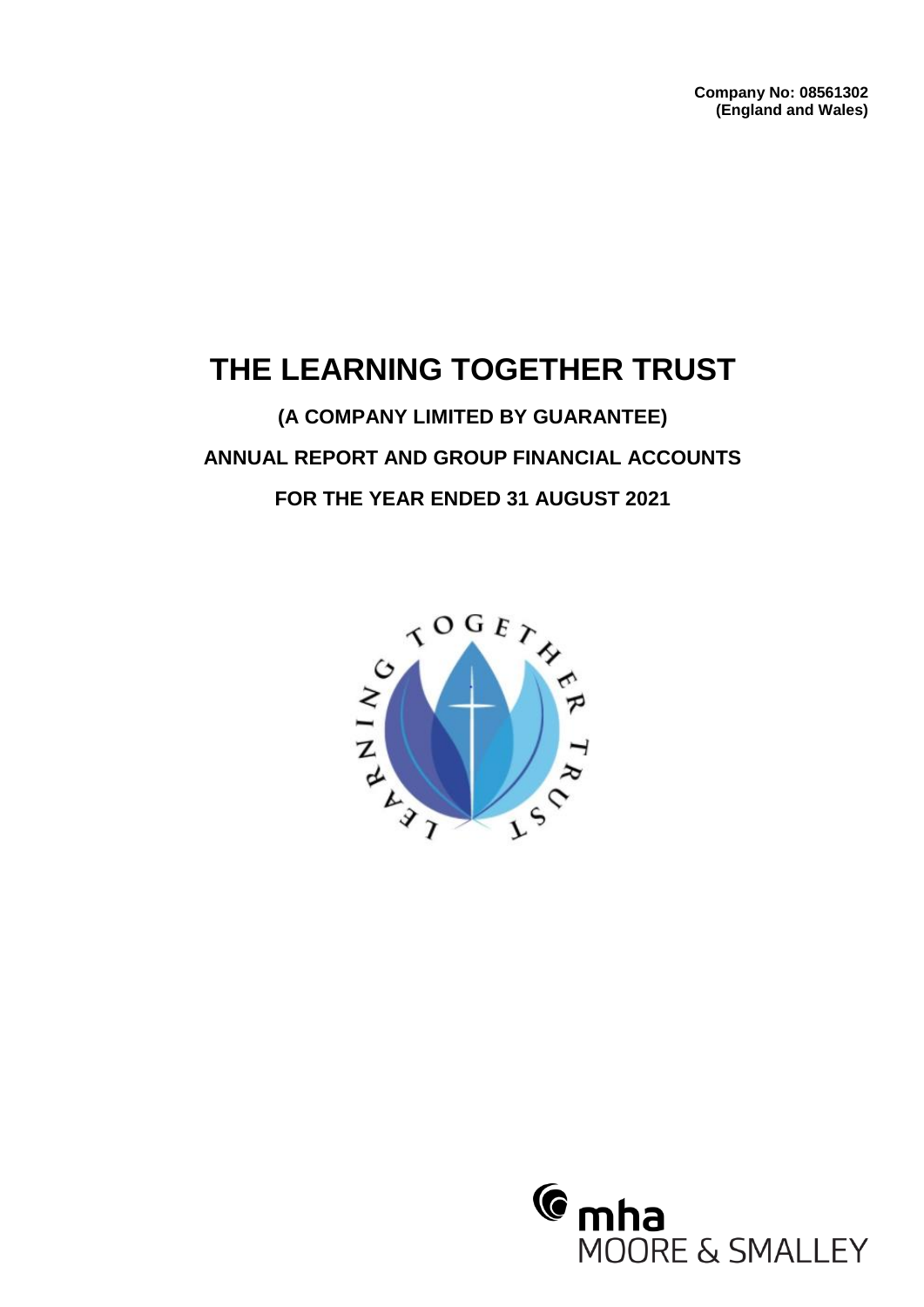**Company No: 08561302 (England and Wales)**

# **THE LEARNING TOGETHER TRUST**

**(A COMPANY LIMITED BY GUARANTEE) ANNUAL REPORT AND GROUP FINANCIAL ACCOUNTS FOR THE YEAR ENDED 31 AUGUST 2021**



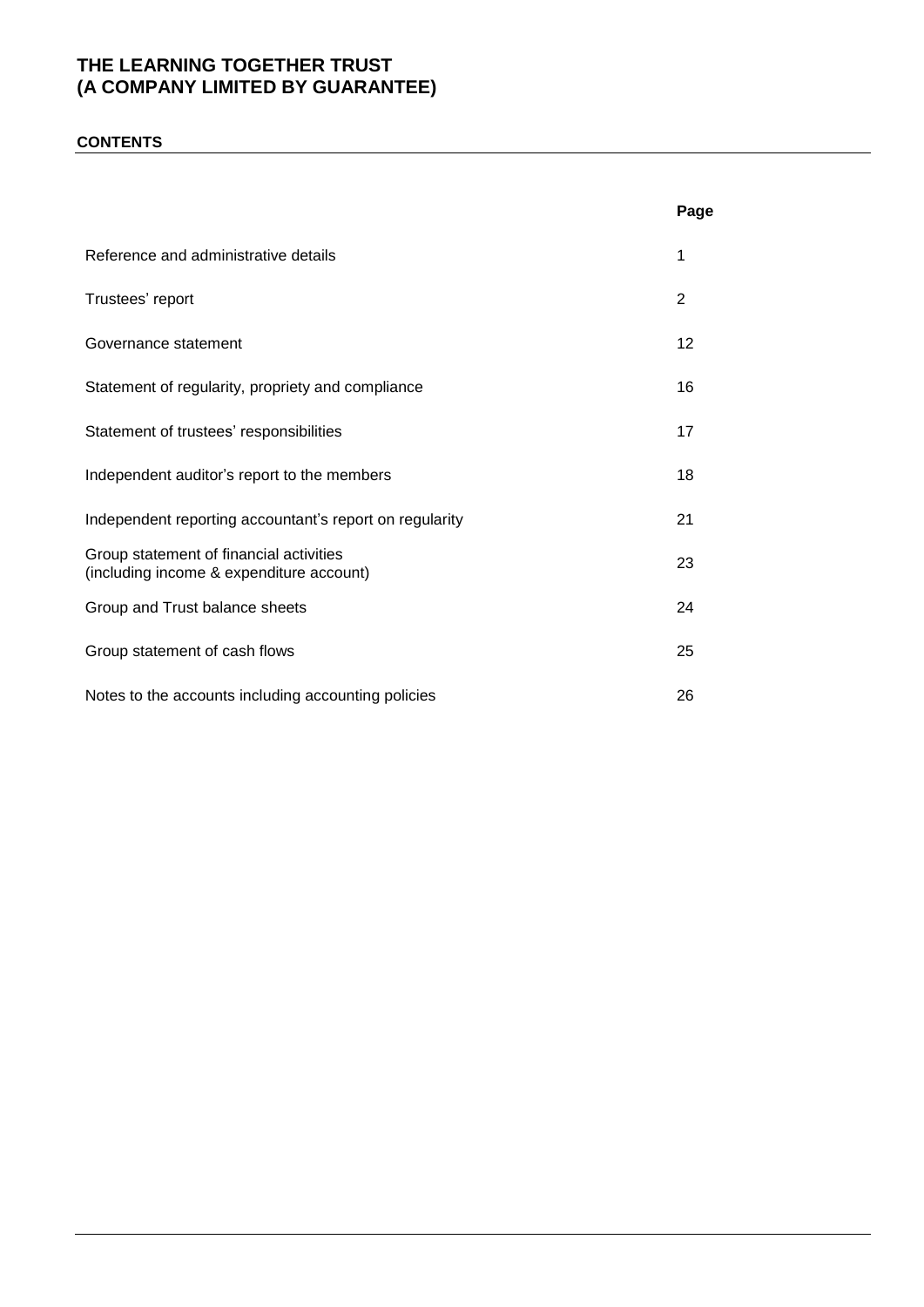### **CONTENTS**

|                                                                                     | Page |
|-------------------------------------------------------------------------------------|------|
| Reference and administrative details                                                | 1    |
| Trustees' report                                                                    | 2    |
| Governance statement                                                                | 12   |
| Statement of regularity, propriety and compliance                                   | 16   |
| Statement of trustees' responsibilities                                             | 17   |
| Independent auditor's report to the members                                         | 18   |
| Independent reporting accountant's report on regularity                             | 21   |
| Group statement of financial activities<br>(including income & expenditure account) | 23   |
| Group and Trust balance sheets                                                      | 24   |
| Group statement of cash flows                                                       | 25   |
| Notes to the accounts including accounting policies                                 | 26   |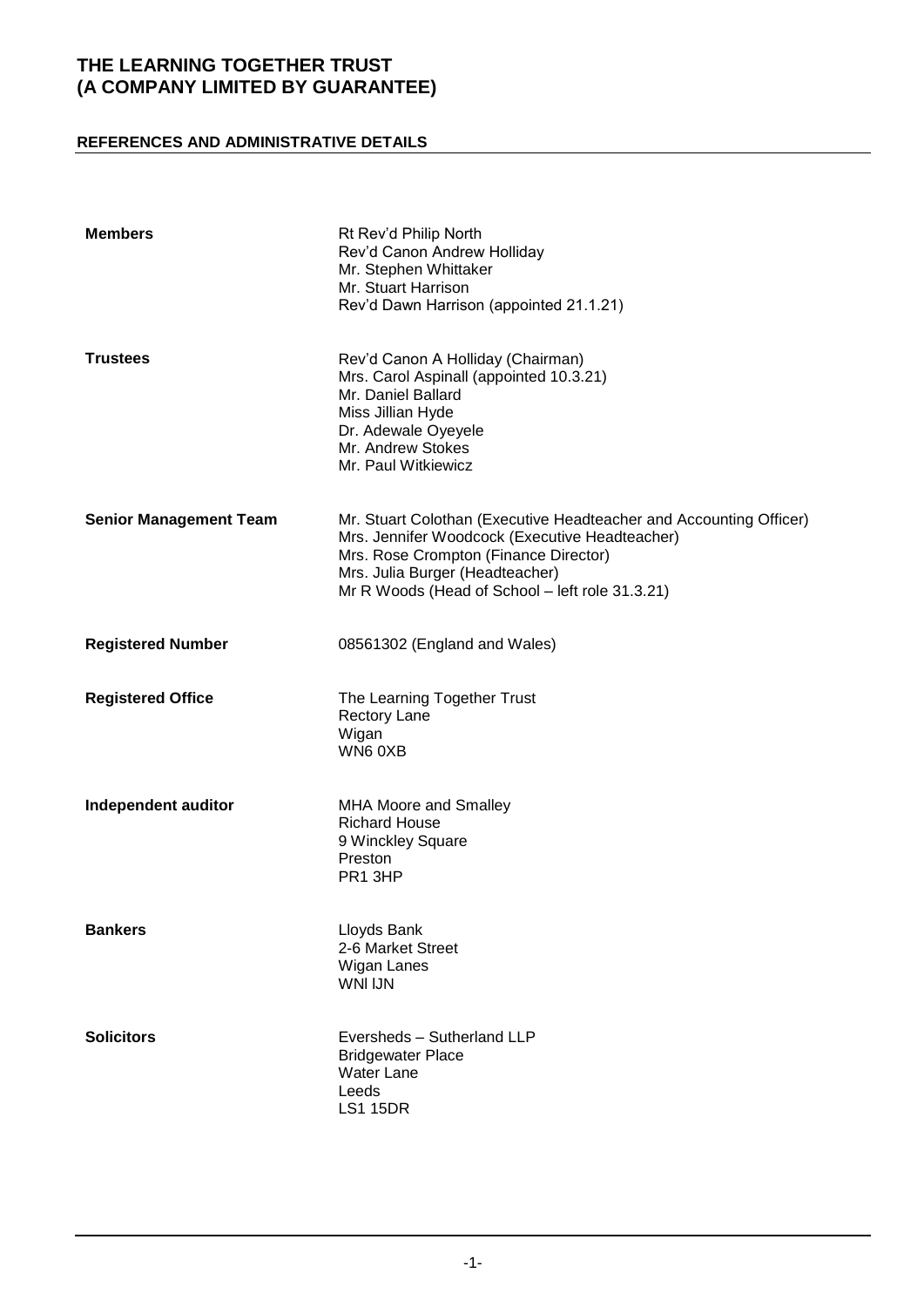### **REFERENCES AND ADMINISTRATIVE DETAILS**

| <b>Members</b>                | Rt Rev'd Philip North<br>Rev'd Canon Andrew Holliday<br>Mr. Stephen Whittaker<br>Mr. Stuart Harrison<br>Rev'd Dawn Harrison (appointed 21.1.21)                                                                                                     |
|-------------------------------|-----------------------------------------------------------------------------------------------------------------------------------------------------------------------------------------------------------------------------------------------------|
| <b>Trustees</b>               | Rev'd Canon A Holliday (Chairman)<br>Mrs. Carol Aspinall (appointed 10.3.21)<br>Mr. Daniel Ballard<br>Miss Jillian Hyde<br>Dr. Adewale Oyeyele<br>Mr. Andrew Stokes<br>Mr. Paul Witkiewicz                                                          |
| <b>Senior Management Team</b> | Mr. Stuart Colothan (Executive Headteacher and Accounting Officer)<br>Mrs. Jennifer Woodcock (Executive Headteacher)<br>Mrs. Rose Crompton (Finance Director)<br>Mrs. Julia Burger (Headteacher)<br>Mr R Woods (Head of School - left role 31.3.21) |
| <b>Registered Number</b>      | 08561302 (England and Wales)                                                                                                                                                                                                                        |
| <b>Registered Office</b>      | The Learning Together Trust<br><b>Rectory Lane</b><br>Wigan<br>WN6 0XB                                                                                                                                                                              |
| Independent auditor           | <b>MHA Moore and Smalley</b><br><b>Richard House</b><br>9 Winckley Square<br>Preston<br>PR1 3HP                                                                                                                                                     |
| <b>Bankers</b>                | Lloyds Bank<br>2-6 Market Street<br>Wigan Lanes<br><b>WNI IJN</b>                                                                                                                                                                                   |
| <b>Solicitors</b>             | Eversheds - Sutherland LLP<br><b>Bridgewater Place</b><br><b>Water Lane</b><br>Leeds<br><b>LS1 15DR</b>                                                                                                                                             |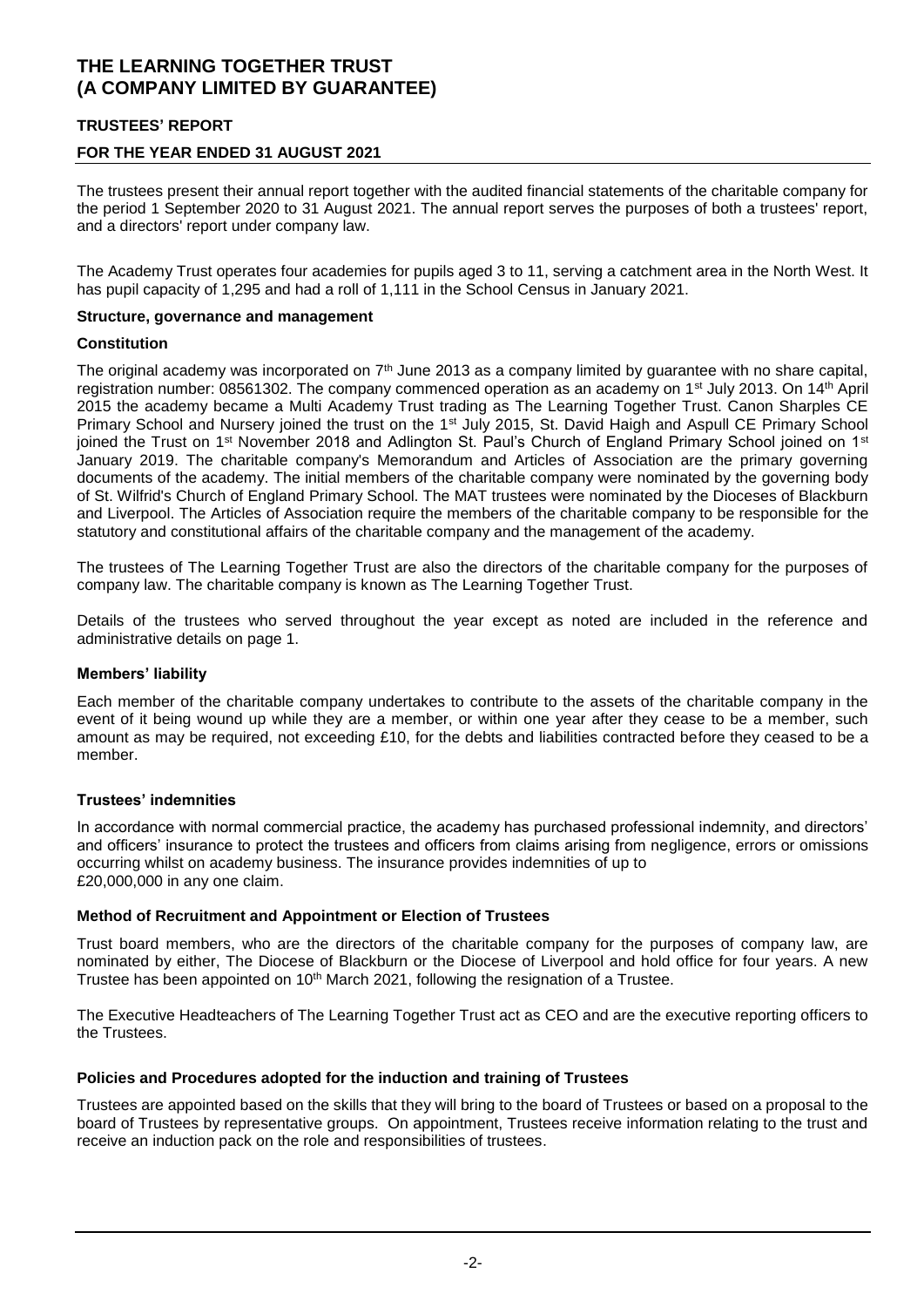### **TRUSTEES' REPORT**

### **FOR THE YEAR ENDED 31 AUGUST 2021**

The trustees present their annual report together with the audited financial statements of the charitable company for the period 1 September 2020 to 31 August 2021. The annual report serves the purposes of both a trustees' report, and a directors' report under company law.

The Academy Trust operates four academies for pupils aged 3 to 11, serving a catchment area in the North West. It has pupil capacity of 1,295 and had a roll of 1,111 in the School Census in January 2021.

#### **Structure, governance and management**

#### **Constitution**

The original academy was incorporated on  $7<sup>th</sup>$  June 2013 as a company limited by guarantee with no share capital, registration number: 08561302. The company commenced operation as an academy on 1<sup>st</sup> July 2013. On 14<sup>th</sup> April 2015 the academy became a Multi Academy Trust trading as The Learning Together Trust. Canon Sharples CE Primary School and Nursery joined the trust on the 1<sup>st</sup> July 2015, St. David Haigh and Aspull CE Primary School joined the Trust on 1<sup>st</sup> November 2018 and Adlington St. Paul's Church of England Primary School joined on 1<sup>st</sup> January 2019. The charitable company's Memorandum and Articles of Association are the primary governing documents of the academy. The initial members of the charitable company were nominated by the governing body of St. Wilfrid's Church of England Primary School. The MAT trustees were nominated by the Dioceses of Blackburn and Liverpool. The Articles of Association require the members of the charitable company to be responsible for the statutory and constitutional affairs of the charitable company and the management of the academy.

The trustees of The Learning Together Trust are also the directors of the charitable company for the purposes of company law. The charitable company is known as The Learning Together Trust.

Details of the trustees who served throughout the year except as noted are included in the reference and administrative details on page 1.

#### **Members' liability**

Each member of the charitable company undertakes to contribute to the assets of the charitable company in the event of it being wound up while they are a member, or within one year after they cease to be a member, such amount as may be required, not exceeding £10, for the debts and liabilities contracted before they ceased to be a member.

#### **Trustees' indemnities**

In accordance with normal commercial practice, the academy has purchased professional indemnity, and directors' and officers' insurance to protect the trustees and officers from claims arising from negligence, errors or omissions occurring whilst on academy business. The insurance provides indemnities of up to £20,000,000 in any one claim.

#### **Method of Recruitment and Appointment or Election of Trustees**

Trust board members, who are the directors of the charitable company for the purposes of company law, are nominated by either, The Diocese of Blackburn or the Diocese of Liverpool and hold office for four years. A new Trustee has been appointed on 10<sup>th</sup> March 2021, following the resignation of a Trustee.

The Executive Headteachers of The Learning Together Trust act as CEO and are the executive reporting officers to the Trustees.

#### **Policies and Procedures adopted for the induction and training of Trustees**

Trustees are appointed based on the skills that they will bring to the board of Trustees or based on a proposal to the board of Trustees by representative groups. On appointment, Trustees receive information relating to the trust and receive an induction pack on the role and responsibilities of trustees.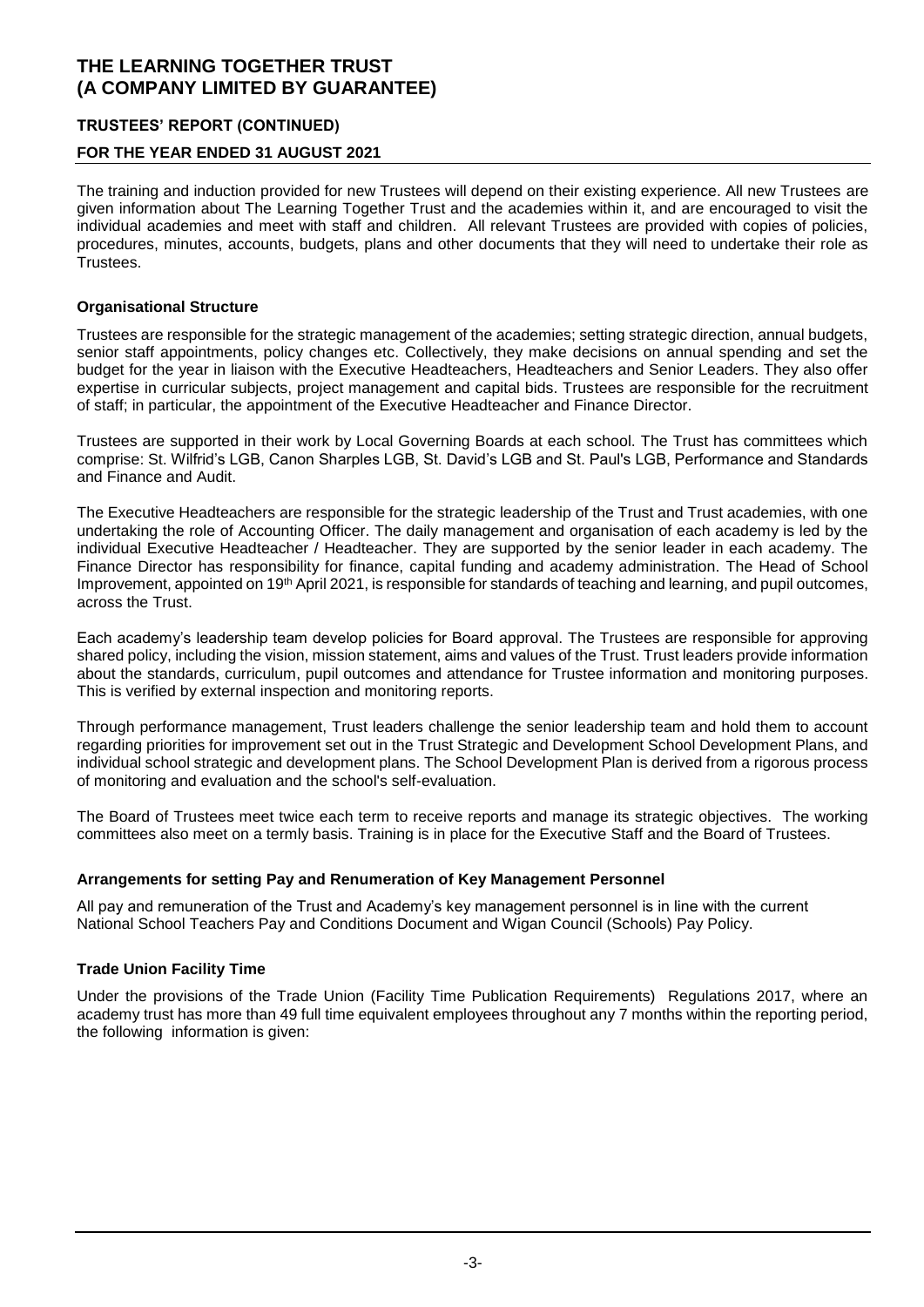### **TRUSTEES' REPORT (CONTINUED)**

### **FOR THE YEAR ENDED 31 AUGUST 2021**

The training and induction provided for new Trustees will depend on their existing experience. All new Trustees are given information about The Learning Together Trust and the academies within it, and are encouraged to visit the individual academies and meet with staff and children. All relevant Trustees are provided with copies of policies, procedures, minutes, accounts, budgets, plans and other documents that they will need to undertake their role as .<br>Trustees.

### **Organisational Structure**

Trustees are responsible for the strategic management of the academies; setting strategic direction, annual budgets, senior staff appointments, policy changes etc. Collectively, they make decisions on annual spending and set the budget for the year in liaison with the Executive Headteachers, Headteachers and Senior Leaders. They also offer expertise in curricular subjects, project management and capital bids. Trustees are responsible for the recruitment of staff; in particular, the appointment of the Executive Headteacher and Finance Director.

Trustees are supported in their work by Local Governing Boards at each school. The Trust has committees which comprise: St. Wilfrid's LGB, Canon Sharples LGB, St. David's LGB and St. Paul's LGB, Performance and Standards and Finance and Audit.

The Executive Headteachers are responsible for the strategic leadership of the Trust and Trust academies, with one undertaking the role of Accounting Officer. The daily management and organisation of each academy is led by the individual Executive Headteacher / Headteacher. They are supported by the senior leader in each academy. The Finance Director has responsibility for finance, capital funding and academy administration. The Head of School Improvement, appointed on 19th April 2021, is responsible for standards of teaching and learning, and pupil outcomes, across the Trust.

Each academy's leadership team develop policies for Board approval. The Trustees are responsible for approving shared policy, including the vision, mission statement, aims and values of the Trust. Trust leaders provide information about the standards, curriculum, pupil outcomes and attendance for Trustee information and monitoring purposes. This is verified by external inspection and monitoring reports.

Through performance management, Trust leaders challenge the senior leadership team and hold them to account regarding priorities for improvement set out in the Trust Strategic and Development School Development Plans, and individual school strategic and development plans. The School Development Plan is derived from a rigorous process of monitoring and evaluation and the school's self-evaluation.

The Board of Trustees meet twice each term to receive reports and manage its strategic objectives. The working committees also meet on a termly basis. Training is in place for the Executive Staff and the Board of Trustees.

### **Arrangements for setting Pay and Renumeration of Key Management Personnel**

All pay and remuneration of the Trust and Academy's key management personnel is in line with the current National School Teachers Pay and Conditions Document and Wigan Council (Schools) Pay Policy.

### **Trade Union Facility Time**

Under the provisions of the Trade Union (Facility Time Publication Requirements) Regulations 2017, where an academy trust has more than 49 full time equivalent employees throughout any 7 months within the reporting period, the following information is given: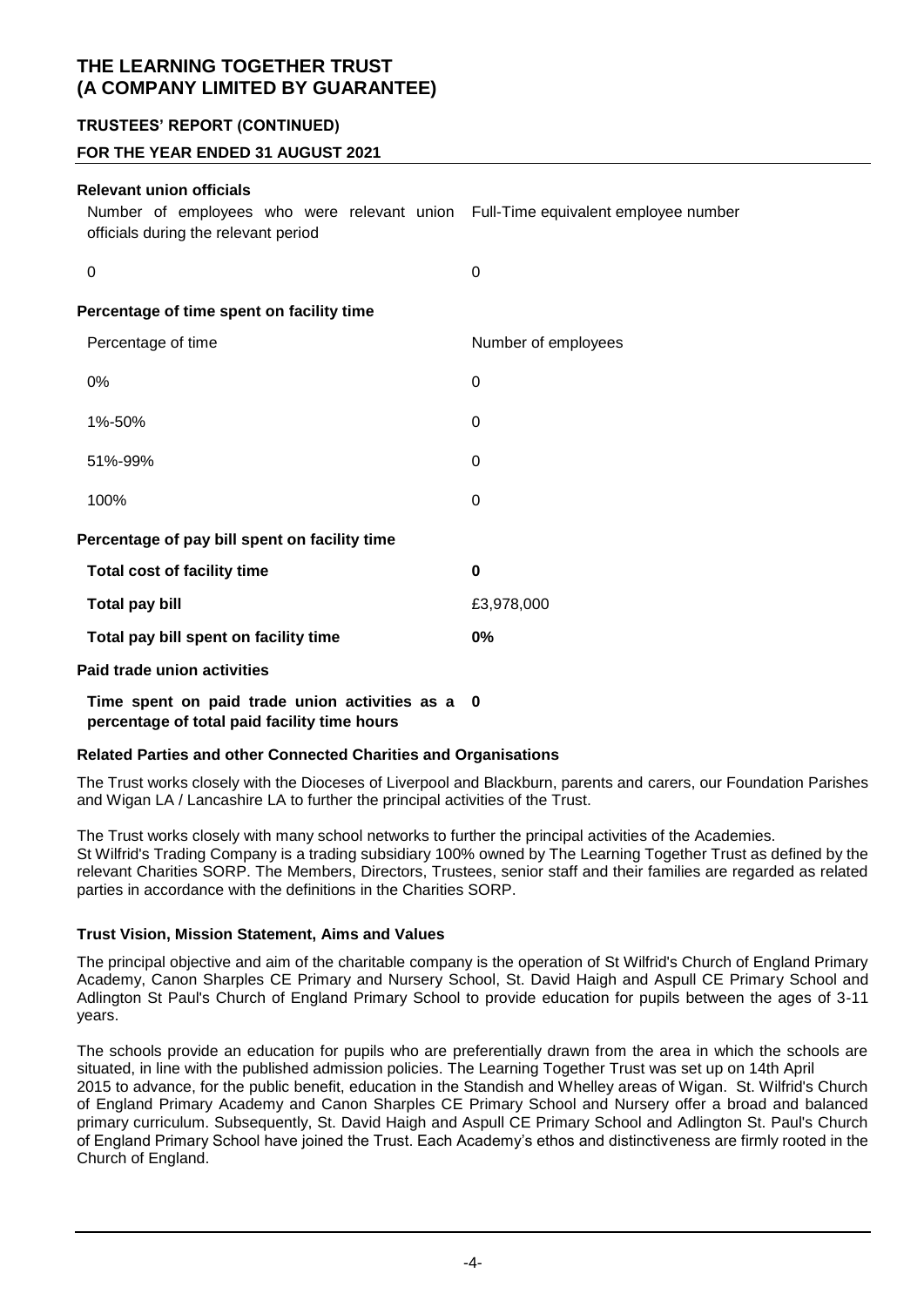### **TRUSTEES' REPORT (CONTINUED)**

### **FOR THE YEAR ENDED 31 AUGUST 2021**

### **Relevant union officials**

| Relevant union officials<br>Number of employees who were relevant union Full-Time equivalent employee number<br>officials during the relevant period |                     |
|------------------------------------------------------------------------------------------------------------------------------------------------------|---------------------|
| 0                                                                                                                                                    | 0                   |
| Percentage of time spent on facility time                                                                                                            |                     |
| Percentage of time                                                                                                                                   | Number of employees |
| $0\%$                                                                                                                                                | 0                   |
| 1%-50%                                                                                                                                               | 0                   |
| 51%-99%                                                                                                                                              | 0                   |
| 100%                                                                                                                                                 | 0                   |

#### **Percentage of pay bill spent on facility time**

| <b>Total cost of facility time</b>    | O          |
|---------------------------------------|------------|
| Total pay bill                        | £3,978,000 |
| Total pay bill spent on facility time | 0%         |
| <b>Paid trade union activities</b>    |            |

# **Time spent on paid trade union activities as a 0**

**percentage of total paid facility time hours**

#### **Related Parties and other Connected Charities and Organisations**

The Trust works closely with the Dioceses of Liverpool and Blackburn, parents and carers, our Foundation Parishes and Wigan LA / Lancashire LA to further the principal activities of the Trust.

The Trust works closely with many school networks to further the principal activities of the Academies. St Wilfrid's Trading Company is a trading subsidiary 100% owned by The Learning Together Trust as defined by the relevant Charities SORP. The Members, Directors, Trustees, senior staff and their families are regarded as related parties in accordance with the definitions in the Charities SORP.

#### **Trust Vision, Mission Statement, Aims and Values**

The principal objective and aim of the charitable company is the operation of St Wilfrid's Church of England Primary Academy, Canon Sharples CE Primary and Nursery School, St. David Haigh and Aspull CE Primary School and Adlington St Paul's Church of England Primary School to provide education for pupils between the ages of 3-11 years.

The schools provide an education for pupils who are preferentially drawn from the area in which the schools are situated, in line with the published admission policies. The Learning Together Trust was set up on 14th April 2015 to advance, for the public benefit, education in the Standish and Whelley areas of Wigan. St. Wilfrid's Church of England Primary Academy and Canon Sharples CE Primary School and Nursery offer a broad and balanced primary curriculum. Subsequently, St. David Haigh and Aspull CE Primary School and Adlington St. Paul's Church of England Primary School have joined the Trust. Each Academy's ethos and distinctiveness are firmly rooted in the Church of England.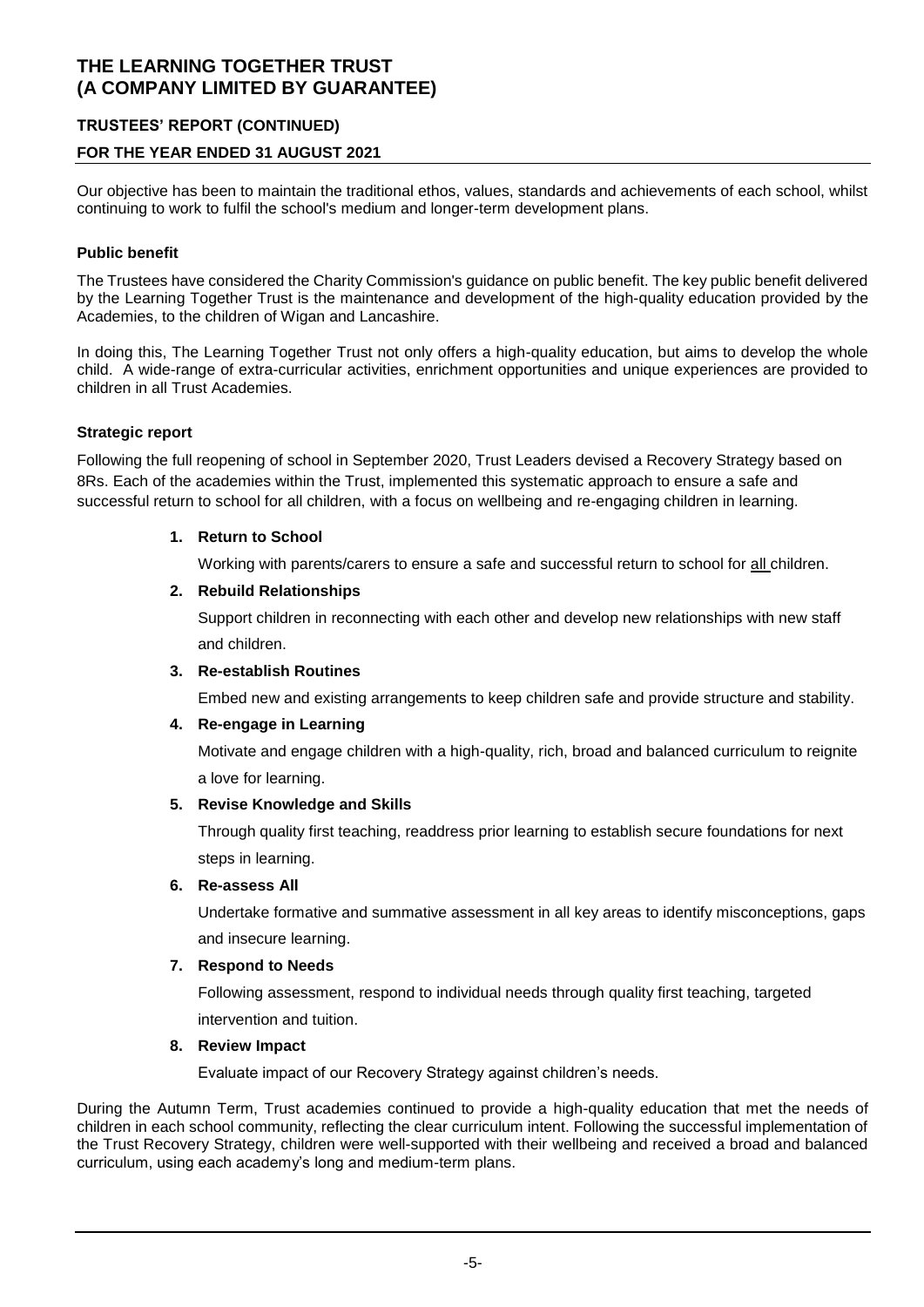### **TRUSTEES' REPORT (CONTINUED)**

### **FOR THE YEAR ENDED 31 AUGUST 2021**

Our objective has been to maintain the traditional ethos, values, standards and achievements of each school, whilst continuing to work to fulfil the school's medium and longer-term development plans.

### **Public benefit**

The Trustees have considered the Charity Commission's guidance on public benefit. The key public benefit delivered by the Learning Together Trust is the maintenance and development of the high-quality education provided by the Academies, to the children of Wigan and Lancashire.

In doing this, The Learning Together Trust not only offers a high-quality education, but aims to develop the whole child. A wide-range of extra-curricular activities, enrichment opportunities and unique experiences are provided to children in all Trust Academies.

### **Strategic report**

Following the full reopening of school in September 2020, Trust Leaders devised a Recovery Strategy based on 8Rs. Each of the academies within the Trust, implemented this systematic approach to ensure a safe and successful return to school for all children, with a focus on wellbeing and re-engaging children in learning.

### **1. Return to School**

Working with parents/carers to ensure a safe and successful return to school for all children.

### **2. Rebuild Relationships**

Support children in reconnecting with each other and develop new relationships with new staff and children.

#### **3. Re-establish Routines**

Embed new and existing arrangements to keep children safe and provide structure and stability.

#### **4. Re-engage in Learning**

Motivate and engage children with a high-quality, rich, broad and balanced curriculum to reignite a love for learning.

#### **5. Revise Knowledge and Skills**

Through quality first teaching, readdress prior learning to establish secure foundations for next steps in learning.

#### **6. Re-assess All**

Undertake formative and summative assessment in all key areas to identify misconceptions, gaps and insecure learning.

#### **7. Respond to Needs**

Following assessment, respond to individual needs through quality first teaching, targeted intervention and tuition.

#### **8. Review Impact**

Evaluate impact of our Recovery Strategy against children's needs.

During the Autumn Term, Trust academies continued to provide a high-quality education that met the needs of children in each school community, reflecting the clear curriculum intent. Following the successful implementation of the Trust Recovery Strategy, children were well-supported with their wellbeing and received a broad and balanced curriculum, using each academy's long and medium-term plans.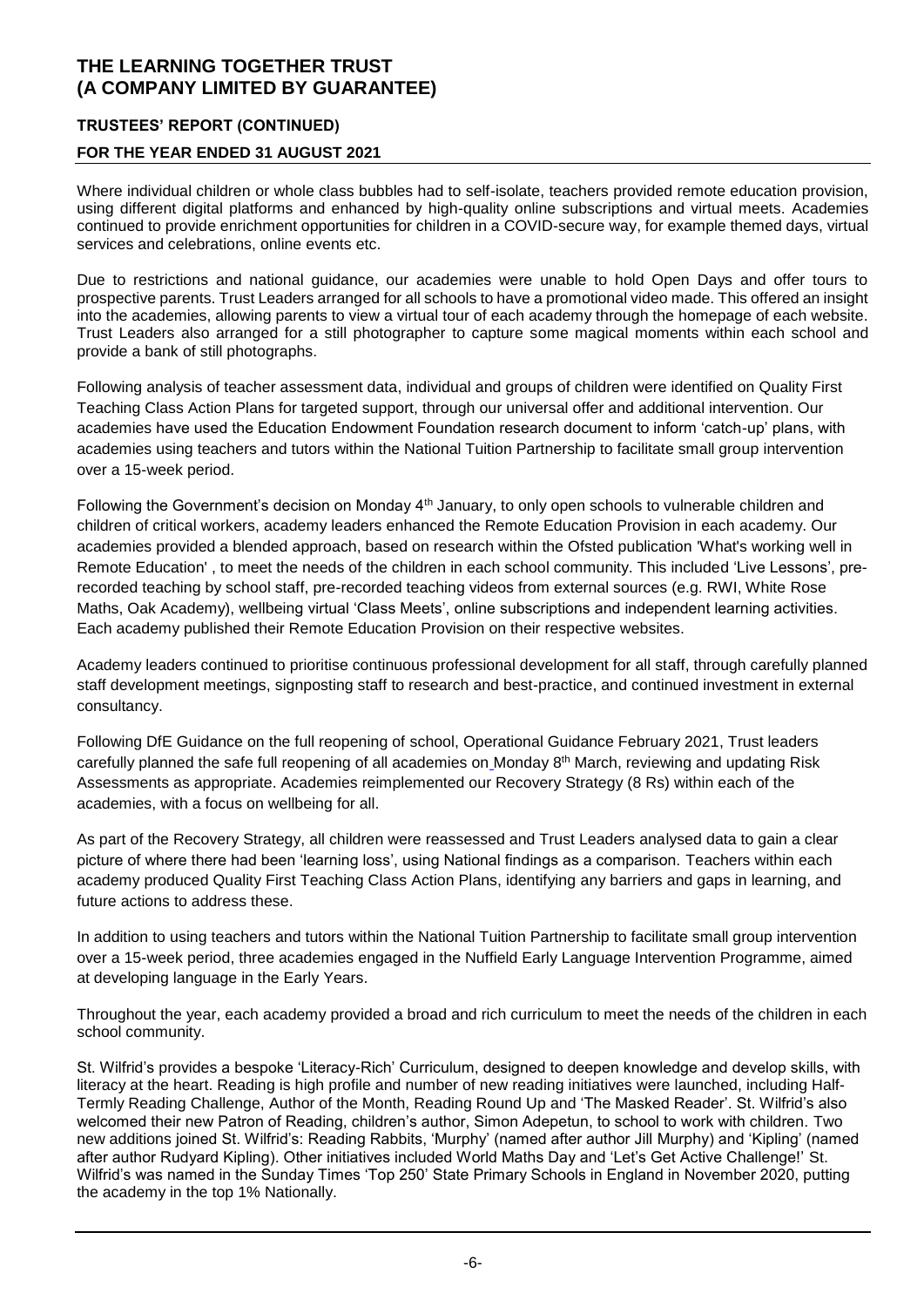### **TRUSTEES' REPORT (CONTINUED)**

### **FOR THE YEAR ENDED 31 AUGUST 2021**

Where individual children or whole class bubbles had to self-isolate, teachers provided remote education provision, using different digital platforms and enhanced by high-quality online subscriptions and virtual meets. Academies continued to provide enrichment opportunities for children in a COVID-secure way, for example themed days, virtual services and celebrations, online events etc.

Due to restrictions and national guidance, our academies were unable to hold Open Days and offer tours to prospective parents. Trust Leaders arranged for all schools to have a promotional video made. This offered an insight into the academies, allowing parents to view a virtual tour of each academy through the homepage of each website. Trust Leaders also arranged for a still photographer to capture some magical moments within each school and provide a bank of still photographs.

Following analysis of teacher assessment data, individual and groups of children were identified on Quality First Teaching Class Action Plans for targeted support, through our universal offer and additional intervention. Our academies have used the Education Endowment Foundation research document to inform 'catch-up' plans, with academies using teachers and tutors within the National Tuition Partnership to facilitate small group intervention over a 15-week period.

Following the Government's decision on Monday 4<sup>th</sup> January, to only open schools to vulnerable children and children of critical workers, academy leaders enhanced the Remote Education Provision in each academy. Our academies provided a blended approach, based on research within the Ofsted publication 'What's working well in Remote Education' , to meet the needs of the children in each school community. This included 'Live Lessons', prerecorded teaching by school staff, pre-recorded teaching videos from external sources (e.g. RWI, White Rose Maths, Oak Academy), wellbeing virtual 'Class Meets', online subscriptions and independent learning activities. Each academy published their Remote Education Provision on their respective websites.

Academy leaders continued to prioritise continuous professional development for all staff, through carefully planned staff development meetings, signposting staff to research and best-practice, and continued investment in external consultancy.

Following DfE Guidance on the full reopening of school, Operational Guidance February 2021, Trust leaders carefully planned the safe full reopening of all academies on Monday 8th March, reviewing and updating Risk Assessments as appropriate. Academies reimplemented our Recovery Strategy (8 Rs) within each of the academies, with a focus on wellbeing for all.

As part of the Recovery Strategy, all children were reassessed and Trust Leaders analysed data to gain a clear picture of where there had been 'learning loss', using National findings as a comparison. Teachers within each academy produced Quality First Teaching Class Action Plans, identifying any barriers and gaps in learning, and future actions to address these.

In addition to using teachers and tutors within the National Tuition Partnership to facilitate small group intervention over a 15-week period, three academies engaged in the Nuffield Early Language Intervention Programme, aimed at developing language in the Early Years.

Throughout the year, each academy provided a broad and rich curriculum to meet the needs of the children in each school community.

St. Wilfrid's provides a bespoke 'Literacy-Rich' Curriculum, designed to deepen knowledge and develop skills, with literacy at the heart. Reading is high profile and number of new reading initiatives were launched, including Half-Termly Reading Challenge, Author of the Month, Reading Round Up and 'The Masked Reader'. St. Wilfrid's also welcomed their new Patron of Reading, children's author, Simon Adepetun, to school to work with children. Two new additions joined St. Wilfrid's: Reading Rabbits, 'Murphy' (named after author Jill Murphy) and 'Kipling' (named after author Rudyard Kipling). Other initiatives included World Maths Day and 'Let's Get Active Challenge!' St. Wilfrid's was named in the Sunday Times 'Top 250' State Primary Schools in England in November 2020, putting the academy in the top 1% Nationally.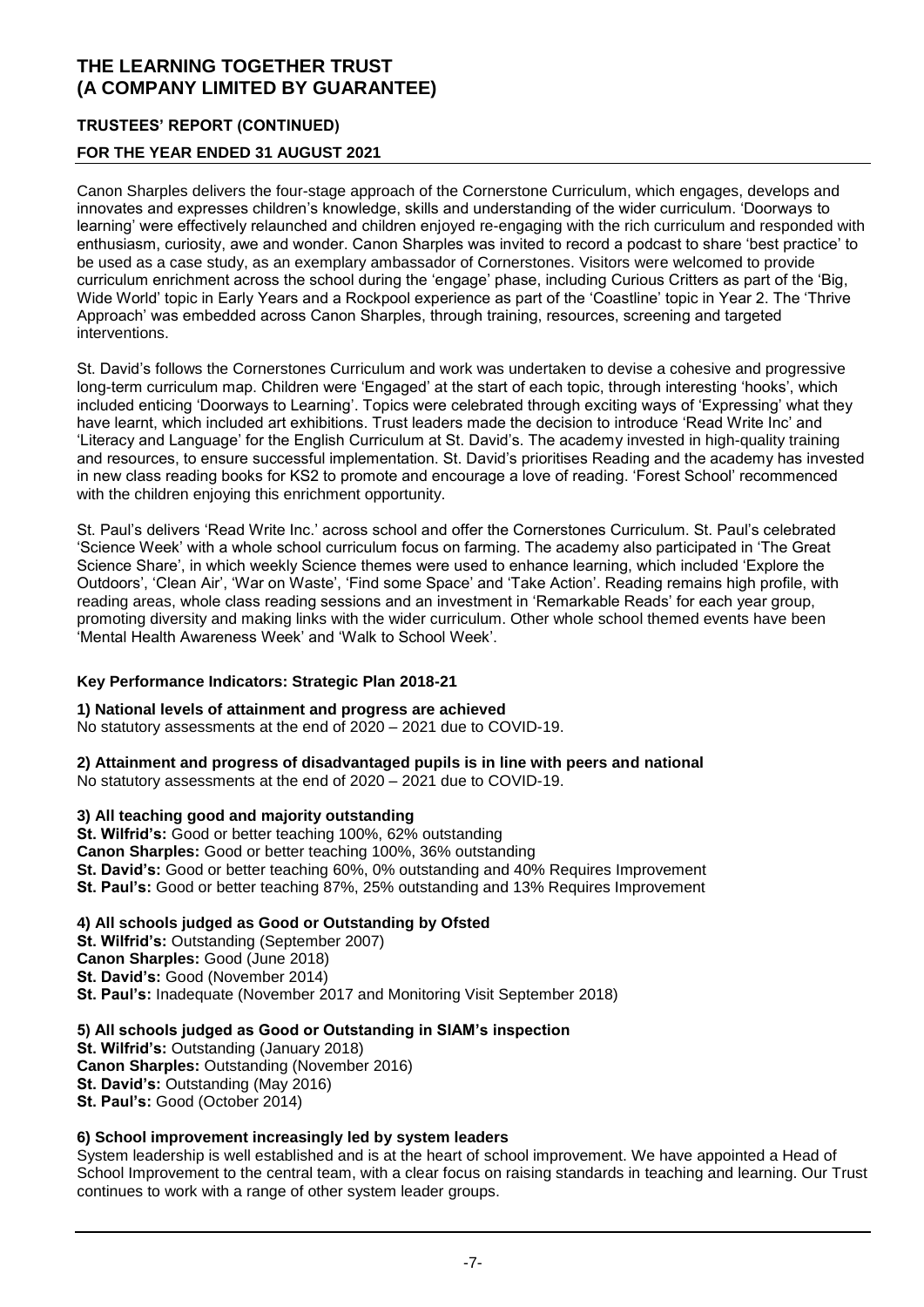### **TRUSTEES' REPORT (CONTINUED)**

### **FOR THE YEAR ENDED 31 AUGUST 2021**

Canon Sharples delivers the four-stage approach of the Cornerstone Curriculum, which engages, develops and innovates and expresses children's knowledge, skills and understanding of the wider curriculum. 'Doorways to learning' were effectively relaunched and children enjoyed re-engaging with the rich curriculum and responded with enthusiasm, curiosity, awe and wonder. Canon Sharples was invited to record a podcast to share 'best practice' to be used as a case study, as an exemplary ambassador of Cornerstones. Visitors were welcomed to provide curriculum enrichment across the school during the 'engage' phase, including Curious Critters as part of the 'Big, Wide World' topic in Early Years and a Rockpool experience as part of the 'Coastline' topic in Year 2. The 'Thrive Approach' was embedded across Canon Sharples, through training, resources, screening and targeted interventions.

St. David's follows the Cornerstones Curriculum and work was undertaken to devise a cohesive and progressive long-term curriculum map. Children were 'Engaged' at the start of each topic, through interesting 'hooks', which included enticing 'Doorways to Learning'. Topics were celebrated through exciting ways of 'Expressing' what they have learnt, which included art exhibitions. Trust leaders made the decision to introduce 'Read Write Inc' and 'Literacy and Language' for the English Curriculum at St. David's. The academy invested in high-quality training and resources, to ensure successful implementation. St. David's prioritises Reading and the academy has invested in new class reading books for KS2 to promote and encourage a love of reading. 'Forest School' recommenced with the children enjoying this enrichment opportunity.

St. Paul's delivers 'Read Write Inc.' across school and offer the Cornerstones Curriculum. St. Paul's celebrated 'Science Week' with a whole school curriculum focus on farming. The academy also participated in 'The Great Science Share', in which weekly Science themes were used to enhance learning, which included 'Explore the Outdoors', 'Clean Air', 'War on Waste', 'Find some Space' and 'Take Action'. Reading remains high profile, with reading areas, whole class reading sessions and an investment in 'Remarkable Reads' for each year group, promoting diversity and making links with the wider curriculum. Other whole school themed events have been 'Mental Health Awareness Week' and 'Walk to School Week'.

#### **Key Performance Indicators: Strategic Plan 2018-21**

#### **1) National levels of attainment and progress are achieved**

No statutory assessments at the end of 2020 – 2021 due to COVID-19.

**2) Attainment and progress of disadvantaged pupils is in line with peers and national** No statutory assessments at the end of 2020 – 2021 due to COVID-19.

### **3) All teaching good and majority outstanding**

**St. Wilfrid's:** Good or better teaching 100%, 62% outstanding **Canon Sharples:** Good or better teaching 100%, 36% outstanding **St. David's:** Good or better teaching 60%, 0% outstanding and 40% Requires Improvement **St. Paul's:** Good or better teaching 87%, 25% outstanding and 13% Requires Improvement

#### **4) All schools judged as Good or Outstanding by Ofsted**

**St. Wilfrid's:** Outstanding (September 2007) **Canon Sharples:** Good (June 2018) **St. David's:** Good (November 2014) **St. Paul's: Inadequate (November 2017 and Monitoring Visit September 2018)** 

### **5) All schools judged as Good or Outstanding in SIAM's inspection**

**St. Wilfrid's:** Outstanding (January 2018) **Canon Sharples:** Outstanding (November 2016) **St. David's:** Outstanding (May 2016) **St. Paul's:** Good (October 2014)

### **6) School improvement increasingly led by system leaders**

System leadership is well established and is at the heart of school improvement. We have appointed a Head of School Improvement to the central team, with a clear focus on raising standards in teaching and learning. Our Trust continues to work with a range of other system leader groups.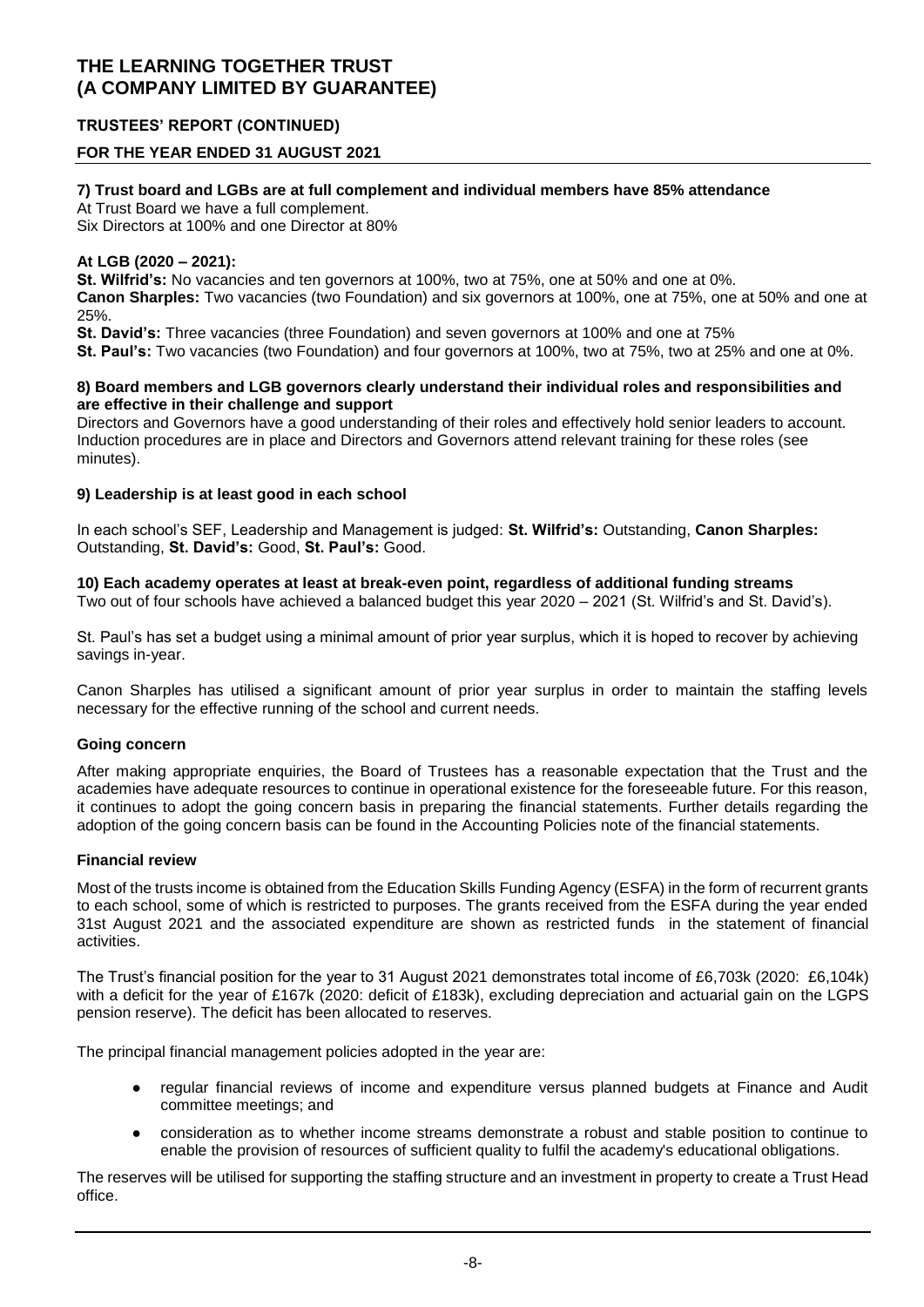### **TRUSTEES' REPORT (CONTINUED)**

### **FOR THE YEAR ENDED 31 AUGUST 2021**

#### **7) Trust board and LGBs are at full complement and individual members have 85% attendance**

At Trust Board we have a full complement.

Six Directors at 100% and one Director at 80%

#### **At LGB (2020 – 2021):**

**St. Wilfrid's:** No vacancies and ten governors at 100%, two at 75%, one at 50% and one at 0%.

**Canon Sharples:** Two vacancies (two Foundation) and six governors at 100%, one at 75%, one at 50% and one at 25%.

**St. David's:** Three vacancies (three Foundation) and seven governors at 100% and one at 75%

**St. Paul's:** Two vacancies (two Foundation) and four governors at 100%, two at 75%, two at 25% and one at 0%.

#### **8) Board members and LGB governors clearly understand their individual roles and responsibilities and are effective in their challenge and support**

Directors and Governors have a good understanding of their roles and effectively hold senior leaders to account. Induction procedures are in place and Directors and Governors attend relevant training for these roles (see minutes).

#### **9) Leadership is at least good in each school**

In each school's SEF, Leadership and Management is judged: **St. Wilfrid's:** Outstanding, **Canon Sharples:**  Outstanding, **St. David's:** Good, **St. Paul's:** Good.

#### **10) Each academy operates at least at break-even point, regardless of additional funding streams**

Two out of four schools have achieved a balanced budget this year 2020 – 2021 (St. Wilfrid's and St. David's).

St. Paul's has set a budget using a minimal amount of prior year surplus, which it is hoped to recover by achieving savings in-year.

Canon Sharples has utilised a significant amount of prior year surplus in order to maintain the staffing levels necessary for the effective running of the school and current needs.

#### **Going concern**

After making appropriate enquiries, the Board of Trustees has a reasonable expectation that the Trust and the academies have adequate resources to continue in operational existence for the foreseeable future. For this reason, it continues to adopt the going concern basis in preparing the financial statements. Further details regarding the adoption of the going concern basis can be found in the Accounting Policies note of the financial statements.

#### **Financial review**

Most of the trusts income is obtained from the Education Skills Funding Agency (ESFA) in the form of recurrent grants to each school, some of which is restricted to purposes. The grants received from the ESFA during the year ended 31st August 2021 and the associated expenditure are shown as restricted funds in the statement of financial activities.

The Trust's financial position for the year to 31 August 2021 demonstrates total income of £6,703k (2020: £6,104k) with a deficit for the year of £167k (2020: deficit of £183k), excluding depreciation and actuarial gain on the LGPS pension reserve). The deficit has been allocated to reserves.

The principal financial management policies adopted in the year are:

- regular financial reviews of income and expenditure versus planned budgets at Finance and Audit committee meetings; and
- consideration as to whether income streams demonstrate a robust and stable position to continue to enable the provision of resources of sufficient quality to fulfil the academy's educational obligations.

The reserves will be utilised for supporting the staffing structure and an investment in property to create a Trust Head office.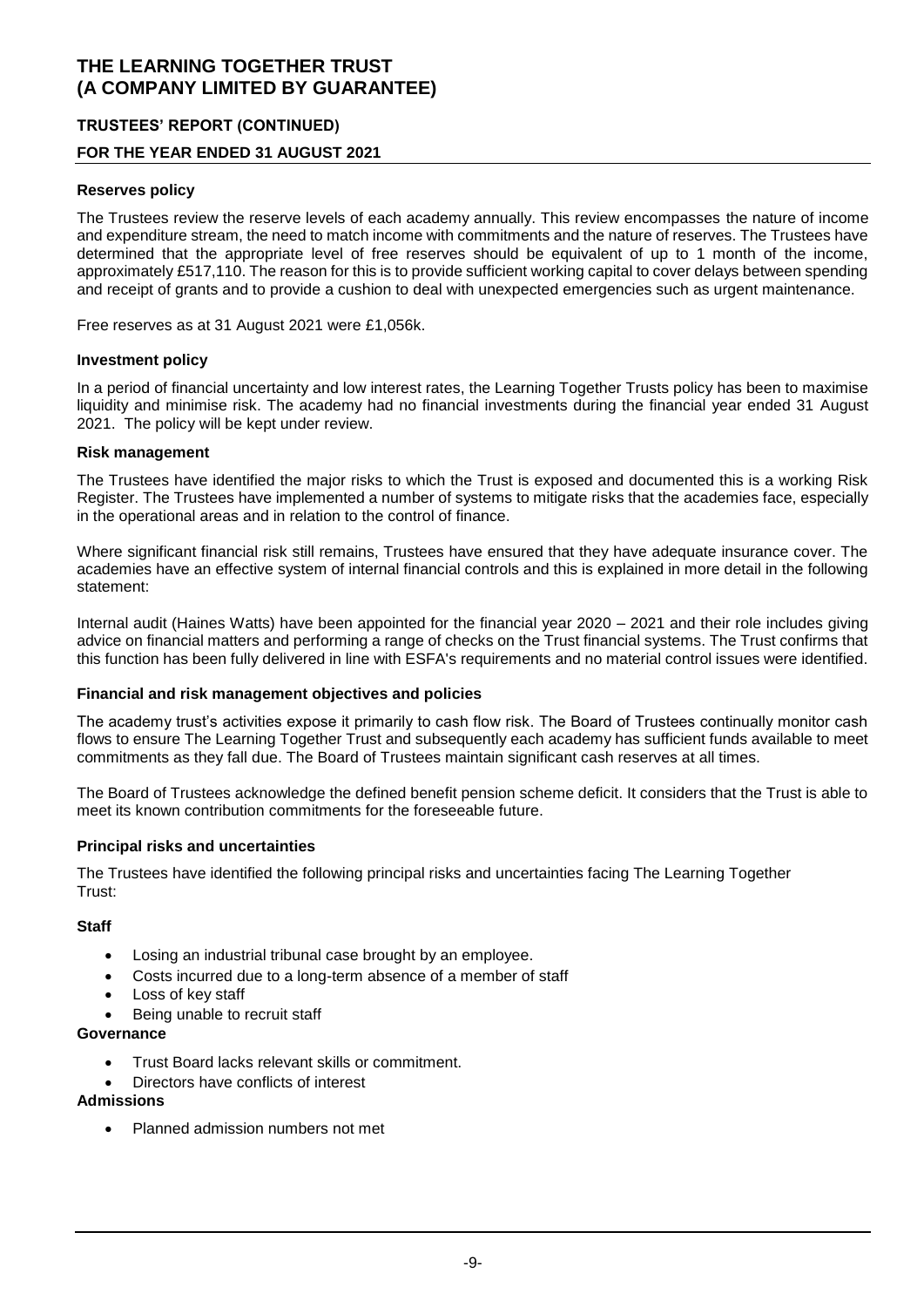### **TRUSTEES' REPORT (CONTINUED)**

### **FOR THE YEAR ENDED 31 AUGUST 2021**

#### **Reserves policy**

The Trustees review the reserve levels of each academy annually. This review encompasses the nature of income and expenditure stream, the need to match income with commitments and the nature of reserves. The Trustees have determined that the appropriate level of free reserves should be equivalent of up to 1 month of the income, approximately £517,110. The reason for this is to provide sufficient working capital to cover delays between spending and receipt of grants and to provide a cushion to deal with unexpected emergencies such as urgent maintenance.

Free reserves as at 31 August 2021 were £1,056k.

#### **Investment policy**

In a period of financial uncertainty and low interest rates, the Learning Together Trusts policy has been to maximise liquidity and minimise risk. The academy had no financial investments during the financial year ended 31 August 2021. The policy will be kept under review.

#### **Risk management**

The Trustees have identified the major risks to which the Trust is exposed and documented this is a working Risk Register. The Trustees have implemented a number of systems to mitigate risks that the academies face, especially in the operational areas and in relation to the control of finance.

Where significant financial risk still remains, Trustees have ensured that they have adequate insurance cover. The academies have an effective system of internal financial controls and this is explained in more detail in the following statement:

Internal audit (Haines Watts) have been appointed for the financial year 2020 – 2021 and their role includes giving advice on financial matters and performing a range of checks on the Trust financial systems. The Trust confirms that this function has been fully delivered in line with ESFA's requirements and no material control issues were identified.

#### **Financial and risk management objectives and policies**

The academy trust's activities expose it primarily to cash flow risk. The Board of Trustees continually monitor cash flows to ensure The Learning Together Trust and subsequently each academy has sufficient funds available to meet commitments as they fall due. The Board of Trustees maintain significant cash reserves at all times.

The Board of Trustees acknowledge the defined benefit pension scheme deficit. It considers that the Trust is able to meet its known contribution commitments for the foreseeable future.

#### **Principal risks and uncertainties**

The Trustees have identified the following principal risks and uncertainties facing The Learning Together Trust:

#### **Staff**

- Losing an industrial tribunal case brought by an employee.
- Costs incurred due to a long-term absence of a member of staff
- Loss of key staff
- Being unable to recruit staff

#### **Governance**

- Trust Board lacks relevant skills or commitment.
- Directors have conflicts of interest

### **Admissions**

Planned admission numbers not met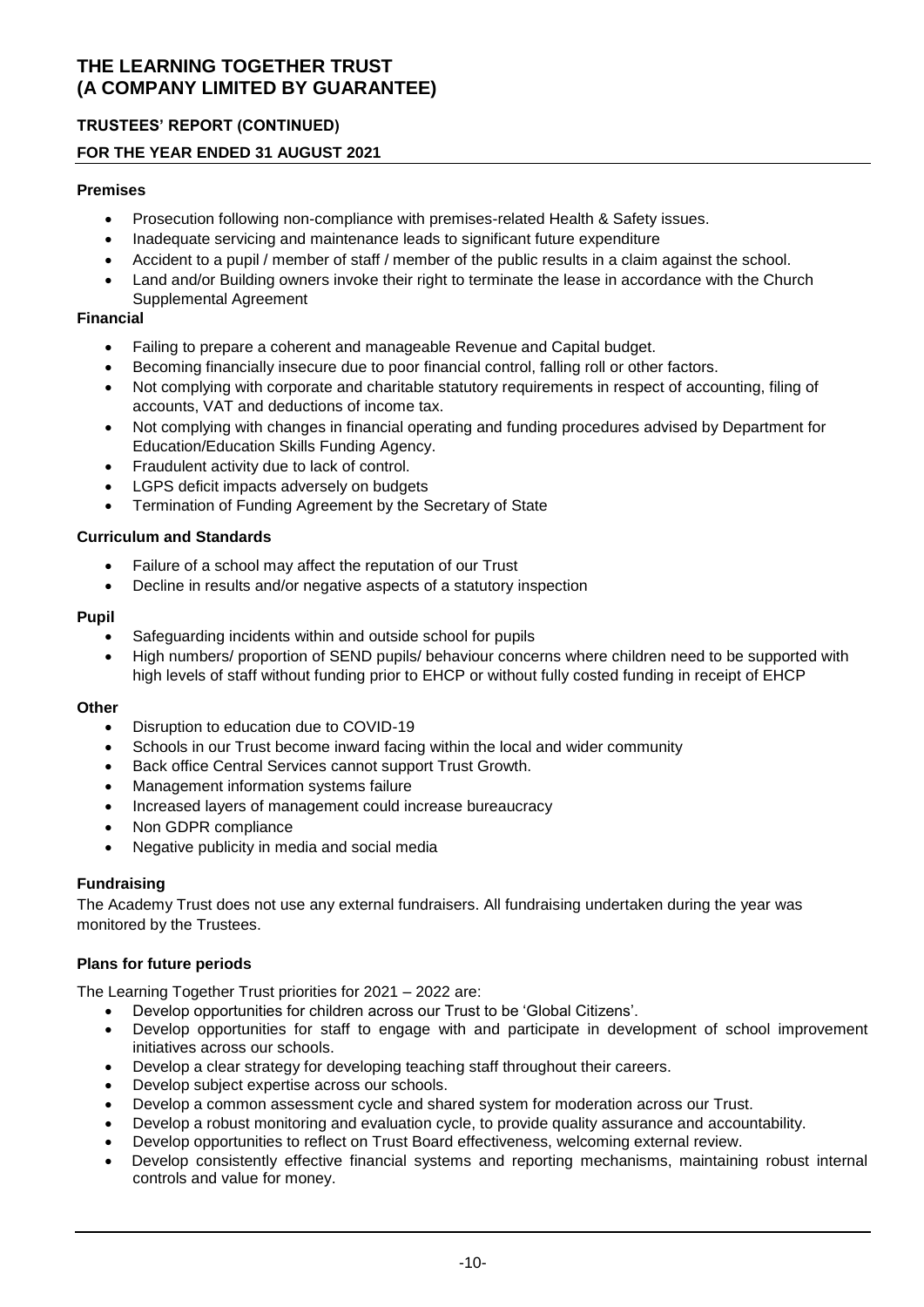# **TRUSTEES' REPORT (CONTINUED)**

### **FOR THE YEAR ENDED 31 AUGUST 2021**

#### **Premises**

- Prosecution following non-compliance with premises-related Health & Safety issues.
- Inadequate servicing and maintenance leads to significant future expenditure
- Accident to a pupil / member of staff / member of the public results in a claim against the school.
- Land and/or Building owners invoke their right to terminate the lease in accordance with the Church Supplemental Agreement

#### **Financial**

- Failing to prepare a coherent and manageable Revenue and Capital budget.
- Becoming financially insecure due to poor financial control, falling roll or other factors.
- Not complying with corporate and charitable statutory requirements in respect of accounting, filing of accounts, VAT and deductions of income tax.
- Not complying with changes in financial operating and funding procedures advised by Department for Education/Education Skills Funding Agency.
- Fraudulent activity due to lack of control.
- LGPS deficit impacts adversely on budgets
- Termination of Funding Agreement by the Secretary of State

### **Curriculum and Standards**

- Failure of a school may affect the reputation of our Trust
- Decline in results and/or negative aspects of a statutory inspection

#### **Pupil**

- Safeguarding incidents within and outside school for pupils
- High numbers/ proportion of SEND pupils/ behaviour concerns where children need to be supported with high levels of staff without funding prior to EHCP or without fully costed funding in receipt of EHCP

#### **Other**

- Disruption to education due to COVID-19
- Schools in our Trust become inward facing within the local and wider community
- Back office Central Services cannot support Trust Growth.
- Management information systems failure
- Increased layers of management could increase bureaucracy
- Non GDPR compliance
- Negative publicity in media and social media

#### **Fundraising**

The Academy Trust does not use any external fundraisers. All fundraising undertaken during the year was monitored by the Trustees.

#### **Plans for future periods**

The Learning Together Trust priorities for 2021 – 2022 are:

- Develop opportunities for children across our Trust to be 'Global Citizens'.
- Develop opportunities for staff to engage with and participate in development of school improvement initiatives across our schools.
- Develop a clear strategy for developing teaching staff throughout their careers.
- Develop subject expertise across our schools.
- Develop a common assessment cycle and shared system for moderation across our Trust.
- Develop a robust monitoring and evaluation cycle, to provide quality assurance and accountability.
- Develop opportunities to reflect on Trust Board effectiveness, welcoming external review.
- Develop consistently effective financial systems and reporting mechanisms, maintaining robust internal controls and value for money.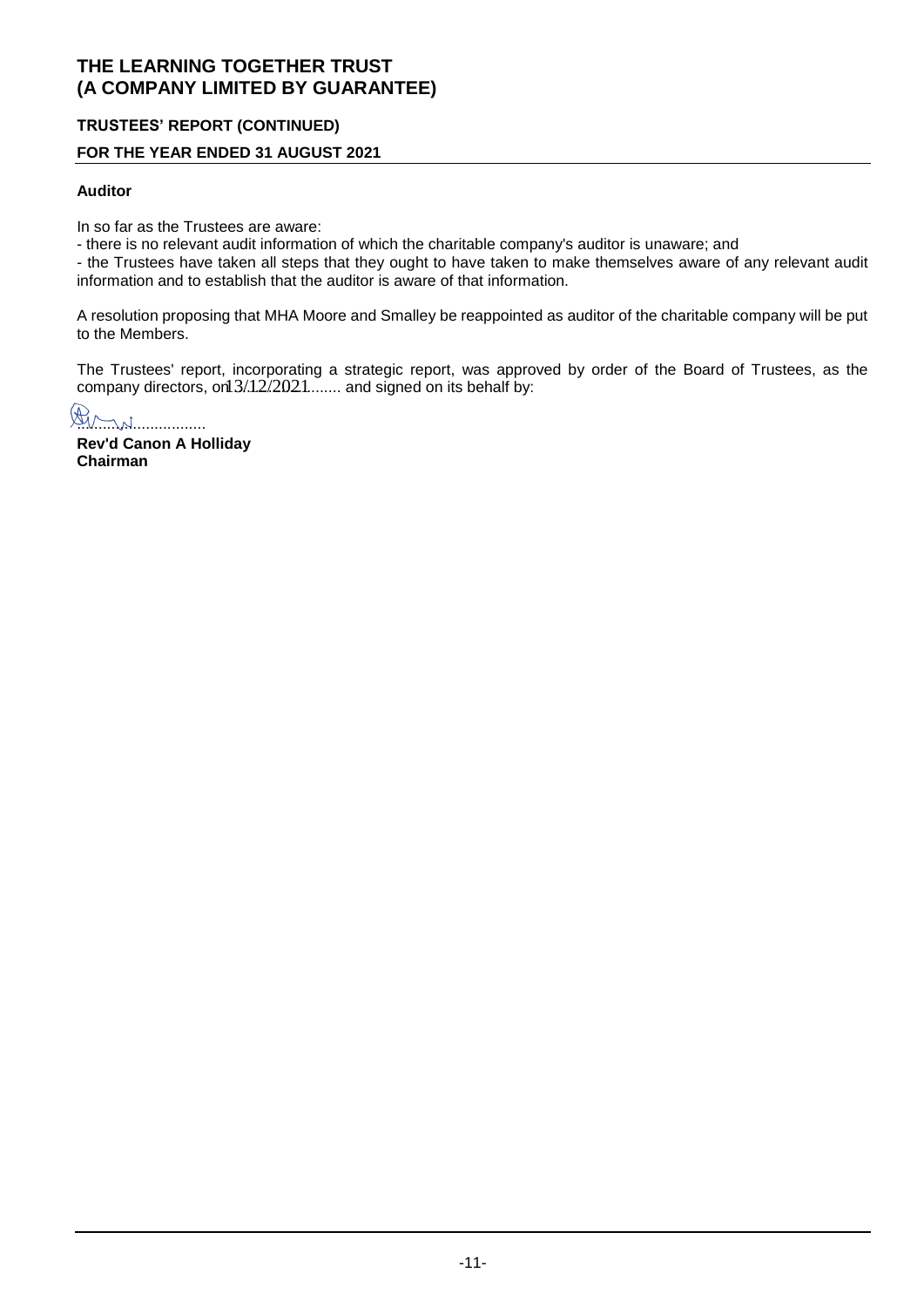### **TRUSTEES' REPORT (CONTINUED)**

### **FOR THE YEAR ENDED 31 AUGUST 2021**

#### **Auditor**

In so far as the Trustees are aware:

- there is no relevant audit information of which the charitable company's auditor is unaware; and

- the Trustees have taken all steps that they ought to have taken to make themselves aware of any relevant audit information and to establish that the auditor is aware of that information.

A resolution proposing that MHA Moore and Smalley be reappointed as auditor of the charitable company will be put to the Members.

The Trustees' report, incorporating a strategic report, was approved by order of the Board of Trustees, as the company directors, on  $3/12/2021$ ........ and signed on its behalf by:

Am

**Rev'd Canon A Holliday Chairman**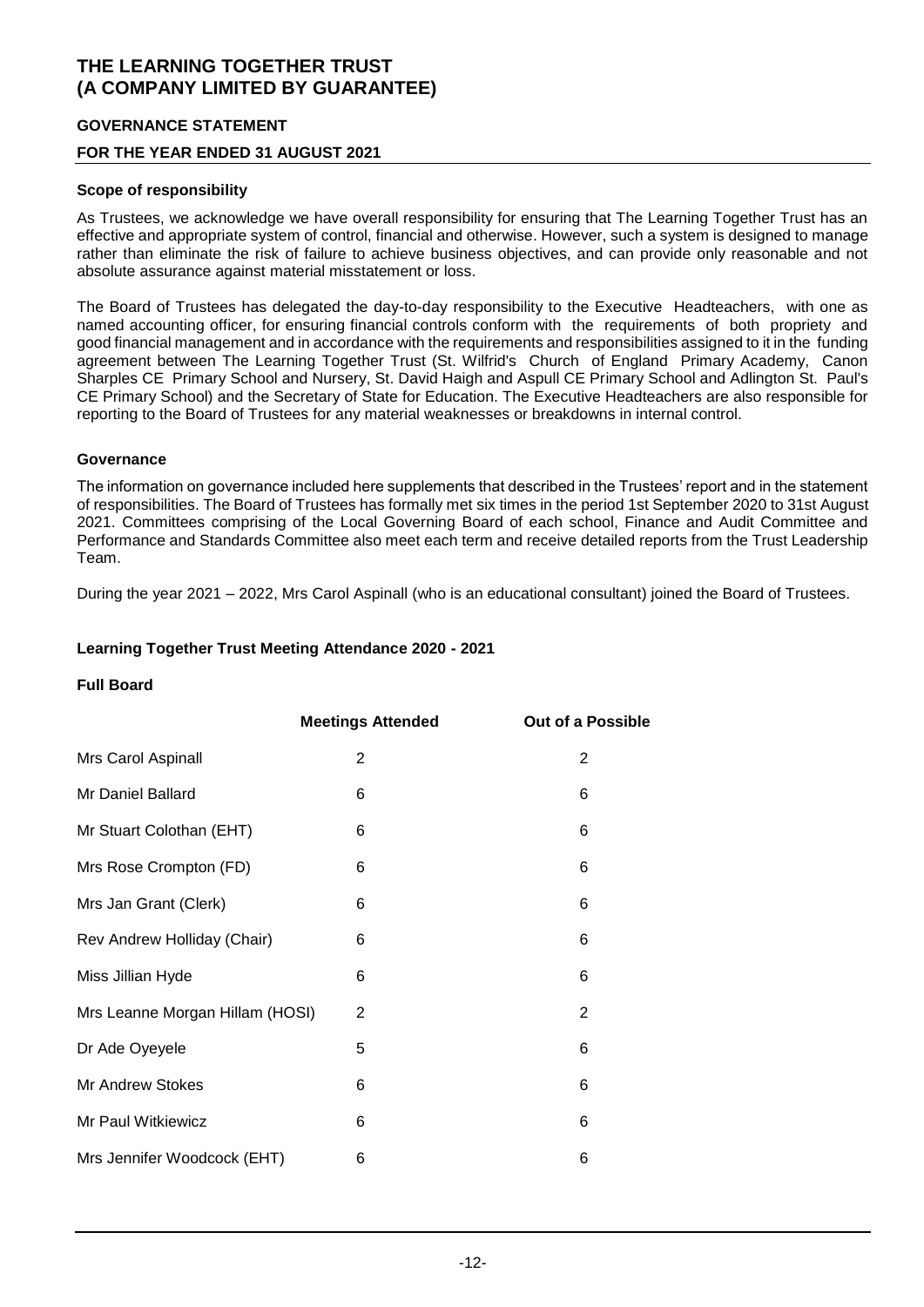### **GOVERNANCE STATEMENT**

### **FOR THE YEAR ENDED 31 AUGUST 2021**

#### **Scope of responsibility**

As Trustees, we acknowledge we have overall responsibility for ensuring that The Learning Together Trust has an effective and appropriate system of control, financial and otherwise. However, such a system is designed to manage rather than eliminate the risk of failure to achieve business objectives, and can provide only reasonable and not absolute assurance against material misstatement or loss.

The Board of Trustees has delegated the day-to-day responsibility to the Executive Headteachers, with one as named accounting officer, for ensuring financial controls conform with the requirements of both propriety and good financial management and in accordance with the requirements and responsibilities assigned to it in the funding agreement between The Learning Together Trust (St. Wilfrid's Church of England Primary Academy, Canon Sharples CE Primary School and Nursery, St. David Haigh and Aspull CE Primary School and Adlington St. Paul's CE Primary School) and the Secretary of State for Education. The Executive Headteachers are also responsible for reporting to the Board of Trustees for any material weaknesses or breakdowns in internal control.

#### **Governance**

The information on governance included here supplements that described in the Trustees' report and in the statement of responsibilities. The Board of Trustees has formally met six times in the period 1st September 2020 to 31st August 2021. Committees comprising of the Local Governing Board of each school, Finance and Audit Committee and Performance and Standards Committee also meet each term and receive detailed reports from the Trust Leadership Team.

During the year 2021 – 2022, Mrs Carol Aspinall (who is an educational consultant) joined the Board of Trustees.

#### **Learning Together Trust Meeting Attendance 2020 - 2021**

#### **Full Board**

|                                 | <b>Meetings Attended</b> | <b>Out of a Possible</b> |
|---------------------------------|--------------------------|--------------------------|
| Mrs Carol Aspinall              | 2                        | 2                        |
| Mr Daniel Ballard               | 6                        | 6                        |
| Mr Stuart Colothan (EHT)        | 6                        | 6                        |
| Mrs Rose Crompton (FD)          | 6                        | 6                        |
| Mrs Jan Grant (Clerk)           | 6                        | 6                        |
| Rev Andrew Holliday (Chair)     | 6                        | 6                        |
| Miss Jillian Hyde               | 6                        | 6                        |
| Mrs Leanne Morgan Hillam (HOSI) | 2                        | $\overline{2}$           |
| Dr Ade Oyeyele                  | 5                        | 6                        |
| Mr Andrew Stokes                | 6                        | 6                        |
| Mr Paul Witkiewicz              | 6                        | 6                        |
| Mrs Jennifer Woodcock (EHT)     | 6                        | 6                        |
|                                 |                          |                          |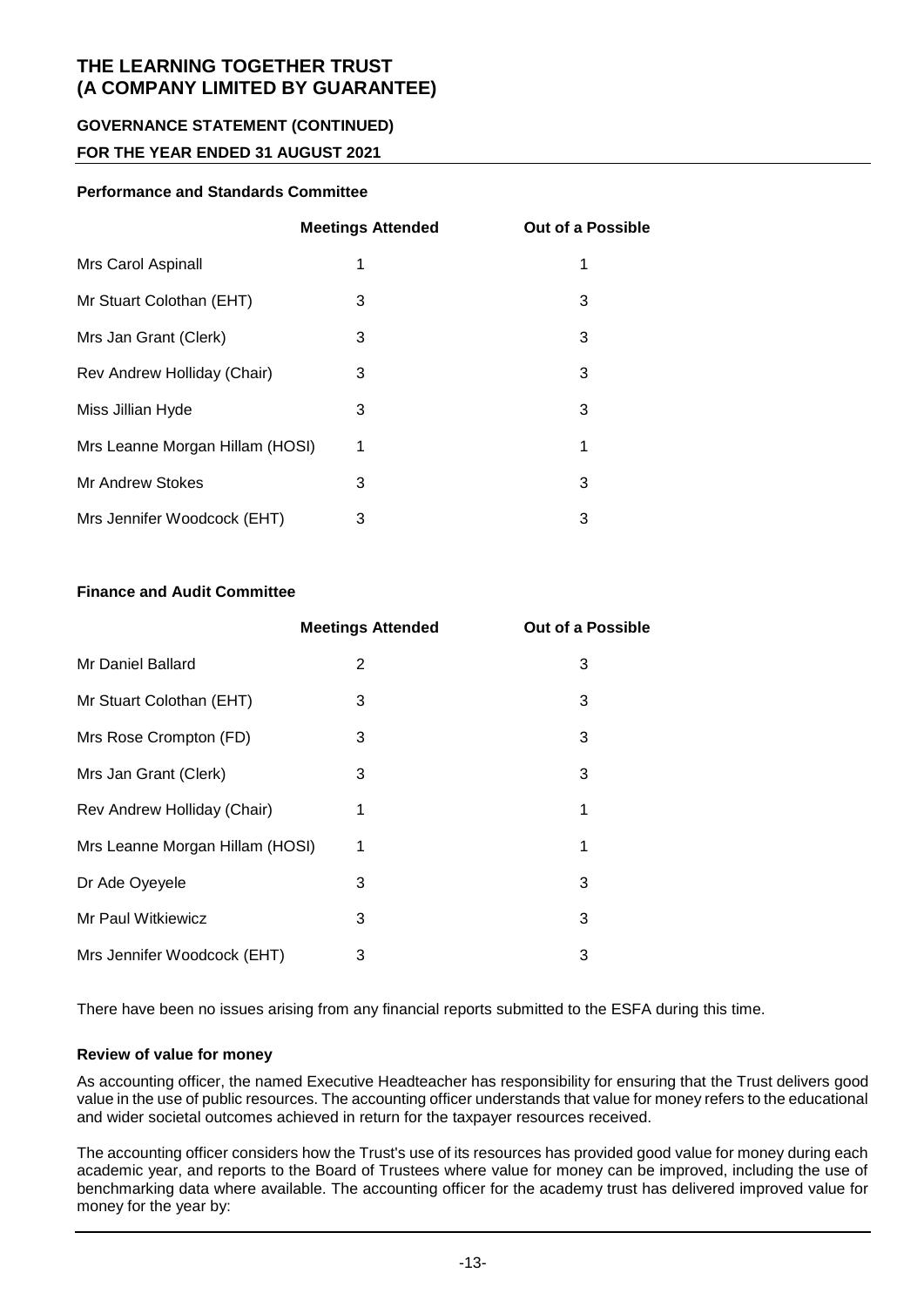### **GOVERNANCE STATEMENT (CONTINUED)**

### **FOR THE YEAR ENDED 31 AUGUST 2021**

### **Performance and Standards Committee**

|                                 | <b>Meetings Attended</b> | <b>Out of a Possible</b> |
|---------------------------------|--------------------------|--------------------------|
| Mrs Carol Aspinall              | 1                        | 1                        |
| Mr Stuart Colothan (EHT)        | 3                        | 3                        |
| Mrs Jan Grant (Clerk)           | 3                        | 3                        |
| Rev Andrew Holliday (Chair)     | 3                        | 3                        |
| Miss Jillian Hyde               | 3                        | 3                        |
| Mrs Leanne Morgan Hillam (HOSI) | 1                        | 1                        |
| Mr Andrew Stokes                | 3                        | 3                        |
| Mrs Jennifer Woodcock (EHT)     | 3                        | 3                        |

### **Finance and Audit Committee**

|                                 | <b>Meetings Attended</b> | <b>Out of a Possible</b> |
|---------------------------------|--------------------------|--------------------------|
| Mr Daniel Ballard               | 2                        | 3                        |
| Mr Stuart Colothan (EHT)        | 3                        | 3                        |
| Mrs Rose Crompton (FD)          | 3                        | 3                        |
| Mrs Jan Grant (Clerk)           | 3                        | 3                        |
| Rev Andrew Holliday (Chair)     | 1                        | 1                        |
| Mrs Leanne Morgan Hillam (HOSI) | 1                        | 1                        |
| Dr Ade Oyeyele                  | 3                        | 3                        |
| Mr Paul Witkiewicz              | 3                        | 3                        |
| Mrs Jennifer Woodcock (EHT)     | 3                        | 3                        |

There have been no issues arising from any financial reports submitted to the ESFA during this time.

#### **Review of value for money**

As accounting officer, the named Executive Headteacher has responsibility for ensuring that the Trust delivers good value in the use of public resources. The accounting officer understands that value for money refers to the educational and wider societal outcomes achieved in return for the taxpayer resources received.

The accounting officer considers how the Trust's use of its resources has provided good value for money during each academic year, and reports to the Board of Trustees where value for money can be improved, including the use of benchmarking data where available. The accounting officer for the academy trust has delivered improved value for money for the year by: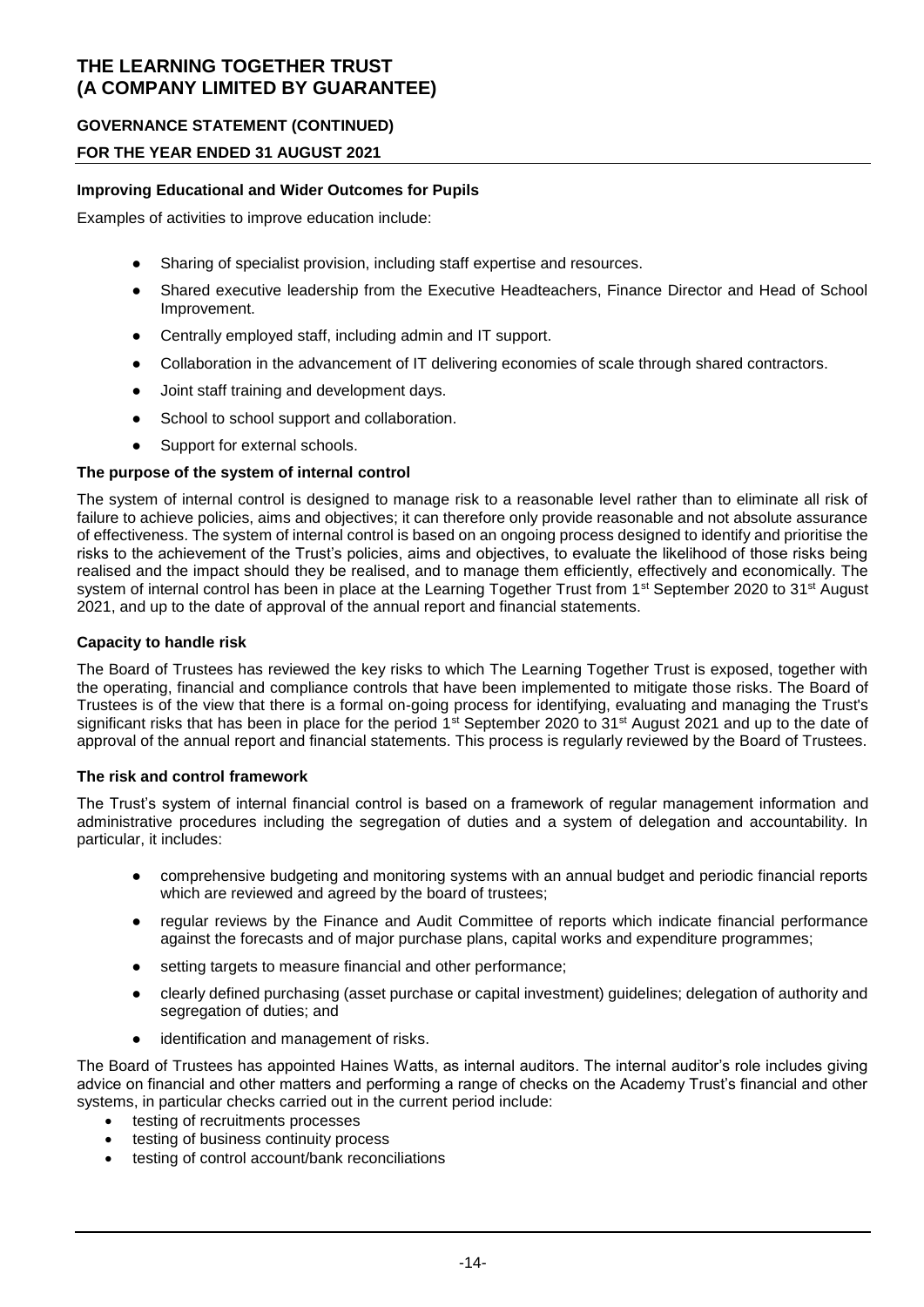### **GOVERNANCE STATEMENT (CONTINUED)**

### **FOR THE YEAR ENDED 31 AUGUST 2021**

#### **Improving Educational and Wider Outcomes for Pupils**

Examples of activities to improve education include:

- Sharing of specialist provision, including staff expertise and resources.
- Shared executive leadership from the Executive Headteachers, Finance Director and Head of School Improvement.
- Centrally employed staff, including admin and IT support.
- Collaboration in the advancement of IT delivering economies of scale through shared contractors.
- Joint staff training and development days.
- School to school support and collaboration.
- Support for external schools.

#### **The purpose of the system of internal control**

The system of internal control is designed to manage risk to a reasonable level rather than to eliminate all risk of failure to achieve policies, aims and objectives; it can therefore only provide reasonable and not absolute assurance of effectiveness. The system of internal control is based on an ongoing process designed to identify and prioritise the risks to the achievement of the Trust's policies, aims and objectives, to evaluate the likelihood of those risks being realised and the impact should they be realised, and to manage them efficiently, effectively and economically. The system of internal control has been in place at the Learning Together Trust from 1<sup>st</sup> September 2020 to 31<sup>st</sup> August 2021, and up to the date of approval of the annual report and financial statements.

#### **Capacity to handle risk**

The Board of Trustees has reviewed the key risks to which The Learning Together Trust is exposed, together with the operating, financial and compliance controls that have been implemented to mitigate those risks. The Board of Trustees is of the view that there is a formal on-going process for identifying, evaluating and managing the Trust's significant risks that has been in place for the period 1<sup>st</sup> September 2020 to 31<sup>st</sup> August 2021 and up to the date of approval of the annual report and financial statements. This process is regularly reviewed by the Board of Trustees.

#### **The risk and control framework**

The Trust's system of internal financial control is based on a framework of regular management information and administrative procedures including the segregation of duties and a system of delegation and accountability. In particular, it includes:

- comprehensive budgeting and monitoring systems with an annual budget and periodic financial reports which are reviewed and agreed by the board of trustees:
- regular reviews by the Finance and Audit Committee of reports which indicate financial performance against the forecasts and of major purchase plans, capital works and expenditure programmes;
- setting targets to measure financial and other performance;
- clearly defined purchasing (asset purchase or capital investment) guidelines; delegation of authority and segregation of duties; and
- identification and management of risks.

The Board of Trustees has appointed Haines Watts, as internal auditors. The internal auditor's role includes giving advice on financial and other matters and performing a range of checks on the Academy Trust's financial and other systems, in particular checks carried out in the current period include:

- testing of recruitments processes
- testing of business continuity process
- testing of control account/bank reconciliations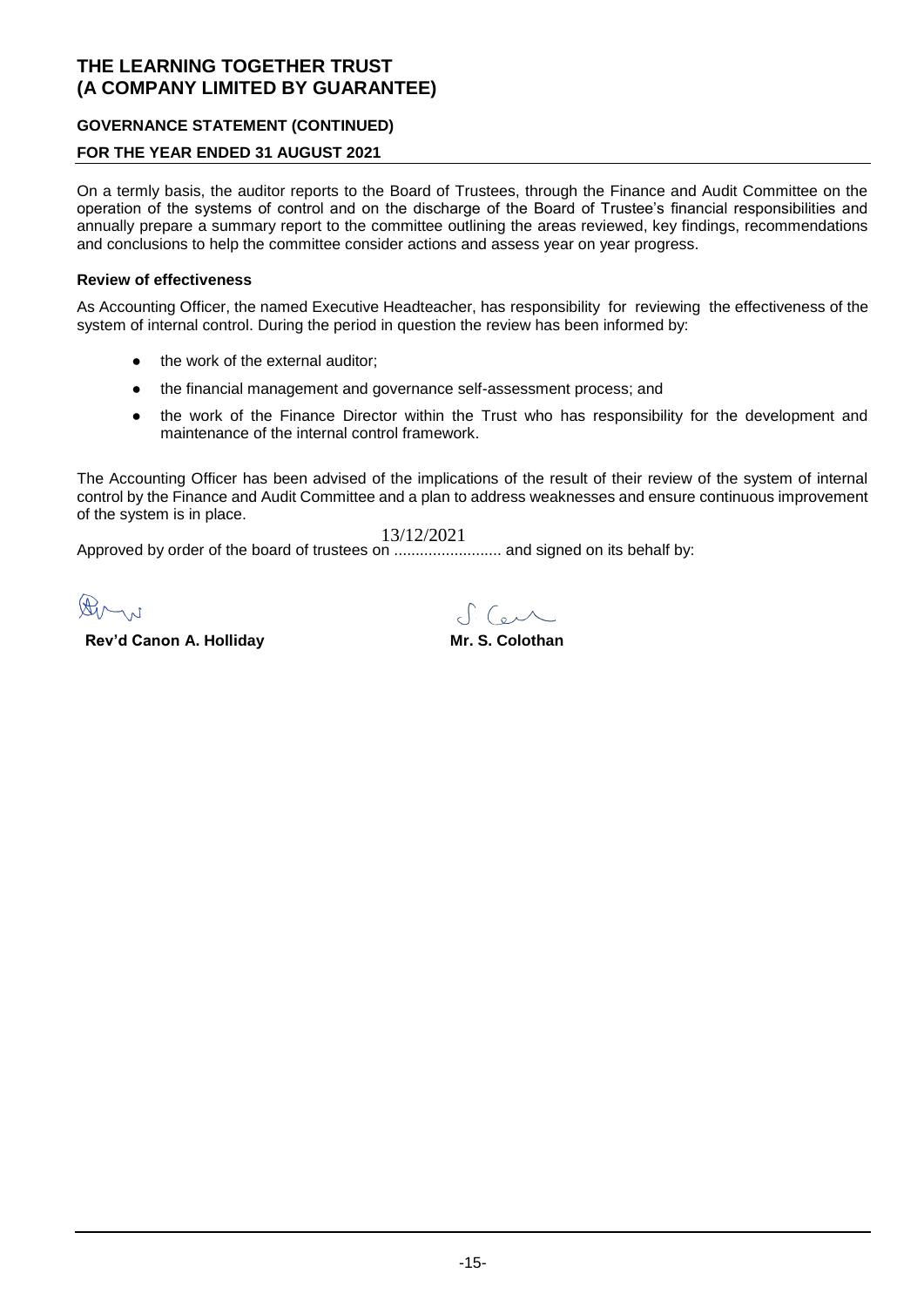### **GOVERNANCE STATEMENT (CONTINUED)**

### **FOR THE YEAR ENDED 31 AUGUST 2021**

On a termly basis, the auditor reports to the Board of Trustees, through the Finance and Audit Committee on the operation of the systems of control and on the discharge of the Board of Trustee's financial responsibilities and annually prepare a summary report to the committee outlining the areas reviewed, key findings, recommendations and conclusions to help the committee consider actions and assess year on year progress.

#### **Review of effectiveness**

As Accounting Officer, the named Executive Headteacher, has responsibility for reviewing the effectiveness of the system of internal control. During the period in question the review has been informed by:

- the work of the external auditor;
- the financial management and governance self-assessment process; and
- the work of the Finance Director within the Trust who has responsibility for the development and maintenance of the internal control framework.

The Accounting Officer has been advised of the implications of the result of their review of the system of internal control by the Finance and Audit Committee and a plan to address weaknesses and ensure continuous improvement of the system is in place.

Approved by order of the board of trustees on ......................... and signed on its behalf by: 13/12/2021

 $\bigoplus_{\mathcal{M}}$ 

**Rev'd Canon A. Holliday Mr. S. Colothan** 

 $TC_{\alpha}$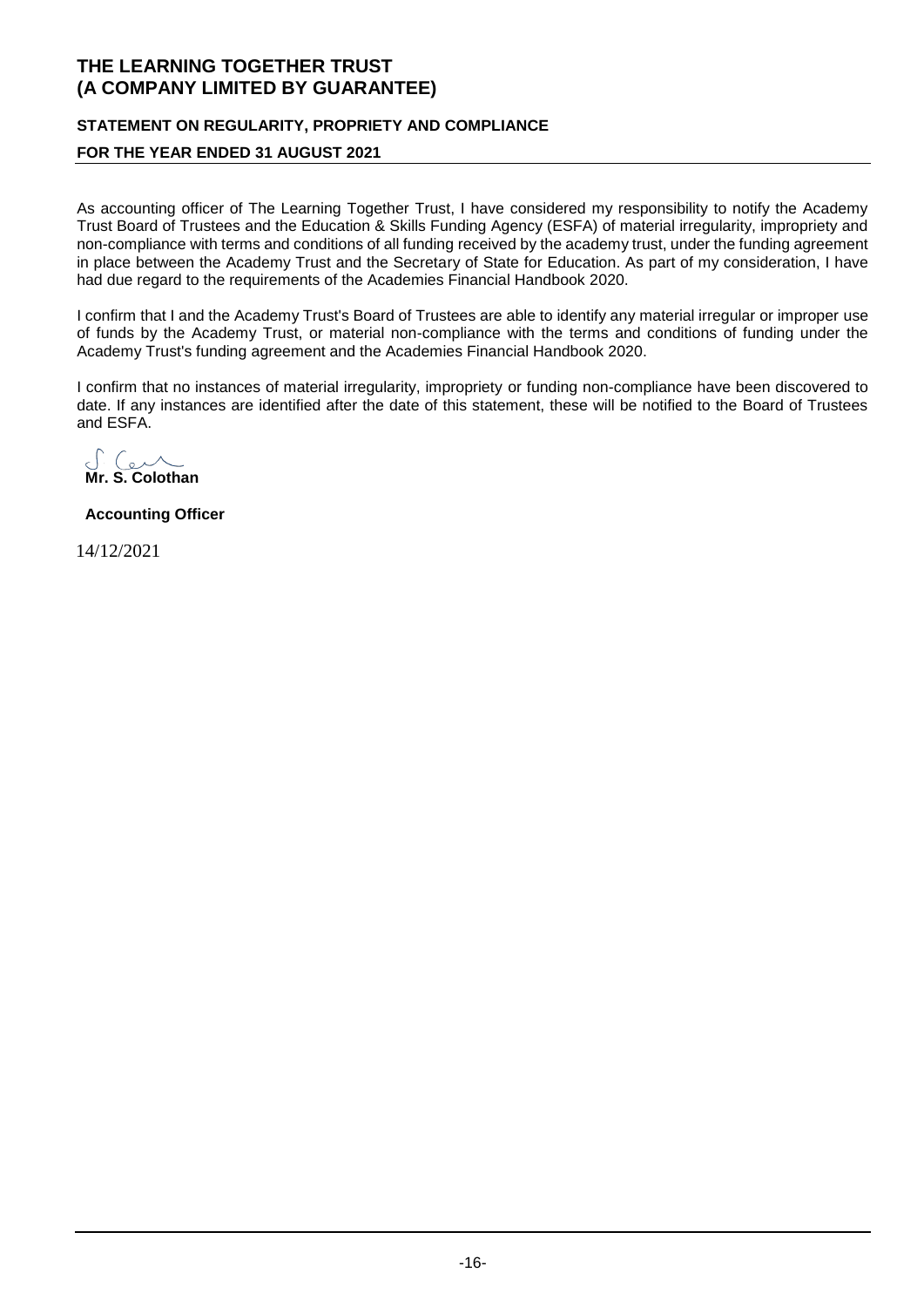# **STATEMENT ON REGULARITY, PROPRIETY AND COMPLIANCE**

### **FOR THE YEAR ENDED 31 AUGUST 2021**

As accounting officer of The Learning Together Trust, I have considered my responsibility to notify the Academy Trust Board of Trustees and the Education & Skills Funding Agency (ESFA) of material irregularity, impropriety and non-compliance with terms and conditions of all funding received by the academy trust, under the funding agreement in place between the Academy Trust and the Secretary of State for Education. As part of my consideration, I have had due regard to the requirements of the Academies Financial Handbook 2020.

I confirm that I and the Academy Trust's Board of Trustees are able to identify any material irregular or improper use of funds by the Academy Trust, or material non-compliance with the terms and conditions of funding under the Academy Trust's funding agreement and the Academies Financial Handbook 2020.

I confirm that no instances of material irregularity, impropriety or funding non-compliance have been discovered to date. If any instances are identified after the date of this statement, these will be notified to the Board of Trustees and ESFA.

**Mr. S. Colothan**

**Accounting Officer**

14/12/2021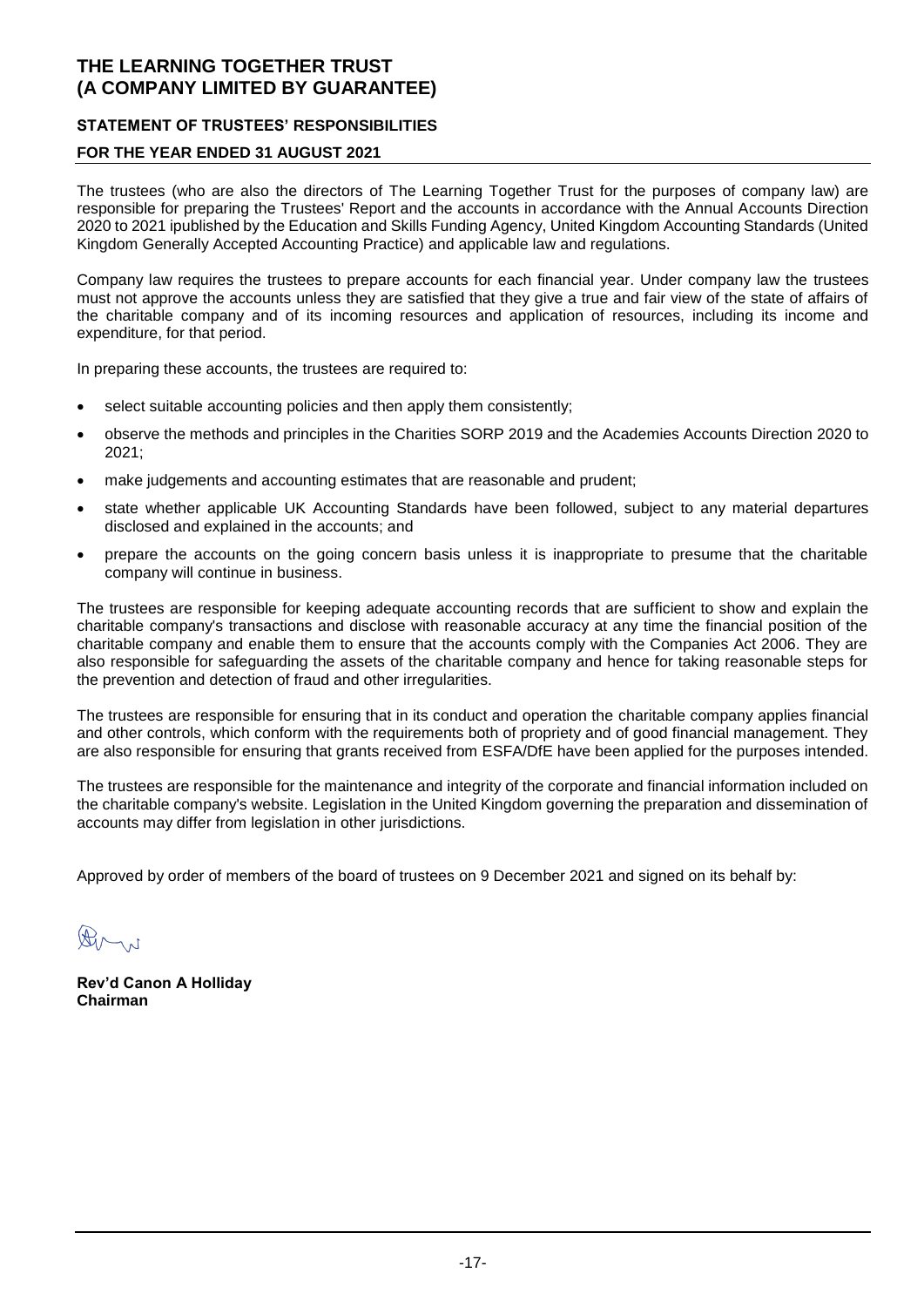### **STATEMENT OF TRUSTEES' RESPONSIBILITIES**

### **FOR THE YEAR ENDED 31 AUGUST 2021**

The trustees (who are also the directors of The Learning Together Trust for the purposes of company law) are responsible for preparing the Trustees' Report and the accounts in accordance with the Annual Accounts Direction 2020 to 2021 ipublished by the Education and Skills Funding Agency, United Kingdom Accounting Standards (United Kingdom Generally Accepted Accounting Practice) and applicable law and regulations.

Company law requires the trustees to prepare accounts for each financial year. Under company law the trustees must not approve the accounts unless they are satisfied that they give a true and fair view of the state of affairs of the charitable company and of its incoming resources and application of resources, including its income and expenditure, for that period.

In preparing these accounts, the trustees are required to:

- select suitable accounting policies and then apply them consistently;
- observe the methods and principles in the Charities SORP 2019 and the Academies Accounts Direction 2020 to 2021;
- make judgements and accounting estimates that are reasonable and prudent;
- state whether applicable UK Accounting Standards have been followed, subject to any material departures disclosed and explained in the accounts; and
- prepare the accounts on the going concern basis unless it is inappropriate to presume that the charitable company will continue in business.

The trustees are responsible for keeping adequate accounting records that are sufficient to show and explain the charitable company's transactions and disclose with reasonable accuracy at any time the financial position of the charitable company and enable them to ensure that the accounts comply with the Companies Act 2006. They are also responsible for safeguarding the assets of the charitable company and hence for taking reasonable steps for the prevention and detection of fraud and other irregularities.

The trustees are responsible for ensuring that in its conduct and operation the charitable company applies financial and other controls, which conform with the requirements both of propriety and of good financial management. They are also responsible for ensuring that grants received from ESFA/DfE have been applied for the purposes intended.

The trustees are responsible for the maintenance and integrity of the corporate and financial information included on the charitable company's website. Legislation in the United Kingdom governing the preparation and dissemination of accounts may differ from legislation in other jurisdictions.

Approved by order of members of the board of trustees on 9 December 2021 and signed on its behalf by:

 $\bigoplus_{n=1}^{\infty}$ 

**Rev'd Canon A Holliday Chairman**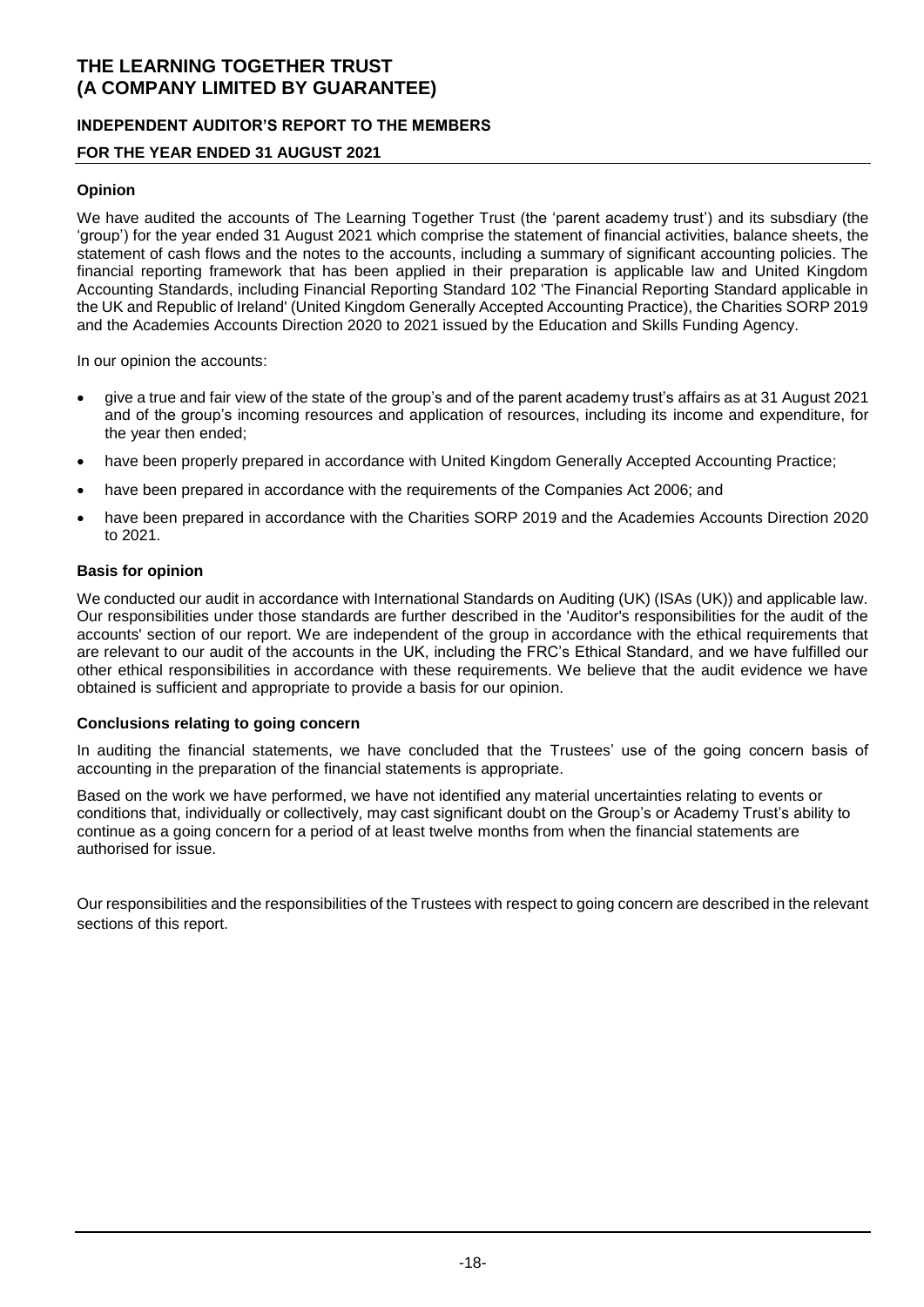### **INDEPENDENT AUDITOR'S REPORT TO THE MEMBERS**

### **FOR THE YEAR ENDED 31 AUGUST 2021**

#### **Opinion**

We have audited the accounts of The Learning Together Trust (the 'parent academy trust') and its subsdiary (the 'group') for the year ended 31 August 2021 which comprise the statement of financial activities, balance sheets, the statement of cash flows and the notes to the accounts, including a summary of significant accounting policies. The financial reporting framework that has been applied in their preparation is applicable law and United Kingdom Accounting Standards, including Financial Reporting Standard 102 'The Financial Reporting Standard applicable in the UK and Republic of Ireland' (United Kingdom Generally Accepted Accounting Practice), the Charities SORP 2019 and the Academies Accounts Direction 2020 to 2021 issued by the Education and Skills Funding Agency.

In our opinion the accounts:

- give a true and fair view of the state of the group's and of the parent academy trust's affairs as at 31 August 2021 and of the group's incoming resources and application of resources, including its income and expenditure, for the year then ended;
- have been properly prepared in accordance with United Kingdom Generally Accepted Accounting Practice;
- have been prepared in accordance with the requirements of the Companies Act 2006; and
- have been prepared in accordance with the Charities SORP 2019 and the Academies Accounts Direction 2020 to 2021.

#### **Basis for opinion**

We conducted our audit in accordance with International Standards on Auditing (UK) (ISAs (UK)) and applicable law. Our responsibilities under those standards are further described in the 'Auditor's responsibilities for the audit of the accounts' section of our report. We are independent of the group in accordance with the ethical requirements that are relevant to our audit of the accounts in the UK, including the FRC's Ethical Standard, and we have fulfilled our other ethical responsibilities in accordance with these requirements. We believe that the audit evidence we have obtained is sufficient and appropriate to provide a basis for our opinion.

#### **Conclusions relating to going concern**

In auditing the financial statements, we have concluded that the Trustees' use of the going concern basis of accounting in the preparation of the financial statements is appropriate.

Based on the work we have performed, we have not identified any material uncertainties relating to events or conditions that, individually or collectively, may cast significant doubt on the Group's or Academy Trust's ability to continue as a going concern for a period of at least twelve months from when the financial statements are authorised for issue.

Our responsibilities and the responsibilities of the Trustees with respect to going concern are described in the relevant sections of this report.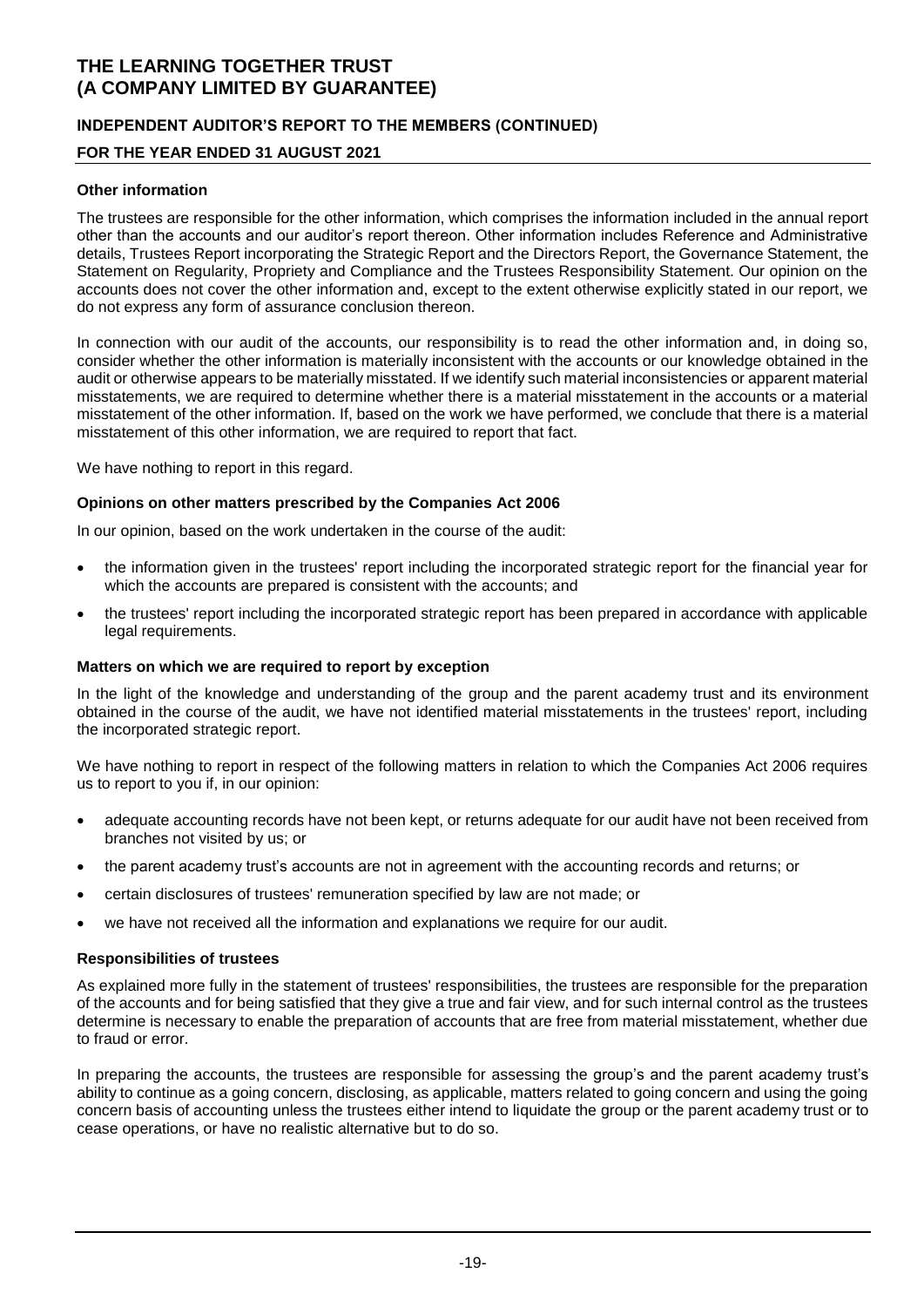### **INDEPENDENT AUDITOR'S REPORT TO THE MEMBERS (CONTINUED)**

### **FOR THE YEAR ENDED 31 AUGUST 2021**

#### **Other information**

The trustees are responsible for the other information, which comprises the information included in the annual report other than the accounts and our auditor's report thereon. Other information includes Reference and Administrative details, Trustees Report incorporating the Strategic Report and the Directors Report, the Governance Statement, the Statement on Regularity, Propriety and Compliance and the Trustees Responsibility Statement. Our opinion on the accounts does not cover the other information and, except to the extent otherwise explicitly stated in our report, we do not express any form of assurance conclusion thereon.

In connection with our audit of the accounts, our responsibility is to read the other information and, in doing so, consider whether the other information is materially inconsistent with the accounts or our knowledge obtained in the audit or otherwise appears to be materially misstated. If we identify such material inconsistencies or apparent material misstatements, we are required to determine whether there is a material misstatement in the accounts or a material misstatement of the other information. If, based on the work we have performed, we conclude that there is a material misstatement of this other information, we are required to report that fact.

We have nothing to report in this regard.

#### **Opinions on other matters prescribed by the Companies Act 2006**

In our opinion, based on the work undertaken in the course of the audit:

- the information given in the trustees' report including the incorporated strategic report for the financial year for which the accounts are prepared is consistent with the accounts; and
- the trustees' report including the incorporated strategic report has been prepared in accordance with applicable legal requirements.

#### **Matters on which we are required to report by exception**

In the light of the knowledge and understanding of the group and the parent academy trust and its environment obtained in the course of the audit, we have not identified material misstatements in the trustees' report, including the incorporated strategic report.

We have nothing to report in respect of the following matters in relation to which the Companies Act 2006 requires us to report to you if, in our opinion:

- adequate accounting records have not been kept, or returns adequate for our audit have not been received from branches not visited by us; or
- the parent academy trust's accounts are not in agreement with the accounting records and returns; or
- certain disclosures of trustees' remuneration specified by law are not made; or
- we have not received all the information and explanations we require for our audit.

#### **Responsibilities of trustees**

As explained more fully in the statement of trustees' responsibilities, the trustees are responsible for the preparation of the accounts and for being satisfied that they give a true and fair view, and for such internal control as the trustees determine is necessary to enable the preparation of accounts that are free from material misstatement, whether due to fraud or error.

In preparing the accounts, the trustees are responsible for assessing the group's and the parent academy trust's ability to continue as a going concern, disclosing, as applicable, matters related to going concern and using the going concern basis of accounting unless the trustees either intend to liquidate the group or the parent academy trust or to cease operations, or have no realistic alternative but to do so.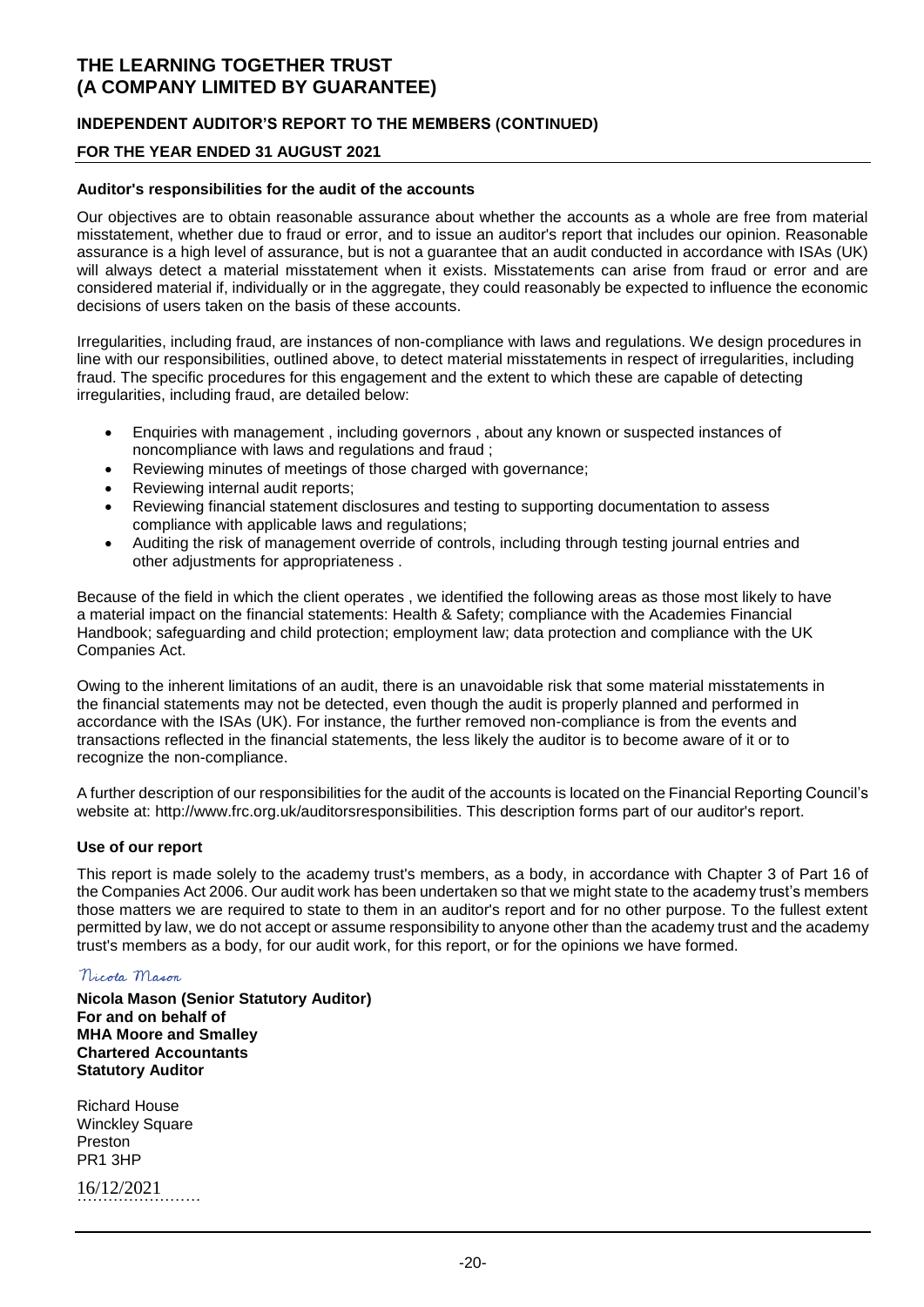### **INDEPENDENT AUDITOR'S REPORT TO THE MEMBERS (CONTINUED)**

### **FOR THE YEAR ENDED 31 AUGUST 2021**

#### **Auditor's responsibilities for the audit of the accounts**

Our objectives are to obtain reasonable assurance about whether the accounts as a whole are free from material misstatement, whether due to fraud or error, and to issue an auditor's report that includes our opinion. Reasonable assurance is a high level of assurance, but is not a guarantee that an audit conducted in accordance with ISAs (UK) will always detect a material misstatement when it exists. Misstatements can arise from fraud or error and are considered material if, individually or in the aggregate, they could reasonably be expected to influence the economic decisions of users taken on the basis of these accounts.

Irregularities, including fraud, are instances of non-compliance with laws and regulations. We design procedures in line with our responsibilities, outlined above, to detect material misstatements in respect of irregularities, including fraud. The specific procedures for this engagement and the extent to which these are capable of detecting irregularities, including fraud, are detailed below:

- Enquiries with management , including governors , about any known or suspected instances of noncompliance with laws and regulations and fraud ;
- Reviewing minutes of meetings of those charged with governance;
- Reviewing internal audit reports;
- Reviewing financial statement disclosures and testing to supporting documentation to assess compliance with applicable laws and regulations;
- Auditing the risk of management override of controls, including through testing journal entries and other adjustments for appropriateness .

Because of the field in which the client operates , we identified the following areas as those most likely to have a material impact on the financial statements: Health & Safety; compliance with the Academies Financial Handbook; safeguarding and child protection; employment law; data protection and compliance with the UK Companies Act.

Owing to the inherent limitations of an audit, there is an unavoidable risk that some material misstatements in the financial statements may not be detected, even though the audit is properly planned and performed in accordance with the ISAs (UK). For instance, the further removed non-compliance is from the events and transactions reflected in the financial statements, the less likely the auditor is to become aware of it or to recognize the non-compliance.

A further description of our responsibilities for the audit of the accounts is located on the Financial Reporting Council's website at: http://www.frc.org.uk/auditorsresponsibilities. This description forms part of our auditor's report.

#### **Use of our report**

This report is made solely to the academy trust's members, as a body, in accordance with Chapter 3 of Part 16 of the Companies Act 2006. Our audit work has been undertaken so that we might state to the academy trust's members those matters we are required to state to them in an auditor's report and for no other purpose. To the fullest extent permitted by law, we do not accept or assume responsibility to anyone other than the academy trust and the academy trust's members as a body, for our audit work, for this report, or for the opinions we have formed.

### Nicola Mason

**Nicola Mason (Senior Statutory Auditor) For and on behalf of MHA Moore and Smalley Chartered Accountants Statutory Auditor**

Richard House **Winckley Square** Preston PR1 3HP

16/12/2021 ……………………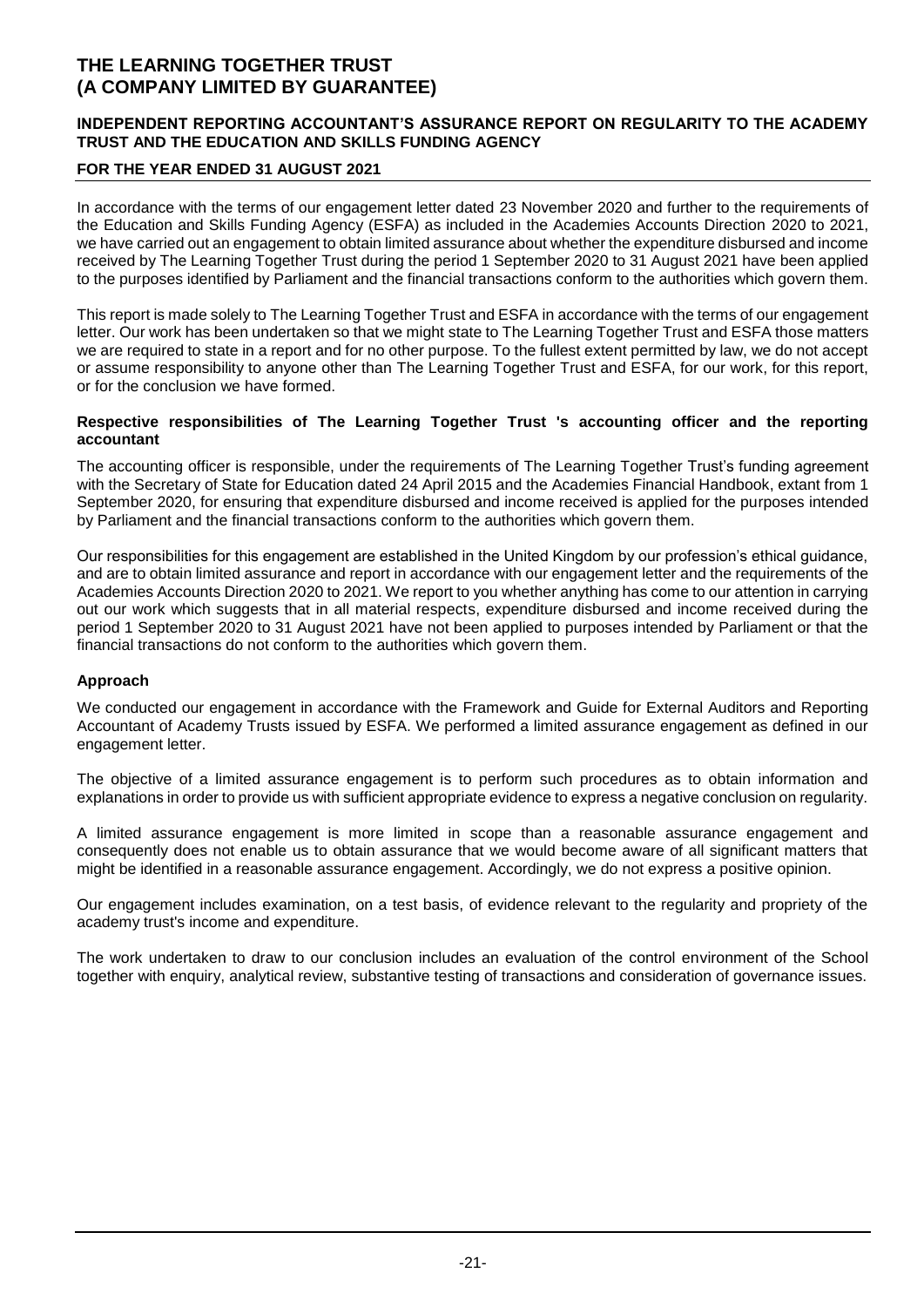### **INDEPENDENT REPORTING ACCOUNTANT'S ASSURANCE REPORT ON REGULARITY TO THE ACADEMY TRUST AND THE EDUCATION AND SKILLS FUNDING AGENCY**

### **FOR THE YEAR ENDED 31 AUGUST 2021**

In accordance with the terms of our engagement letter dated 23 November 2020 and further to the requirements of the Education and Skills Funding Agency (ESFA) as included in the Academies Accounts Direction 2020 to 2021, we have carried out an engagement to obtain limited assurance about whether the expenditure disbursed and income received by The Learning Together Trust during the period 1 September 2020 to 31 August 2021 have been applied to the purposes identified by Parliament and the financial transactions conform to the authorities which govern them.

This report is made solely to The Learning Together Trust and ESFA in accordance with the terms of our engagement letter. Our work has been undertaken so that we might state to The Learning Together Trust and ESFA those matters we are required to state in a report and for no other purpose. To the fullest extent permitted by law, we do not accept or assume responsibility to anyone other than The Learning Together Trust and ESFA, for our work, for this report, or for the conclusion we have formed.

#### **Respective responsibilities of The Learning Together Trust 's accounting officer and the reporting accountant**

The accounting officer is responsible, under the requirements of The Learning Together Trust's funding agreement with the Secretary of State for Education dated 24 April 2015 and the Academies Financial Handbook, extant from 1 September 2020, for ensuring that expenditure disbursed and income received is applied for the purposes intended by Parliament and the financial transactions conform to the authorities which govern them.

Our responsibilities for this engagement are established in the United Kingdom by our profession's ethical guidance, and are to obtain limited assurance and report in accordance with our engagement letter and the requirements of the Academies Accounts Direction 2020 to 2021. We report to you whether anything has come to our attention in carrying out our work which suggests that in all material respects, expenditure disbursed and income received during the period 1 September 2020 to 31 August 2021 have not been applied to purposes intended by Parliament or that the financial transactions do not conform to the authorities which govern them.

### **Approach**

We conducted our engagement in accordance with the Framework and Guide for External Auditors and Reporting Accountant of Academy Trusts issued by ESFA. We performed a limited assurance engagement as defined in our engagement letter.

The objective of a limited assurance engagement is to perform such procedures as to obtain information and explanations in order to provide us with sufficient appropriate evidence to express a negative conclusion on regularity.

A limited assurance engagement is more limited in scope than a reasonable assurance engagement and consequently does not enable us to obtain assurance that we would become aware of all significant matters that might be identified in a reasonable assurance engagement. Accordingly, we do not express a positive opinion.

Our engagement includes examination, on a test basis, of evidence relevant to the regularity and propriety of the academy trust's income and expenditure.

The work undertaken to draw to our conclusion includes an evaluation of the control environment of the School together with enquiry, analytical review, substantive testing of transactions and consideration of governance issues.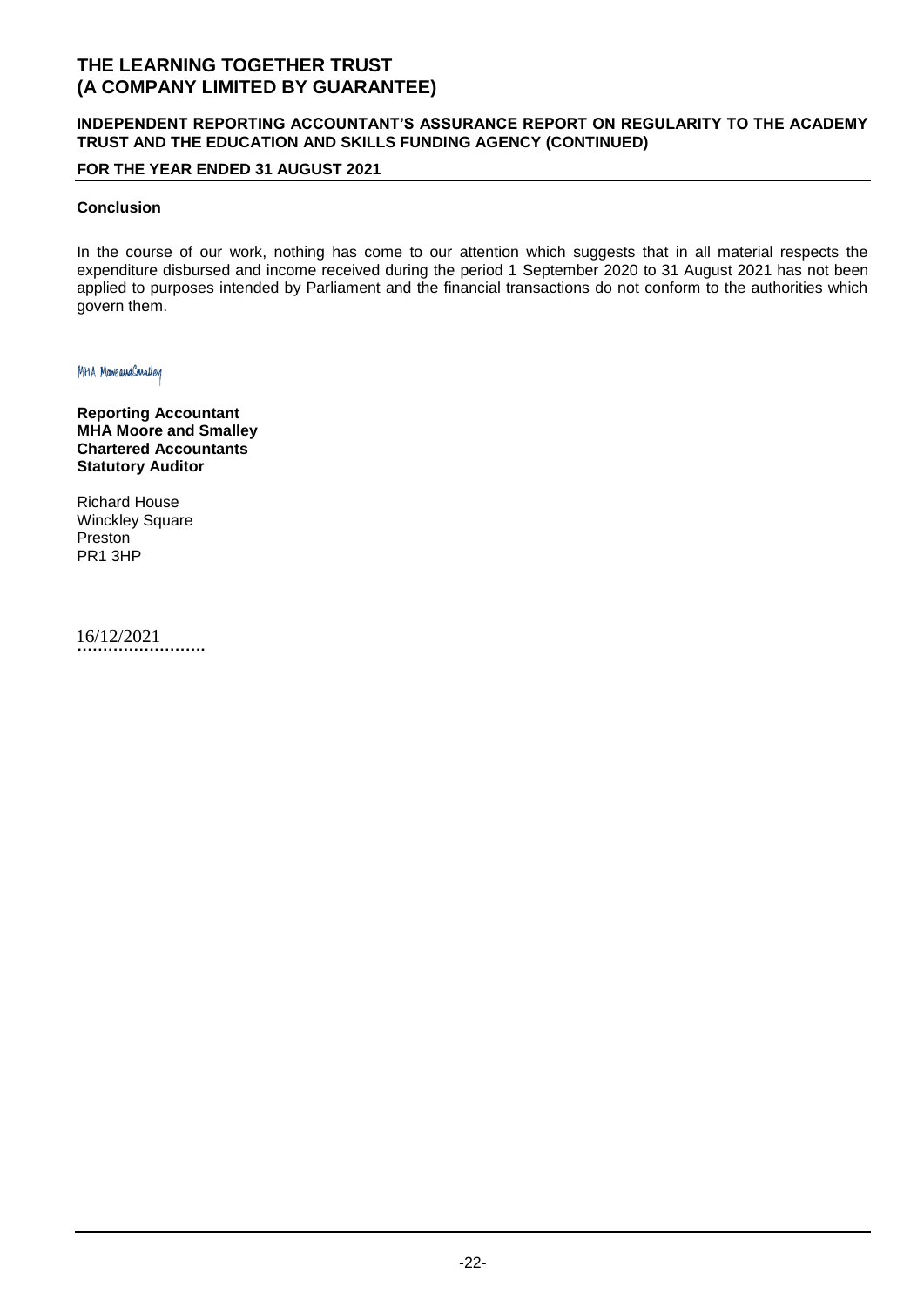### **INDEPENDENT REPORTING ACCOUNTANT'S ASSURANCE REPORT ON REGULARITY TO THE ACADEMY TRUST AND THE EDUCATION AND SKILLS FUNDING AGENCY (CONTINUED)**

### **FOR THE YEAR ENDED 31 AUGUST 2021**

### **Conclusion**

In the course of our work, nothing has come to our attention which suggests that in all material respects the expenditure disbursed and income received during the period 1 September 2020 to 31 August 2021 has not been applied to purposes intended by Parliament and the financial transactions do not conform to the authorities which govern them.

MHA MooveaudConalley

**Reporting Accountant MHA Moore and Smalley Chartered Accountants Statutory Auditor**

Richard House Winckley Square Preston PR1 3HP

**…………………….** 16/12/2021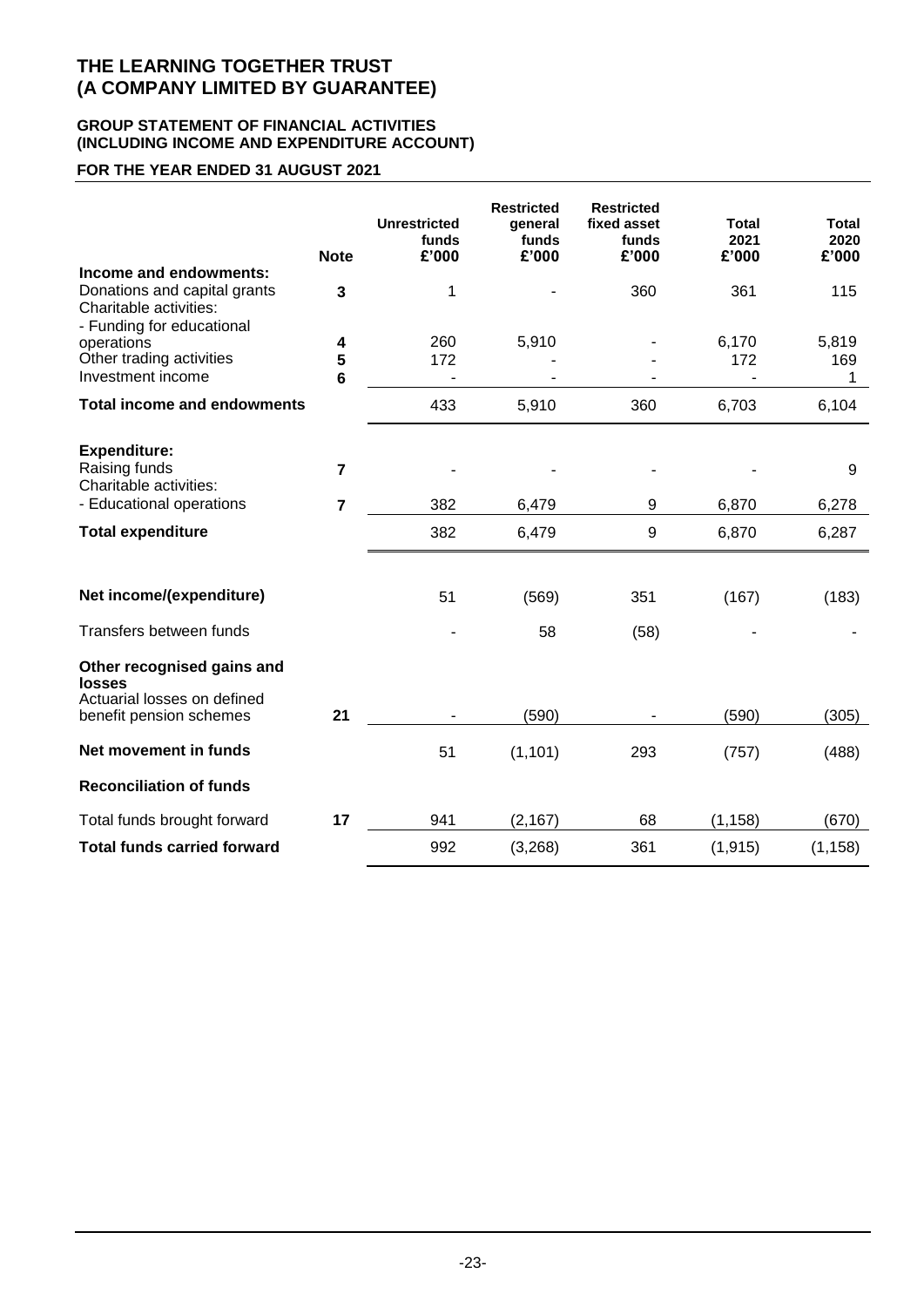### **GROUP STATEMENT OF FINANCIAL ACTIVITIES (INCLUDING INCOME AND EXPENDITURE ACCOUNT)**

# **FOR THE YEAR ENDED 31 AUGUST 2021**

|                                                                                                               | <b>Note</b>               | <b>Unrestricted</b><br>funds<br>£'000 | <b>Restricted</b><br>general<br>funds<br>£'000 | <b>Restricted</b><br>fixed asset<br>funds<br>£'000 | Total<br>2021<br>£'000 | <b>Total</b><br>2020<br>£'000 |
|---------------------------------------------------------------------------------------------------------------|---------------------------|---------------------------------------|------------------------------------------------|----------------------------------------------------|------------------------|-------------------------------|
| Income and endowments:<br>Donations and capital grants<br>Charitable activities:<br>- Funding for educational | 3                         | 1                                     |                                                | 360                                                | 361                    | 115                           |
| operations<br>Other trading activities<br>Investment income                                                   | 4<br>5<br>$6\phantom{1}6$ | 260<br>172                            | 5,910                                          |                                                    | 6,170<br>172           | 5,819<br>169<br>1             |
| <b>Total income and endowments</b>                                                                            |                           | 433                                   | 5,910                                          | 360                                                | 6,703                  | 6,104                         |
| <b>Expenditure:</b><br>Raising funds<br>Charitable activities:                                                | $\overline{7}$            |                                       |                                                |                                                    |                        | 9                             |
| - Educational operations                                                                                      | $\overline{7}$            | 382                                   | 6,479                                          | 9                                                  | 6,870                  | 6,278                         |
| <b>Total expenditure</b>                                                                                      |                           | 382                                   | 6,479                                          | 9                                                  | 6,870                  | 6,287                         |
|                                                                                                               |                           |                                       |                                                |                                                    |                        |                               |
| Net income/(expenditure)                                                                                      |                           | 51                                    | (569)                                          | 351                                                | (167)                  | (183)                         |
| Transfers between funds                                                                                       |                           |                                       | 58                                             | (58)                                               |                        |                               |
| Other recognised gains and<br>losses<br>Actuarial losses on defined                                           |                           |                                       |                                                |                                                    |                        |                               |
| benefit pension schemes                                                                                       | 21                        |                                       | (590)                                          |                                                    | (590)                  | (305)                         |
| Net movement in funds                                                                                         |                           | 51                                    | (1, 101)                                       | 293                                                | (757)                  | (488)                         |
| <b>Reconciliation of funds</b>                                                                                |                           |                                       |                                                |                                                    |                        |                               |
| Total funds brought forward                                                                                   | 17                        | 941                                   | (2, 167)                                       | 68                                                 | (1, 158)               | (670)                         |
| <b>Total funds carried forward</b>                                                                            |                           | 992                                   | (3,268)                                        | 361                                                | (1, 915)               | (1, 158)                      |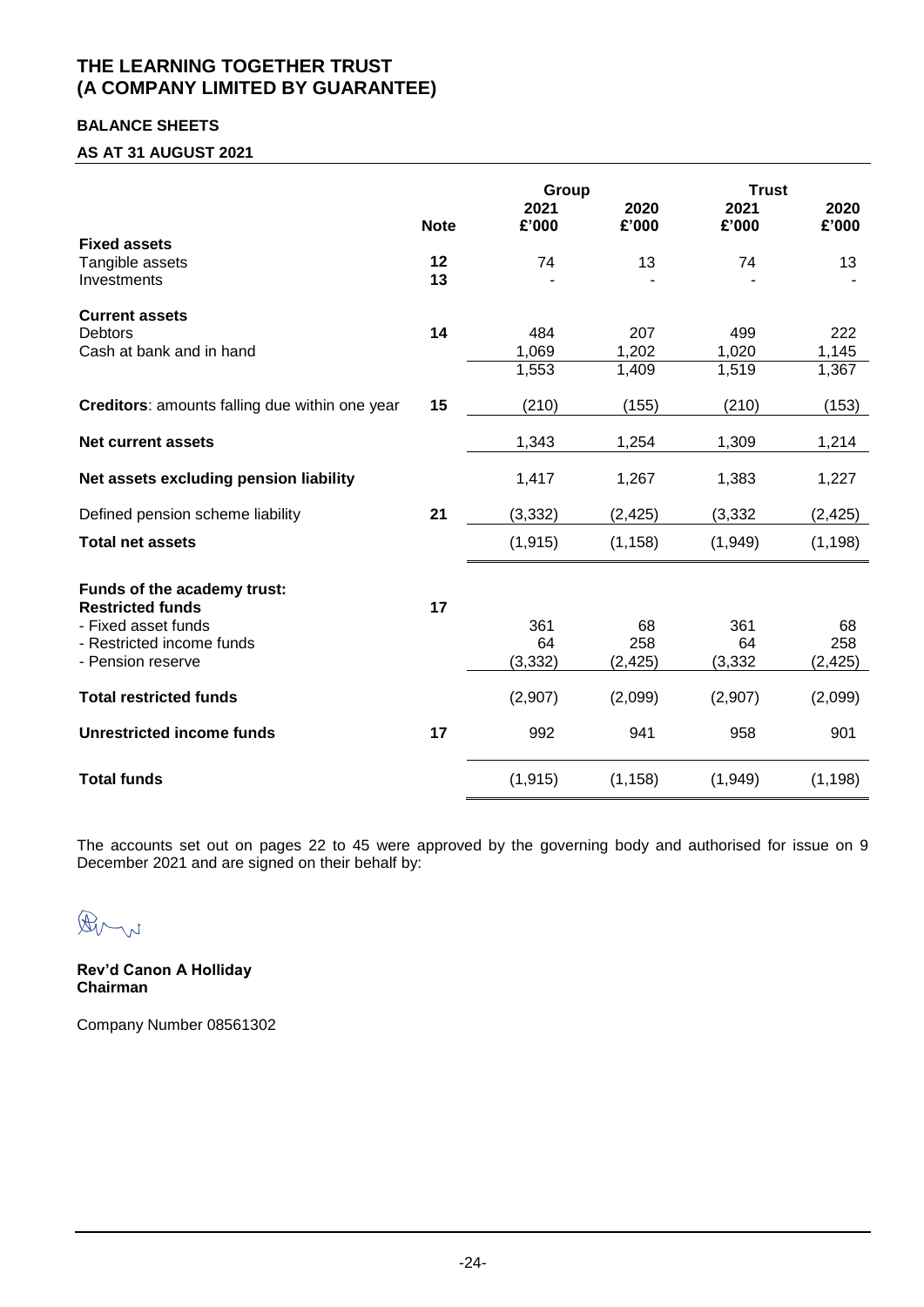### **BALANCE SHEETS**

### **AS AT 31 AUGUST 2021**

|                                                        |             | Group         |               | <b>Trust</b>  |               |
|--------------------------------------------------------|-------------|---------------|---------------|---------------|---------------|
|                                                        | <b>Note</b> | 2021<br>£'000 | 2020<br>£'000 | 2021<br>£'000 | 2020<br>£'000 |
| <b>Fixed assets</b>                                    |             |               |               |               |               |
| Tangible assets                                        | 12          | 74            | 13            | 74            | 13            |
| Investments                                            | 13          |               |               |               |               |
| <b>Current assets</b>                                  |             |               |               |               |               |
| <b>Debtors</b>                                         | 14          | 484           | 207           | 499           | 222           |
| Cash at bank and in hand                               |             | 1,069         | 1,202         | 1,020         | 1,145         |
|                                                        |             | 1,553         | 1,409         | 1,519         | 1,367         |
| Creditors: amounts falling due within one year         | 15          | (210)         | (155)         | (210)         | (153)         |
| Net current assets                                     |             | 1,343         | 1,254         | 1,309         | 1,214         |
| Net assets excluding pension liability                 |             | 1,417         | 1,267         | 1,383         | 1,227         |
| Defined pension scheme liability                       | 21          | (3, 332)      | (2, 425)      | (3, 332)      | (2, 425)      |
| <b>Total net assets</b>                                |             | (1, 915)      | (1, 158)      | (1,949)       | (1, 198)      |
| Funds of the academy trust:<br><b>Restricted funds</b> | 17          |               |               |               |               |
| - Fixed asset funds                                    |             | 361           | 68            | 361           | 68            |
| - Restricted income funds                              |             | 64            | 258           | 64            | 258           |
| - Pension reserve                                      |             | (3, 332)      | (2, 425)      | (3, 332)      | (2, 425)      |
| <b>Total restricted funds</b>                          |             | (2,907)       | (2,099)       | (2,907)       | (2,099)       |
| Unrestricted income funds                              | 17          | 992           | 941           | 958           | 901           |
| <b>Total funds</b>                                     |             | (1, 915)      | (1, 158)      | (1,949)       | (1, 198)      |

The accounts set out on pages 22 to 45 were approved by the governing body and authorised for issue on 9 December 2021 and are signed on their behalf by:

Arn

**Rev'd Canon A Holliday Chairman**

Company Number 08561302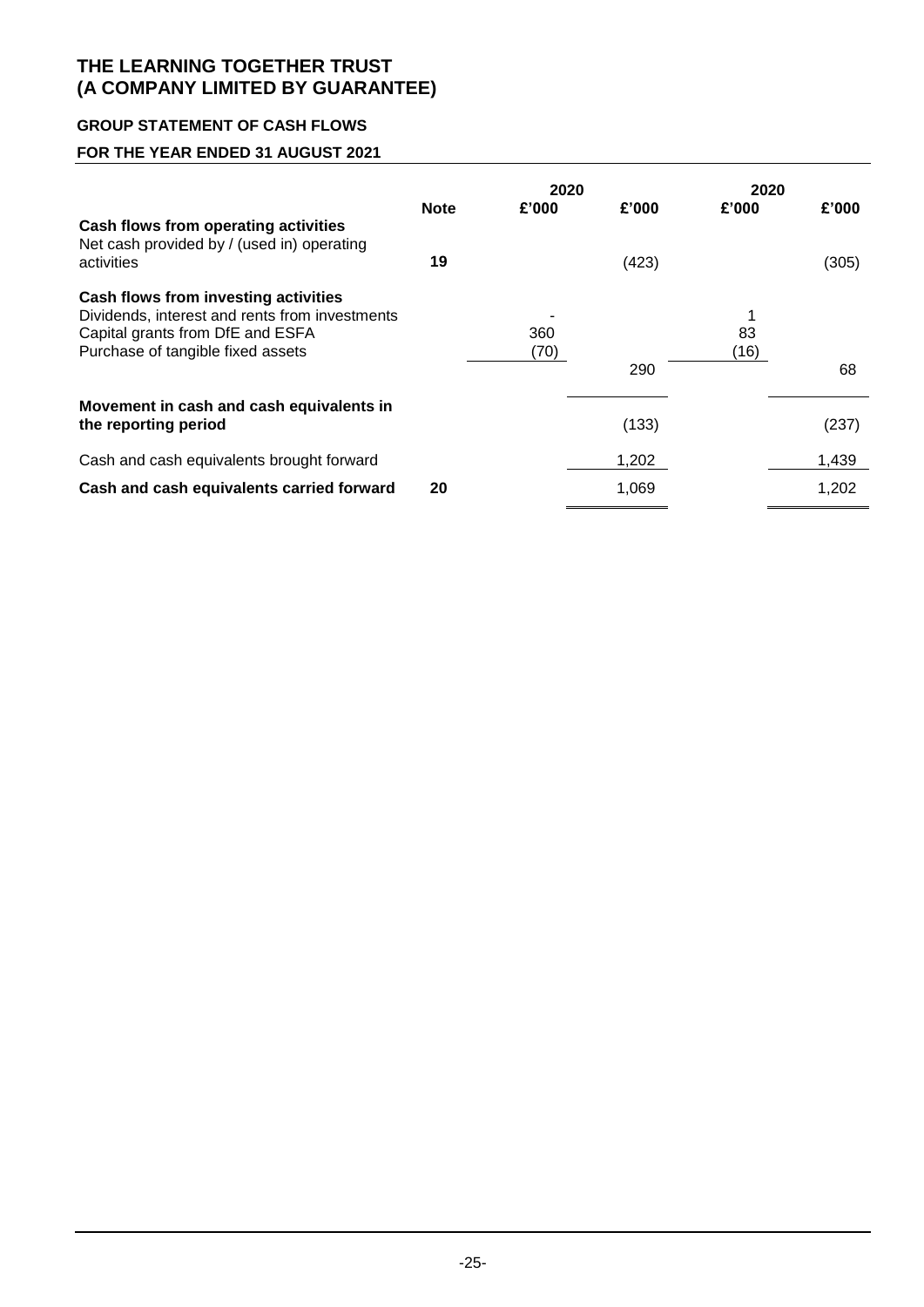### **GROUP STATEMENT OF CASH FLOWS**

# **FOR THE YEAR ENDED 31 AUGUST 2021**

|                                                                                                                                                                 |                   |             | 2020           | 2020       |                |
|-----------------------------------------------------------------------------------------------------------------------------------------------------------------|-------------------|-------------|----------------|------------|----------------|
| Cash flows from operating activities<br>Net cash provided by / (used in) operating<br>activities                                                                | <b>Note</b><br>19 | £'000       | £'000<br>(423) | £'000      | £'000<br>(305) |
| Cash flows from investing activities<br>Dividends, interest and rents from investments<br>Capital grants from DfE and ESFA<br>Purchase of tangible fixed assets |                   | 360<br>(70) | 290            | 83<br>(16) | 68             |
| Movement in cash and cash equivalents in<br>the reporting period                                                                                                |                   |             | (133)          |            | (237)          |
| Cash and cash equivalents brought forward                                                                                                                       |                   |             | 1,202          |            | 1,439          |
| Cash and cash equivalents carried forward                                                                                                                       | 20                |             | 1,069          |            | 1,202          |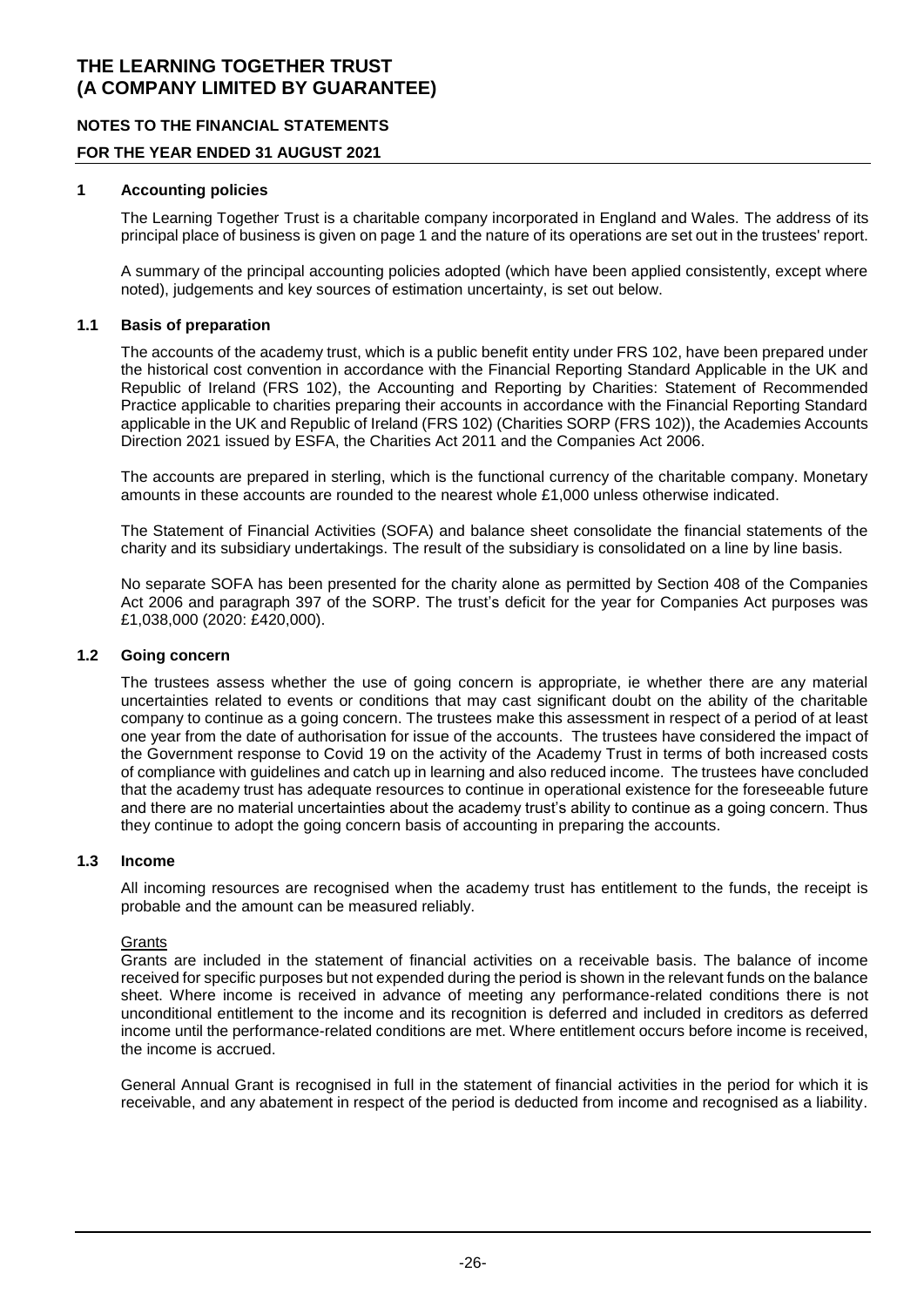### **NOTES TO THE FINANCIAL STATEMENTS**

### **FOR THE YEAR ENDED 31 AUGUST 2021**

#### **1 Accounting policies**

The Learning Together Trust is a charitable company incorporated in England and Wales. The address of its principal place of business is given on page 1 and the nature of its operations are set out in the trustees' report.

A summary of the principal accounting policies adopted (which have been applied consistently, except where noted), judgements and key sources of estimation uncertainty, is set out below.

#### **1.1 Basis of preparation**

The accounts of the academy trust, which is a public benefit entity under FRS 102, have been prepared under the historical cost convention in accordance with the Financial Reporting Standard Applicable in the UK and Republic of Ireland (FRS 102), the Accounting and Reporting by Charities: Statement of Recommended Practice applicable to charities preparing their accounts in accordance with the Financial Reporting Standard applicable in the UK and Republic of Ireland (FRS 102) (Charities SORP (FRS 102)), the Academies Accounts Direction 2021 issued by ESFA, the Charities Act 2011 and the Companies Act 2006.

The accounts are prepared in sterling, which is the functional currency of the charitable company. Monetary amounts in these accounts are rounded to the nearest whole £1,000 unless otherwise indicated.

The Statement of Financial Activities (SOFA) and balance sheet consolidate the financial statements of the charity and its subsidiary undertakings. The result of the subsidiary is consolidated on a line by line basis.

No separate SOFA has been presented for the charity alone as permitted by Section 408 of the Companies Act 2006 and paragraph 397 of the SORP. The trust's deficit for the year for Companies Act purposes was £1,038,000 (2020: £420,000).

#### **1.2 Going concern**

The trustees assess whether the use of going concern is appropriate, ie whether there are any material uncertainties related to events or conditions that may cast significant doubt on the ability of the charitable company to continue as a going concern. The trustees make this assessment in respect of a period of at least one year from the date of authorisation for issue of the accounts. The trustees have considered the impact of the Government response to Covid 19 on the activity of the Academy Trust in terms of both increased costs of compliance with guidelines and catch up in learning and also reduced income. The trustees have concluded that the academy trust has adequate resources to continue in operational existence for the foreseeable future and there are no material uncertainties about the academy trust's ability to continue as a going concern. Thus they continue to adopt the going concern basis of accounting in preparing the accounts.

#### **1.3 Income**

All incoming resources are recognised when the academy trust has entitlement to the funds, the receipt is probable and the amount can be measured reliably.

#### **Grants**

Grants are included in the statement of financial activities on a receivable basis. The balance of income received for specific purposes but not expended during the period is shown in the relevant funds on the balance sheet. Where income is received in advance of meeting any performance-related conditions there is not unconditional entitlement to the income and its recognition is deferred and included in creditors as deferred income until the performance-related conditions are met. Where entitlement occurs before income is received, the income is accrued.

General Annual Grant is recognised in full in the statement of financial activities in the period for which it is receivable, and any abatement in respect of the period is deducted from income and recognised as a liability.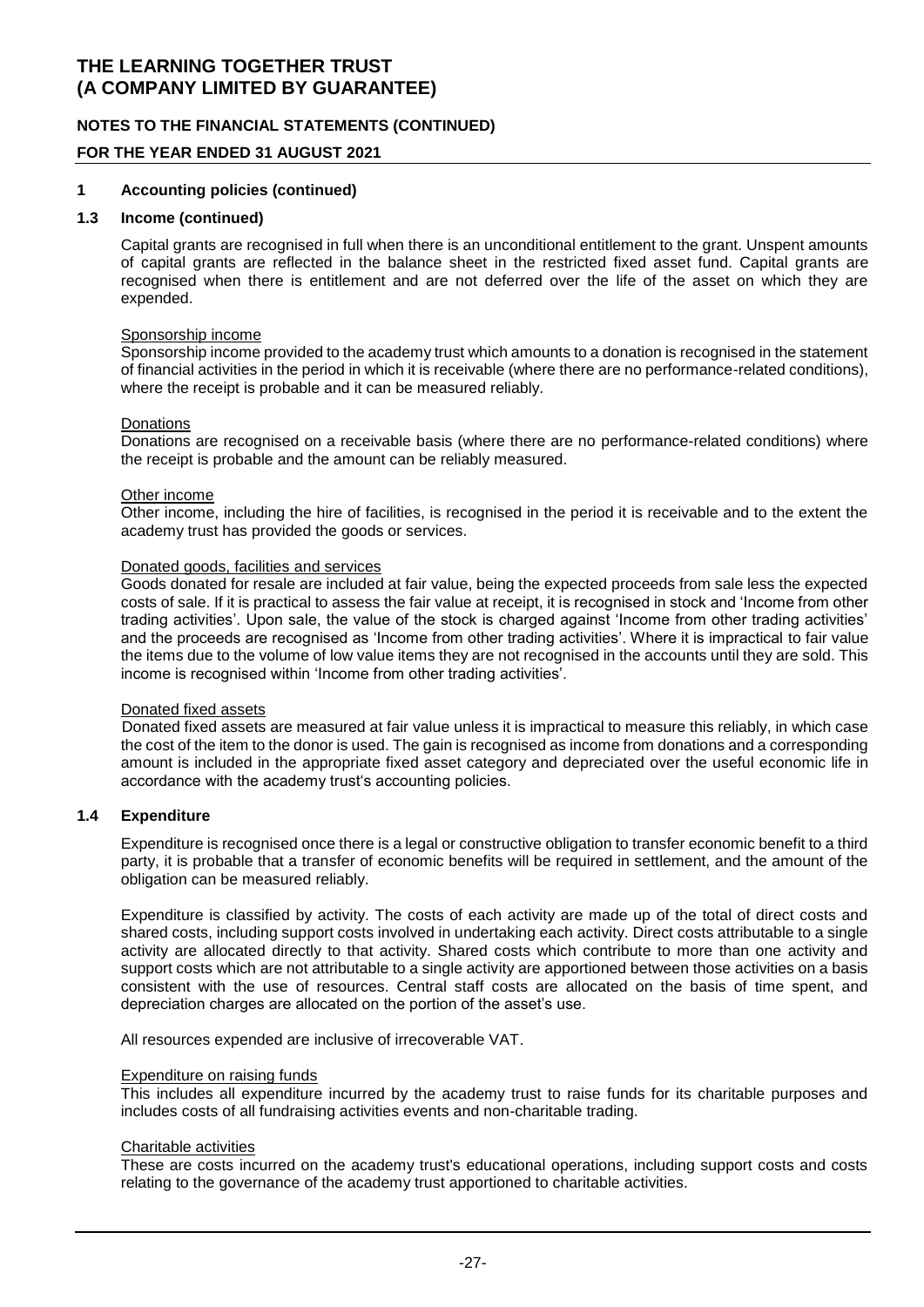### **NOTES TO THE FINANCIAL STATEMENTS (CONTINUED)**

#### **FOR THE YEAR ENDED 31 AUGUST 2021**

#### **1 Accounting policies (continued)**

#### **1.3 Income (continued)**

Capital grants are recognised in full when there is an unconditional entitlement to the grant. Unspent amounts of capital grants are reflected in the balance sheet in the restricted fixed asset fund. Capital grants are recognised when there is entitlement and are not deferred over the life of the asset on which they are expended.

#### Sponsorship income

Sponsorship income provided to the academy trust which amounts to a donation is recognised in the statement of financial activities in the period in which it is receivable (where there are no performance-related conditions), where the receipt is probable and it can be measured reliably.

#### **Donations**

Donations are recognised on a receivable basis (where there are no performance-related conditions) where the receipt is probable and the amount can be reliably measured.

#### Other income

Other income, including the hire of facilities, is recognised in the period it is receivable and to the extent the academy trust has provided the goods or services.

#### Donated goods, facilities and services

Goods donated for resale are included at fair value, being the expected proceeds from sale less the expected costs of sale. If it is practical to assess the fair value at receipt, it is recognised in stock and 'Income from other trading activities'. Upon sale, the value of the stock is charged against 'Income from other trading activities' and the proceeds are recognised as 'Income from other trading activities'. Where it is impractical to fair value the items due to the volume of low value items they are not recognised in the accounts until they are sold. This income is recognised within 'Income from other trading activities'.

#### Donated fixed assets

Donated fixed assets are measured at fair value unless it is impractical to measure this reliably, in which case the cost of the item to the donor is used. The gain is recognised as income from donations and a corresponding amount is included in the appropriate fixed asset category and depreciated over the useful economic life in accordance with the academy trust's accounting policies.

#### **1.4 Expenditure**

Expenditure is recognised once there is a legal or constructive obligation to transfer economic benefit to a third party, it is probable that a transfer of economic benefits will be required in settlement, and the amount of the obligation can be measured reliably.

Expenditure is classified by activity. The costs of each activity are made up of the total of direct costs and shared costs, including support costs involved in undertaking each activity. Direct costs attributable to a single activity are allocated directly to that activity. Shared costs which contribute to more than one activity and support costs which are not attributable to a single activity are apportioned between those activities on a basis consistent with the use of resources. Central staff costs are allocated on the basis of time spent, and depreciation charges are allocated on the portion of the asset's use.

All resources expended are inclusive of irrecoverable VAT.

#### Expenditure on raising funds

This includes all expenditure incurred by the academy trust to raise funds for its charitable purposes and includes costs of all fundraising activities events and non-charitable trading.

#### Charitable activities

These are costs incurred on the academy trust's educational operations, including support costs and costs relating to the governance of the academy trust apportioned to charitable activities.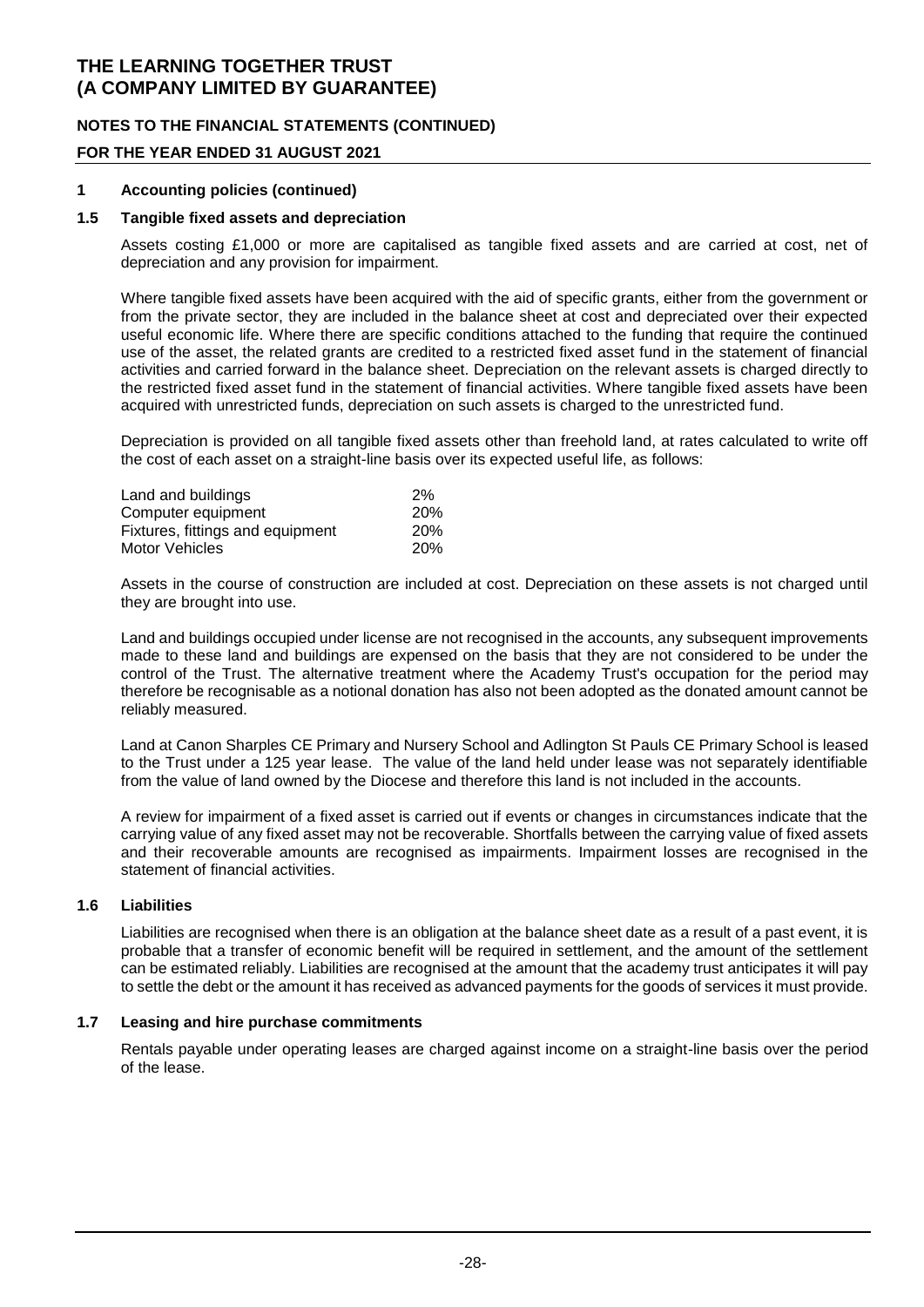### **NOTES TO THE FINANCIAL STATEMENTS (CONTINUED)**

### **FOR THE YEAR ENDED 31 AUGUST 2021**

#### **1 Accounting policies (continued)**

#### **1.5 Tangible fixed assets and depreciation**

Assets costing £1,000 or more are capitalised as tangible fixed assets and are carried at cost, net of depreciation and any provision for impairment.

Where tangible fixed assets have been acquired with the aid of specific grants, either from the government or from the private sector, they are included in the balance sheet at cost and depreciated over their expected useful economic life. Where there are specific conditions attached to the funding that require the continued use of the asset, the related grants are credited to a restricted fixed asset fund in the statement of financial activities and carried forward in the balance sheet. Depreciation on the relevant assets is charged directly to the restricted fixed asset fund in the statement of financial activities. Where tangible fixed assets have been acquired with unrestricted funds, depreciation on such assets is charged to the unrestricted fund.

Depreciation is provided on all tangible fixed assets other than freehold land, at rates calculated to write off the cost of each asset on a straight-line basis over its expected useful life, as follows:

| Land and buildings               | 2%         |
|----------------------------------|------------|
| Computer equipment               | 20%        |
| Fixtures, fittings and equipment | <b>20%</b> |
| Motor Vehicles                   | <b>20%</b> |

Assets in the course of construction are included at cost. Depreciation on these assets is not charged until they are brought into use.

Land and buildings occupied under license are not recognised in the accounts, any subsequent improvements made to these land and buildings are expensed on the basis that they are not considered to be under the control of the Trust. The alternative treatment where the Academy Trust's occupation for the period may therefore be recognisable as a notional donation has also not been adopted as the donated amount cannot be reliably measured.

Land at Canon Sharples CE Primary and Nursery School and Adlington St Pauls CE Primary School is leased to the Trust under a 125 year lease. The value of the land held under lease was not separately identifiable from the value of land owned by the Diocese and therefore this land is not included in the accounts.

A review for impairment of a fixed asset is carried out if events or changes in circumstances indicate that the carrying value of any fixed asset may not be recoverable. Shortfalls between the carrying value of fixed assets and their recoverable amounts are recognised as impairments. Impairment losses are recognised in the statement of financial activities.

#### **1.6 Liabilities**

Liabilities are recognised when there is an obligation at the balance sheet date as a result of a past event, it is probable that a transfer of economic benefit will be required in settlement, and the amount of the settlement can be estimated reliably. Liabilities are recognised at the amount that the academy trust anticipates it will pay to settle the debt or the amount it has received as advanced payments for the goods of services it must provide.

#### **1.7 Leasing and hire purchase commitments**

Rentals payable under operating leases are charged against income on a straight-line basis over the period of the lease.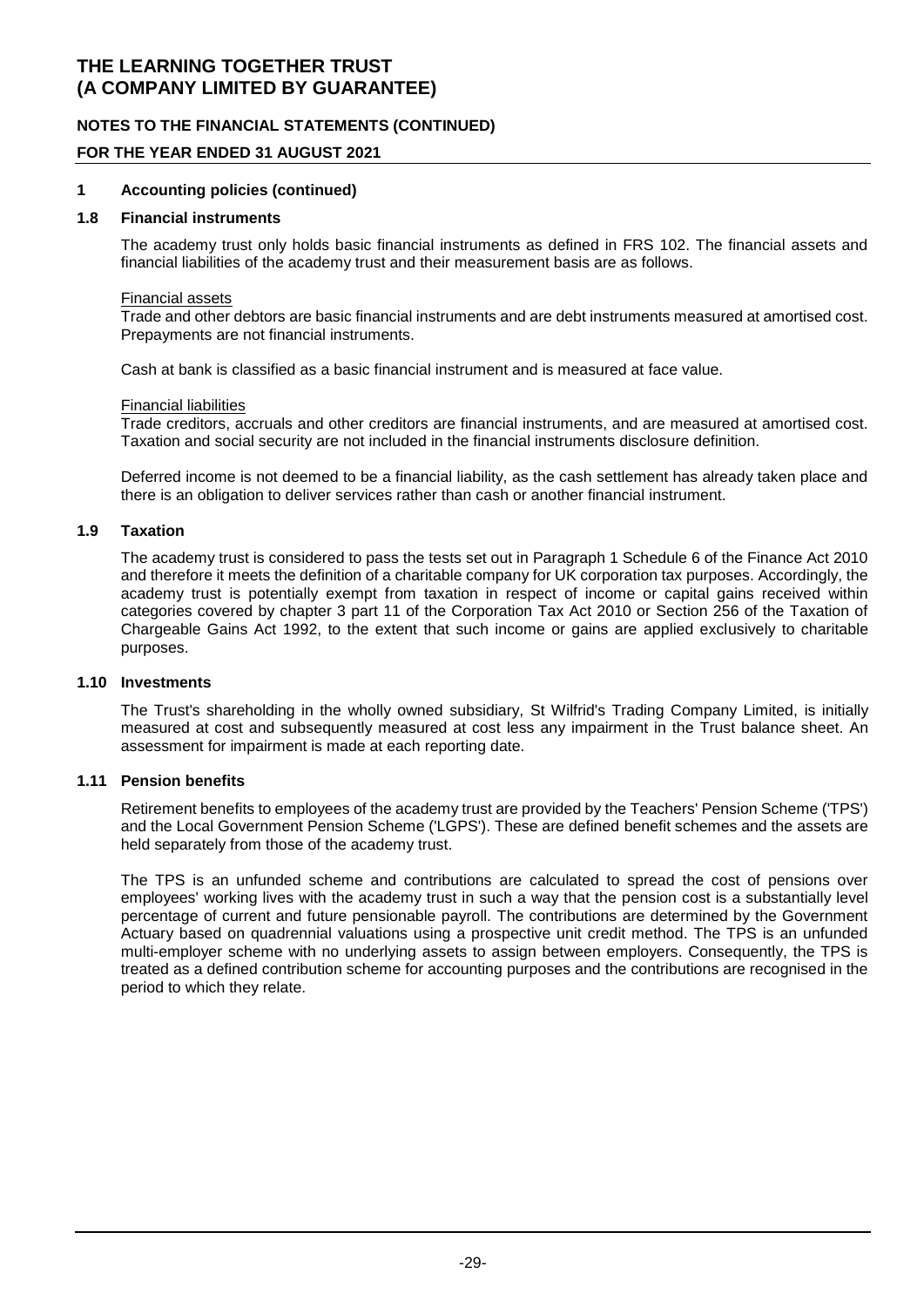### **NOTES TO THE FINANCIAL STATEMENTS (CONTINUED)**

### **FOR THE YEAR ENDED 31 AUGUST 2021**

#### **1 Accounting policies (continued)**

#### **1.8 Financial instruments**

The academy trust only holds basic financial instruments as defined in FRS 102. The financial assets and financial liabilities of the academy trust and their measurement basis are as follows.

#### Financial assets

Trade and other debtors are basic financial instruments and are debt instruments measured at amortised cost. Prepayments are not financial instruments.

Cash at bank is classified as a basic financial instrument and is measured at face value.

#### Financial liabilities

Trade creditors, accruals and other creditors are financial instruments, and are measured at amortised cost. Taxation and social security are not included in the financial instruments disclosure definition.

Deferred income is not deemed to be a financial liability, as the cash settlement has already taken place and there is an obligation to deliver services rather than cash or another financial instrument.

#### **1.9 Taxation**

The academy trust is considered to pass the tests set out in Paragraph 1 Schedule 6 of the Finance Act 2010 and therefore it meets the definition of a charitable company for UK corporation tax purposes. Accordingly, the academy trust is potentially exempt from taxation in respect of income or capital gains received within categories covered by chapter 3 part 11 of the Corporation Tax Act 2010 or Section 256 of the Taxation of Chargeable Gains Act 1992, to the extent that such income or gains are applied exclusively to charitable purposes.

#### **1.10 Investments**

The Trust's shareholding in the wholly owned subsidiary, St Wilfrid's Trading Company Limited, is initially measured at cost and subsequently measured at cost less any impairment in the Trust balance sheet. An assessment for impairment is made at each reporting date.

### **1.11 Pension benefits**

Retirement benefits to employees of the academy trust are provided by the Teachers' Pension Scheme ('TPS') and the Local Government Pension Scheme ('LGPS'). These are defined benefit schemes and the assets are held separately from those of the academy trust.

The TPS is an unfunded scheme and contributions are calculated to spread the cost of pensions over employees' working lives with the academy trust in such a way that the pension cost is a substantially level percentage of current and future pensionable payroll. The contributions are determined by the Government Actuary based on quadrennial valuations using a prospective unit credit method. The TPS is an unfunded multi-employer scheme with no underlying assets to assign between employers. Consequently, the TPS is treated as a defined contribution scheme for accounting purposes and the contributions are recognised in the period to which they relate.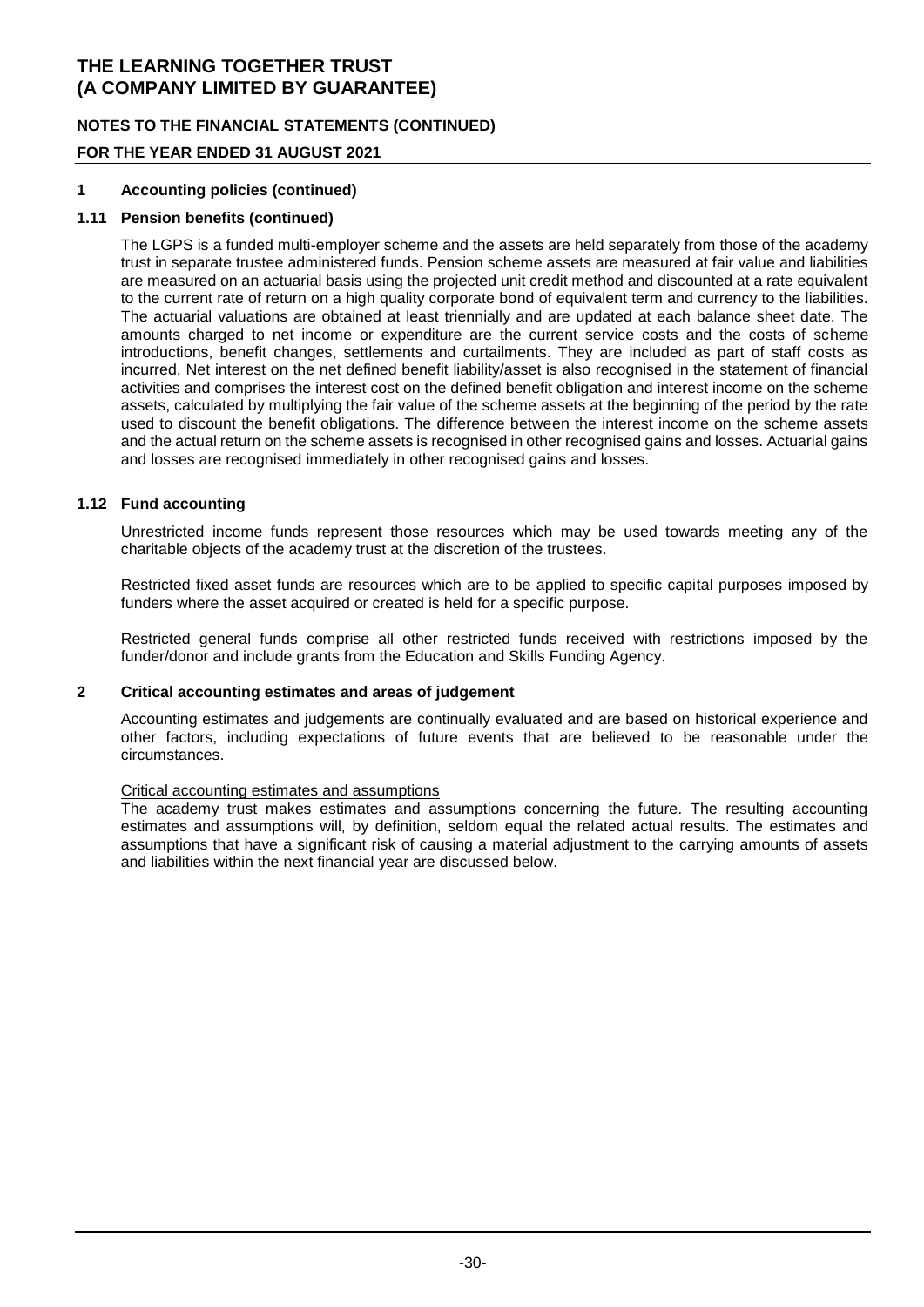### **NOTES TO THE FINANCIAL STATEMENTS (CONTINUED)**

### **FOR THE YEAR ENDED 31 AUGUST 2021**

### **1 Accounting policies (continued)**

#### **1.11 Pension benefits (continued)**

The LGPS is a funded multi-employer scheme and the assets are held separately from those of the academy trust in separate trustee administered funds. Pension scheme assets are measured at fair value and liabilities are measured on an actuarial basis using the projected unit credit method and discounted at a rate equivalent to the current rate of return on a high quality corporate bond of equivalent term and currency to the liabilities. The actuarial valuations are obtained at least triennially and are updated at each balance sheet date. The amounts charged to net income or expenditure are the current service costs and the costs of scheme introductions, benefit changes, settlements and curtailments. They are included as part of staff costs as incurred. Net interest on the net defined benefit liability/asset is also recognised in the statement of financial activities and comprises the interest cost on the defined benefit obligation and interest income on the scheme assets, calculated by multiplying the fair value of the scheme assets at the beginning of the period by the rate used to discount the benefit obligations. The difference between the interest income on the scheme assets and the actual return on the scheme assets is recognised in other recognised gains and losses. Actuarial gains and losses are recognised immediately in other recognised gains and losses.

#### **1.12 Fund accounting**

Unrestricted income funds represent those resources which may be used towards meeting any of the charitable objects of the academy trust at the discretion of the trustees.

Restricted fixed asset funds are resources which are to be applied to specific capital purposes imposed by funders where the asset acquired or created is held for a specific purpose.

Restricted general funds comprise all other restricted funds received with restrictions imposed by the funder/donor and include grants from the Education and Skills Funding Agency.

#### **2 Critical accounting estimates and areas of judgement**

Accounting estimates and judgements are continually evaluated and are based on historical experience and other factors, including expectations of future events that are believed to be reasonable under the circumstances.

#### Critical accounting estimates and assumptions

The academy trust makes estimates and assumptions concerning the future. The resulting accounting estimates and assumptions will, by definition, seldom equal the related actual results. The estimates and assumptions that have a significant risk of causing a material adjustment to the carrying amounts of assets and liabilities within the next financial year are discussed below.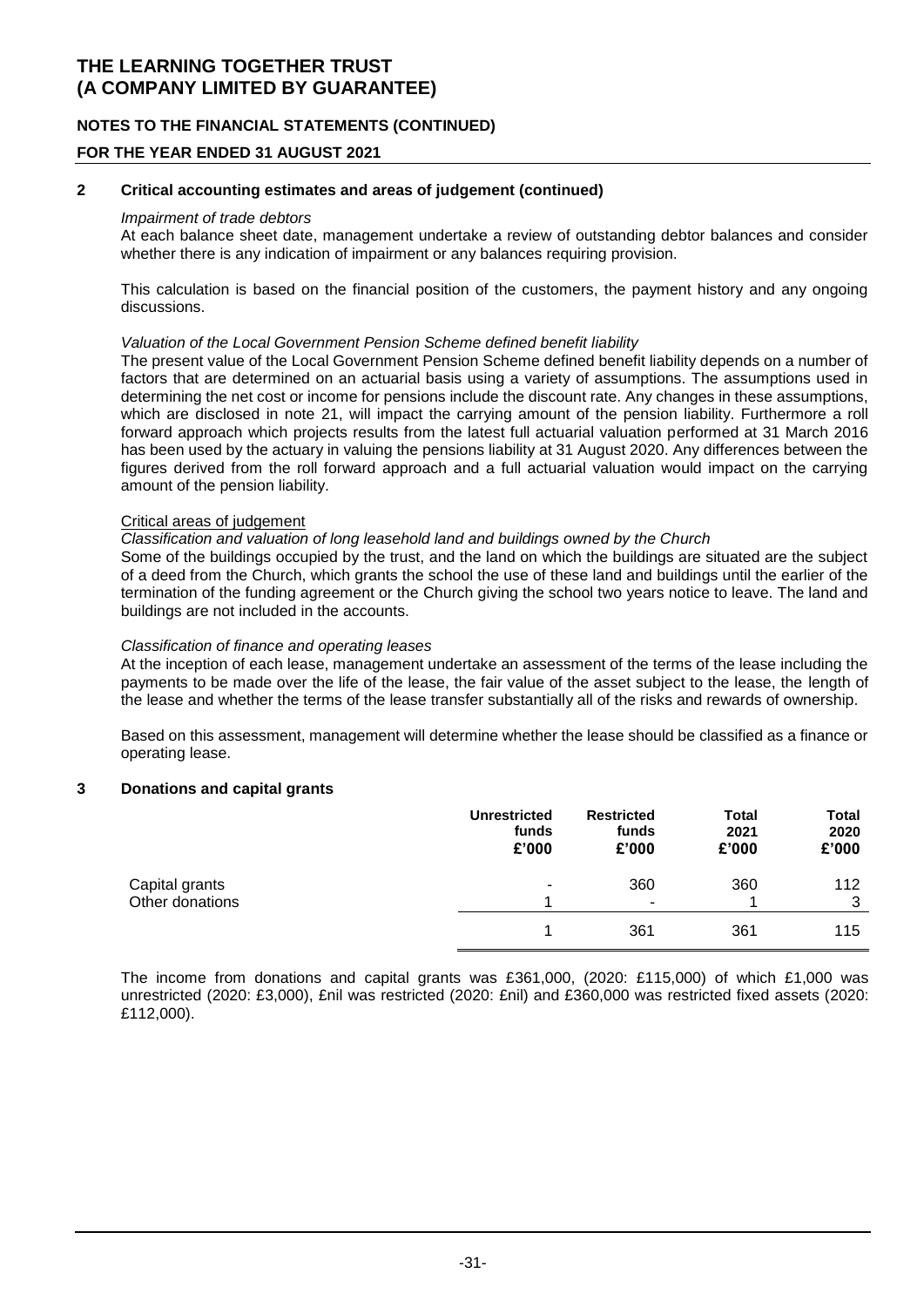### **NOTES TO THE FINANCIAL STATEMENTS (CONTINUED)**

#### **FOR THE YEAR ENDED 31 AUGUST 2021**

#### **2 Critical accounting estimates and areas of judgement (continued)**

#### *Impairment of trade debtors*

At each balance sheet date, management undertake a review of outstanding debtor balances and consider whether there is any indication of impairment or any balances requiring provision.

This calculation is based on the financial position of the customers, the payment history and any ongoing discussions.

#### *Valuation of the Local Government Pension Scheme defined benefit liability*

The present value of the Local Government Pension Scheme defined benefit liability depends on a number of factors that are determined on an actuarial basis using a variety of assumptions. The assumptions used in determining the net cost or income for pensions include the discount rate. Any changes in these assumptions, which are disclosed in note 21, will impact the carrying amount of the pension liability. Furthermore a roll forward approach which projects results from the latest full actuarial valuation performed at 31 March 2016 has been used by the actuary in valuing the pensions liability at 31 August 2020. Any differences between the figures derived from the roll forward approach and a full actuarial valuation would impact on the carrying amount of the pension liability.

#### Critical areas of judgement

#### *Classification and valuation of long leasehold land and buildings owned by the Church*

Some of the buildings occupied by the trust, and the land on which the buildings are situated are the subject of a deed from the Church, which grants the school the use of these land and buildings until the earlier of the termination of the funding agreement or the Church giving the school two years notice to leave. The land and buildings are not included in the accounts.

#### *Classification of finance and operating leases*

At the inception of each lease, management undertake an assessment of the terms of the lease including the payments to be made over the life of the lease, the fair value of the asset subject to the lease, the length of the lease and whether the terms of the lease transfer substantially all of the risks and rewards of ownership.

Based on this assessment, management will determine whether the lease should be classified as a finance or operating lease.

#### **3 Donations and capital grants**

|                 | <b>Unrestricted</b><br>funds<br>£'000 | <b>Restricted</b><br>funds<br>£'000 | Total<br>2021<br>£'000 | Total<br>2020<br>£'000 |
|-----------------|---------------------------------------|-------------------------------------|------------------------|------------------------|
| Capital grants  | ٠                                     | 360                                 | 360                    | 112                    |
| Other donations |                                       | ۰                                   |                        | 3                      |
|                 |                                       | 361                                 | 361                    | 115                    |

The income from donations and capital grants was £361,000, (2020: £115,000) of which £1,000 was unrestricted (2020: £3,000), £nil was restricted (2020: £nil) and £360,000 was restricted fixed assets (2020: £112,000).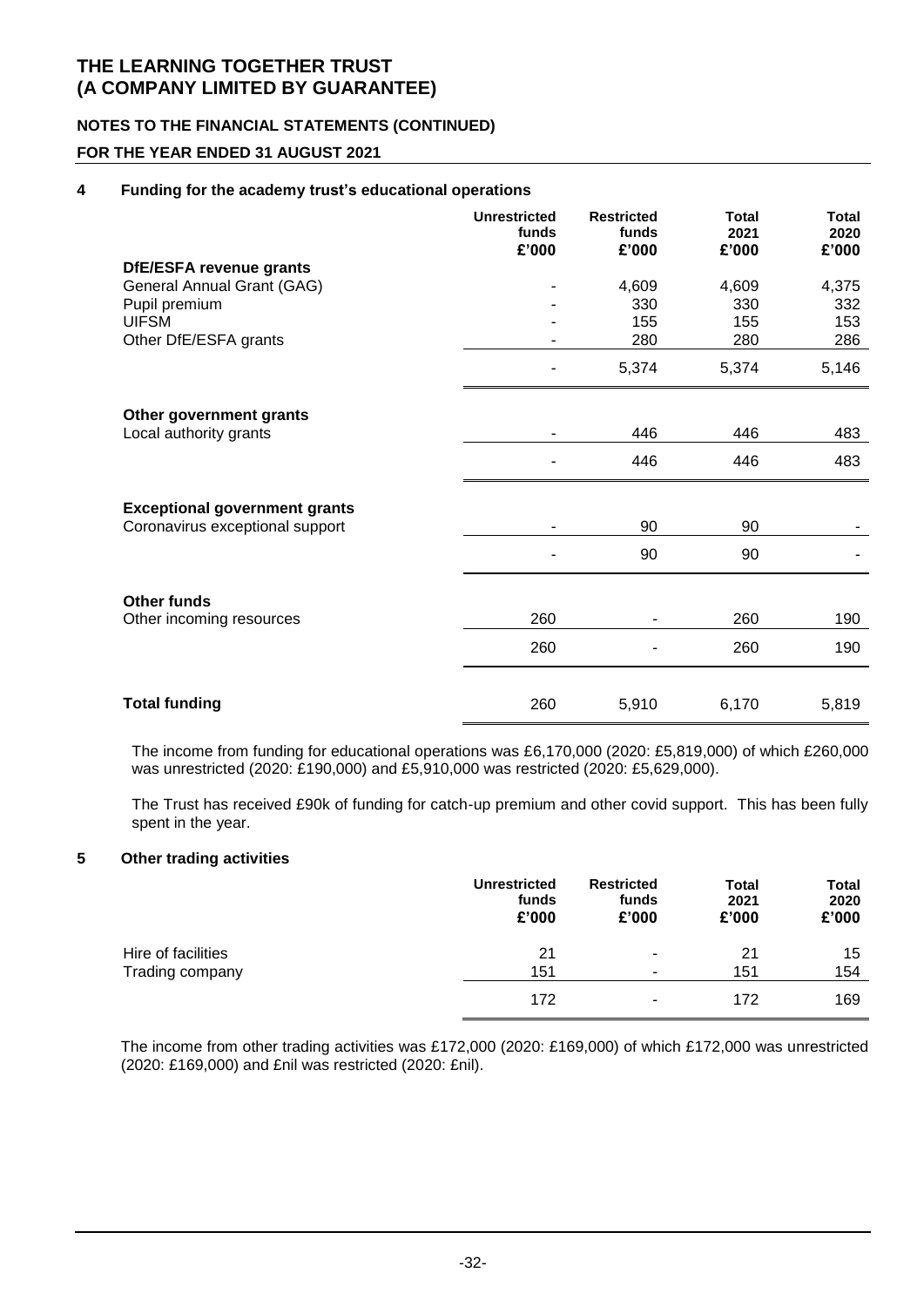### **NOTES TO THE FINANCIAL STATEMENTS (CONTINUED)**

### **FOR THE YEAR ENDED 31 AUGUST 2021**

#### **4 Funding for the academy trust's educational operations**

|                                      | <b>Unrestricted</b><br>funds<br>£'000 | <b>Restricted</b><br>funds<br>£'000 | <b>Total</b><br>2021<br>£'000 | <b>Total</b><br>2020<br>£'000 |
|--------------------------------------|---------------------------------------|-------------------------------------|-------------------------------|-------------------------------|
| DfE/ESFA revenue grants              |                                       |                                     |                               |                               |
| General Annual Grant (GAG)           |                                       | 4,609                               | 4,609                         | 4,375                         |
| Pupil premium                        |                                       | 330                                 | 330                           | 332                           |
| <b>UIFSM</b>                         |                                       | 155                                 | 155                           | 153                           |
| Other DfE/ESFA grants                |                                       | 280                                 | 280                           | 286                           |
|                                      |                                       | 5,374                               | 5,374                         | 5,146                         |
| Other government grants              |                                       |                                     |                               |                               |
| Local authority grants               |                                       | 446                                 | 446                           | 483                           |
|                                      |                                       | 446                                 | 446                           | 483                           |
| <b>Exceptional government grants</b> |                                       |                                     |                               |                               |
| Coronavirus exceptional support      |                                       | 90                                  | 90                            |                               |
|                                      |                                       | 90                                  | 90                            |                               |
| <b>Other funds</b>                   |                                       |                                     |                               |                               |
| Other incoming resources             | 260                                   |                                     | 260                           | 190                           |
|                                      | 260                                   |                                     | 260                           | 190                           |
|                                      |                                       |                                     |                               |                               |
| <b>Total funding</b>                 | 260                                   | 5,910                               | 6,170                         | 5,819                         |

The income from funding for educational operations was £6,170,000 (2020: £5,819,000) of which £260,000 was unrestricted (2020: £190,000) and £5,910,000 was restricted (2020: £5,629,000).

The Trust has received £90k of funding for catch-up premium and other covid support. This has been fully spent in the year.

#### **5 Other trading activities**

|                    | <b>Unrestricted</b><br>funds<br>£'000 | <b>Restricted</b><br>funds<br>£'000 | <b>Total</b><br>2021<br>£'000 | <b>Total</b><br>2020<br>£'000 |
|--------------------|---------------------------------------|-------------------------------------|-------------------------------|-------------------------------|
| Hire of facilities | 21                                    | ۰                                   | 21                            | 15                            |
| Trading company    | 151                                   | ۰                                   | 151                           | 154                           |
|                    | 172                                   | ۰                                   | 172                           | 169                           |

The income from other trading activities was £172,000 (2020: £169,000) of which £172,000 was unrestricted (2020: £169,000) and £nil was restricted (2020: £nil).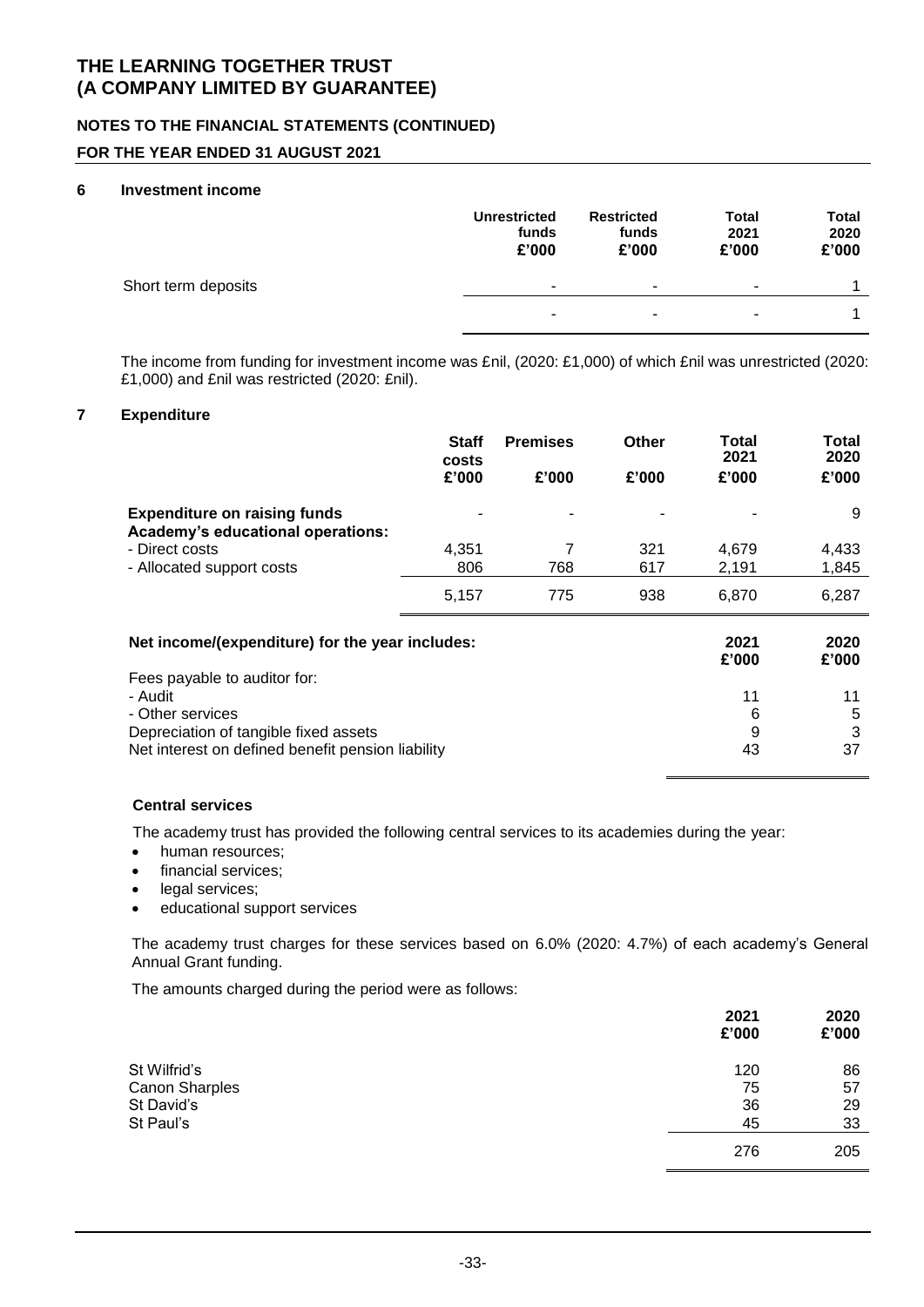### **NOTES TO THE FINANCIAL STATEMENTS (CONTINUED)**

### **FOR THE YEAR ENDED 31 AUGUST 2021**

#### **6 Investment income**

|                     | <b>Unrestricted</b><br>funds<br>£'000 | <b>Restricted</b><br>funds<br>£'000 | <b>Total</b><br>2021<br>£'000 | <b>Total</b><br>2020<br>£'000 |
|---------------------|---------------------------------------|-------------------------------------|-------------------------------|-------------------------------|
| Short term deposits | ٠                                     | ٠                                   | ۰                             |                               |
|                     | ٠                                     | $\overline{\phantom{a}}$            | ٠                             |                               |

The income from funding for investment income was £nil, (2020: £1,000) of which £nil was unrestricted (2020: £1,000) and £nil was restricted (2020: £nil).

#### **7 Expenditure**

|                                                                                                                                                           | <b>Staff</b><br>costs | <b>Premises</b> | Other | Total<br>2021      | Total<br>2020      |
|-----------------------------------------------------------------------------------------------------------------------------------------------------------|-----------------------|-----------------|-------|--------------------|--------------------|
|                                                                                                                                                           | £'000                 | £'000           | £'000 | £'000              | £'000              |
| <b>Expenditure on raising funds</b><br>Academy's educational operations:                                                                                  |                       |                 |       |                    | 9                  |
| - Direct costs                                                                                                                                            | 4,351                 | 7               | 321   | 4,679              | 4,433              |
| - Allocated support costs                                                                                                                                 | 806                   | 768             | 617   | 2,191              | 1,845              |
|                                                                                                                                                           | 5,157                 | 775             | 938   | 6,870              | 6,287              |
| Net income/(expenditure) for the year includes:                                                                                                           |                       |                 |       | 2021<br>£'000      | 2020<br>£'000      |
| Fees payable to auditor for:<br>- Audit<br>- Other services<br>Depreciation of tangible fixed assets<br>Net interest on defined benefit pension liability |                       |                 |       | 11<br>6<br>9<br>43 | 11<br>5<br>3<br>37 |

#### **Central services**

The academy trust has provided the following central services to its academies during the year:

- human resources;
- financial services;
- legal services;
- educational support services

The academy trust charges for these services based on 6.0% (2020: 4.7%) of each academy's General Annual Grant funding.

The amounts charged during the period were as follows:

|                       | 2021<br>£'000 | 2020<br>£'000 |
|-----------------------|---------------|---------------|
| St Wilfrid's          | 120           | 86            |
| <b>Canon Sharples</b> | 75            | 57            |
| St David's            | 36            | 29            |
| St Paul's             | 45            | 33            |
|                       | 276           | 205           |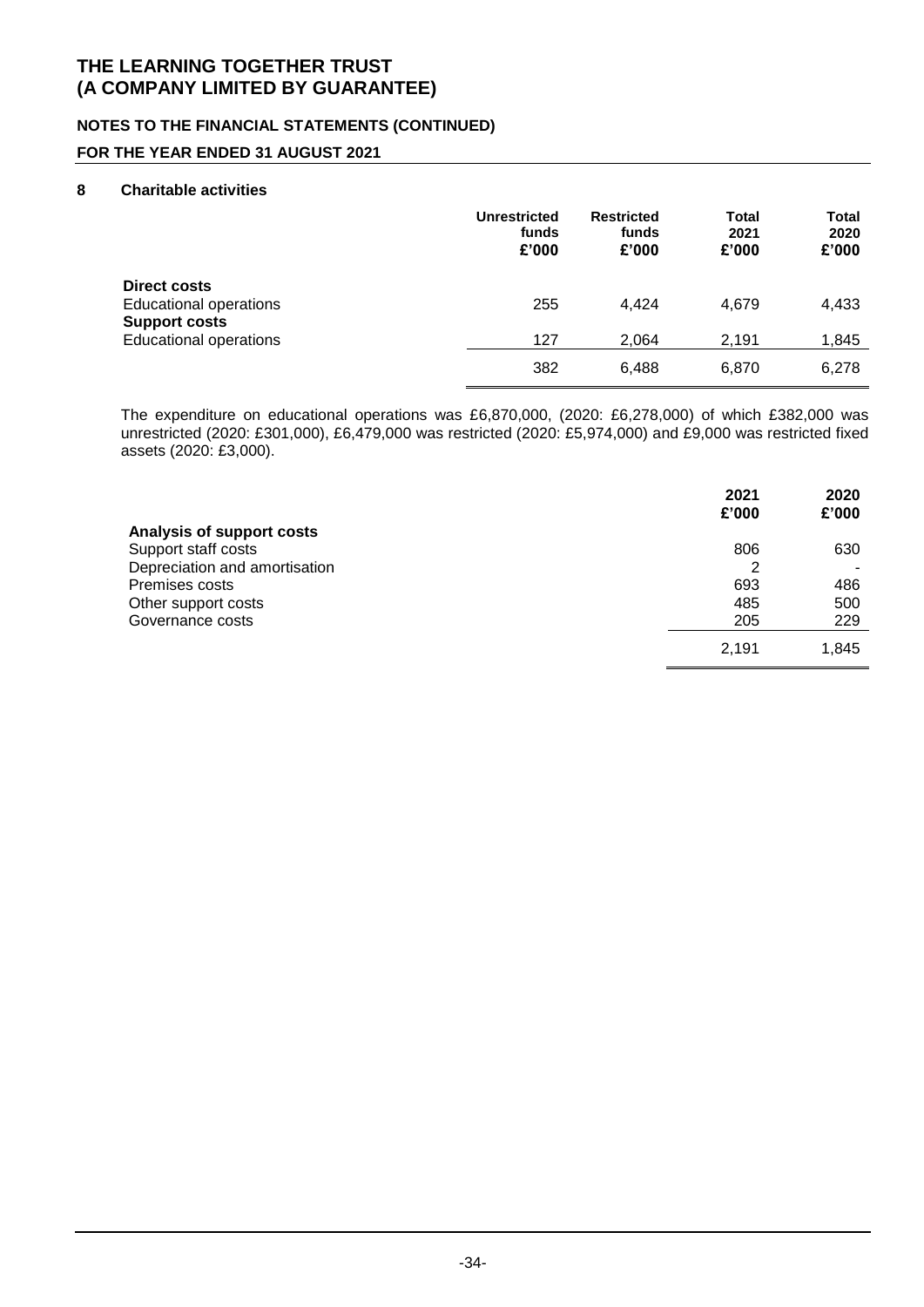### **NOTES TO THE FINANCIAL STATEMENTS (CONTINUED)**

### **FOR THE YEAR ENDED 31 AUGUST 2021**

#### **8 Charitable activities**

|                                                                              | <b>Unrestricted</b><br>funds<br>£'000 | <b>Restricted</b><br>funds<br>£'000 | Total<br>2021<br>£'000 | Total<br>2020<br>£'000 |
|------------------------------------------------------------------------------|---------------------------------------|-------------------------------------|------------------------|------------------------|
| <b>Direct costs</b><br><b>Educational operations</b><br><b>Support costs</b> | 255                                   | 4.424                               | 4,679                  | 4,433                  |
| <b>Educational operations</b>                                                | 127                                   | 2,064                               | 2,191                  | 1,845                  |
|                                                                              | 382                                   | 6.488                               | 6.870                  | 6,278                  |

The expenditure on educational operations was £6,870,000, (2020: £6,278,000) of which £382,000 was unrestricted (2020: £301,000), £6,479,000 was restricted (2020: £5,974,000) and £9,000 was restricted fixed assets (2020: £3,000).

|                               | 2021<br>£'000 | 2020<br>£'000 |
|-------------------------------|---------------|---------------|
| Analysis of support costs     |               |               |
| Support staff costs           | 806           | 630           |
| Depreciation and amortisation | 2             |               |
| Premises costs                | 693           | 486           |
| Other support costs           | 485           | 500           |
| Governance costs              | 205           | 229           |
|                               | 2,191         | 1,845         |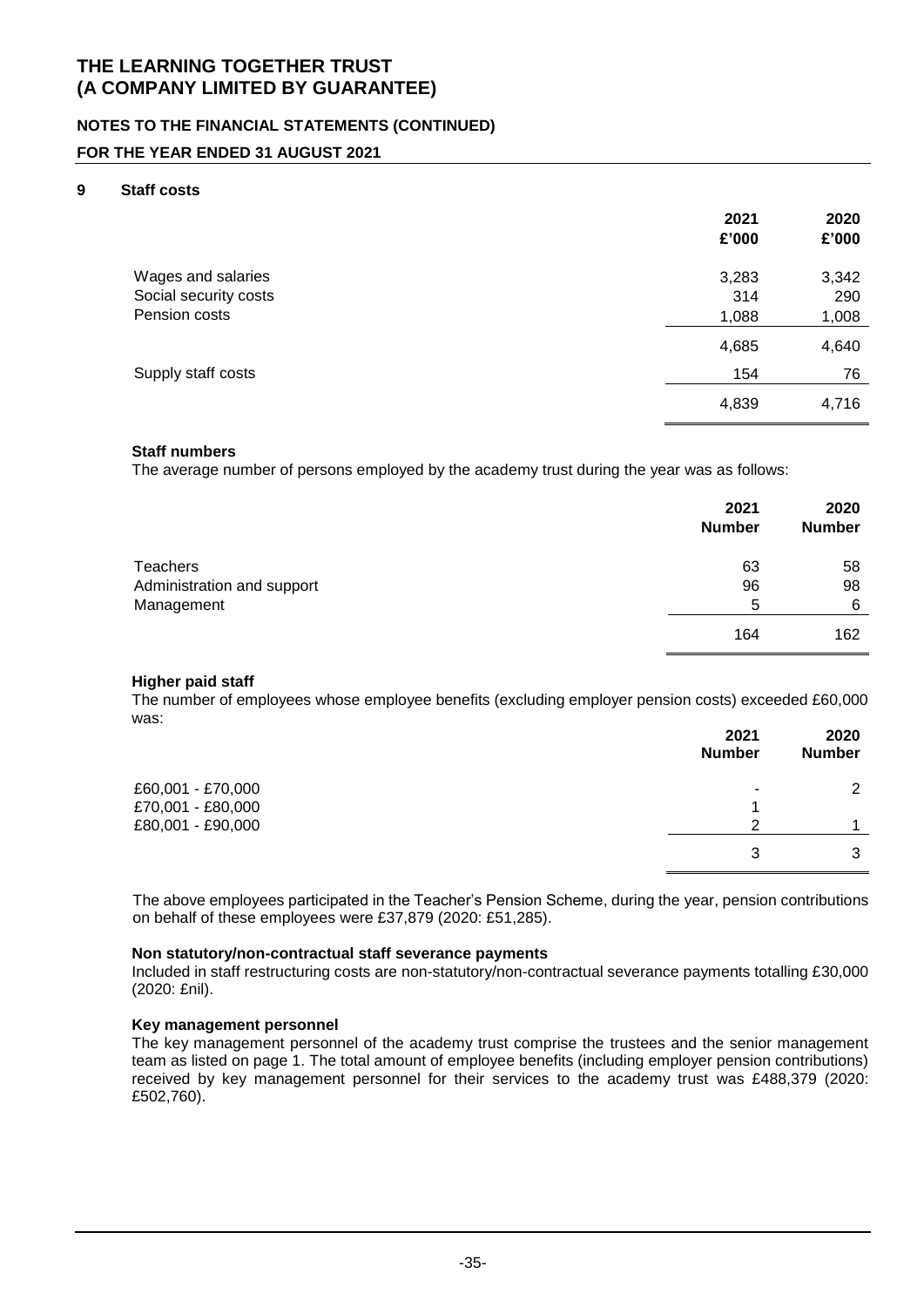### **NOTES TO THE FINANCIAL STATEMENTS (CONTINUED)**

#### **FOR THE YEAR ENDED 31 AUGUST 2021**

#### **9 Staff costs**

|                       | 2021<br>£'000 | 2020<br>£'000 |
|-----------------------|---------------|---------------|
| Wages and salaries    | 3,283         | 3,342         |
| Social security costs | 314           | 290           |
| Pension costs         | 1,088         | 1,008         |
|                       | 4,685         | 4,640         |
| Supply staff costs    | 154           | 76            |
|                       | 4,839         | 4,716         |

#### **Staff numbers**

The average number of persons employed by the academy trust during the year was as follows:

|                            | 2021<br><b>Number</b> | 2020<br><b>Number</b> |
|----------------------------|-----------------------|-----------------------|
| Teachers                   | 63                    | 58                    |
| Administration and support | 96                    | 98                    |
| Management                 | 5                     | 6                     |
|                            | 164                   | 162                   |

#### **Higher paid staff**

The number of employees whose employee benefits (excluding employer pension costs) exceeded £60,000 was:

|                                        | 2021<br><b>Number</b> | 2020<br><b>Number</b> |
|----------------------------------------|-----------------------|-----------------------|
| £60,001 - £70,000<br>£70,001 - £80,000 | ٠                     | ⌒                     |
| £80,001 - £90,000                      | າ                     |                       |
|                                        | 3                     | 3                     |

The above employees participated in the Teacher's Pension Scheme, during the year, pension contributions on behalf of these employees were £37,879 (2020: £51,285).

#### **Non statutory/non-contractual staff severance payments**

Included in staff restructuring costs are non-statutory/non-contractual severance payments totalling £30,000 (2020: £nil).

#### **Key management personnel**

The key management personnel of the academy trust comprise the trustees and the senior management team as listed on page 1. The total amount of employee benefits (including employer pension contributions) received by key management personnel for their services to the academy trust was £488,379 (2020: £502,760).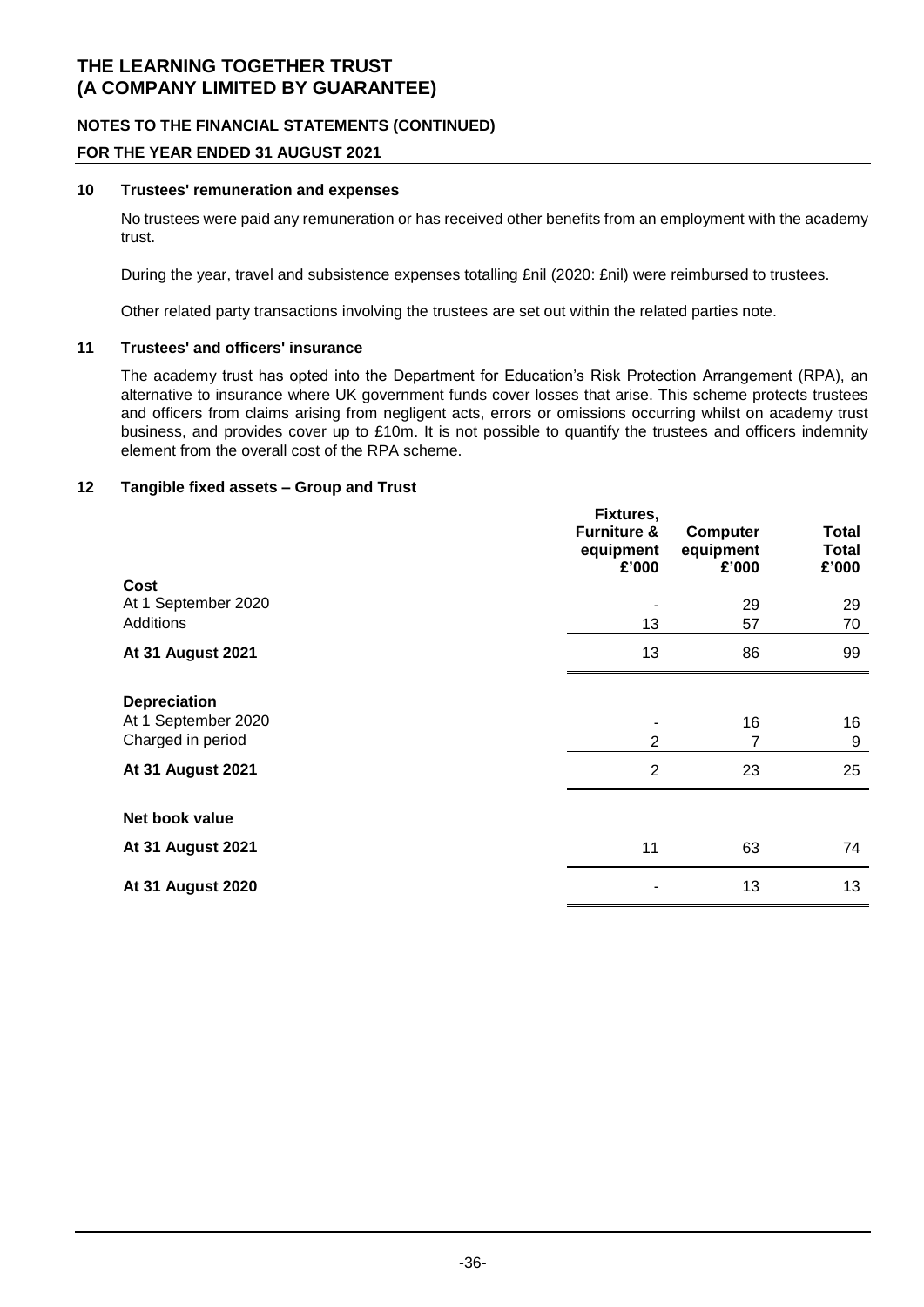### **NOTES TO THE FINANCIAL STATEMENTS (CONTINUED)**

### **FOR THE YEAR ENDED 31 AUGUST 2021**

#### **10 Trustees' remuneration and expenses**

No trustees were paid any remuneration or has received other benefits from an employment with the academy trust.

During the year, travel and subsistence expenses totalling £nil (2020: £nil) were reimbursed to trustees.

Other related party transactions involving the trustees are set out within the related parties note.

#### **11 Trustees' and officers' insurance**

The academy trust has opted into the Department for Education's Risk Protection Arrangement (RPA), an alternative to insurance where UK government funds cover losses that arise. This scheme protects trustees and officers from claims arising from negligent acts, errors or omissions occurring whilst on academy trust business, and provides cover up to £10m. It is not possible to quantify the trustees and officers indemnity element from the overall cost of the RPA scheme.

### **12 Tangible fixed assets – Group and Trust**

|                                                                 | Fixtures,<br><b>Furniture &amp;</b><br>equipment<br>£'000 | <b>Computer</b><br>equipment<br>£'000 | Total<br><b>Total</b><br>£'000 |
|-----------------------------------------------------------------|-----------------------------------------------------------|---------------------------------------|--------------------------------|
| Cost<br>At 1 September 2020                                     |                                                           | 29                                    | 29                             |
| <b>Additions</b>                                                | 13                                                        | 57                                    | 70                             |
| <b>At 31 August 2021</b>                                        | 13                                                        | 86                                    | 99                             |
| <b>Depreciation</b><br>At 1 September 2020<br>Charged in period | $\overline{2}$                                            | 16<br>7                               | 16<br>9                        |
| <b>At 31 August 2021</b>                                        | $\overline{2}$                                            | 23                                    | 25                             |
| Net book value                                                  |                                                           |                                       |                                |
| <b>At 31 August 2021</b>                                        | 11                                                        | 63                                    | 74                             |
| <b>At 31 August 2020</b>                                        |                                                           | 13                                    | 13                             |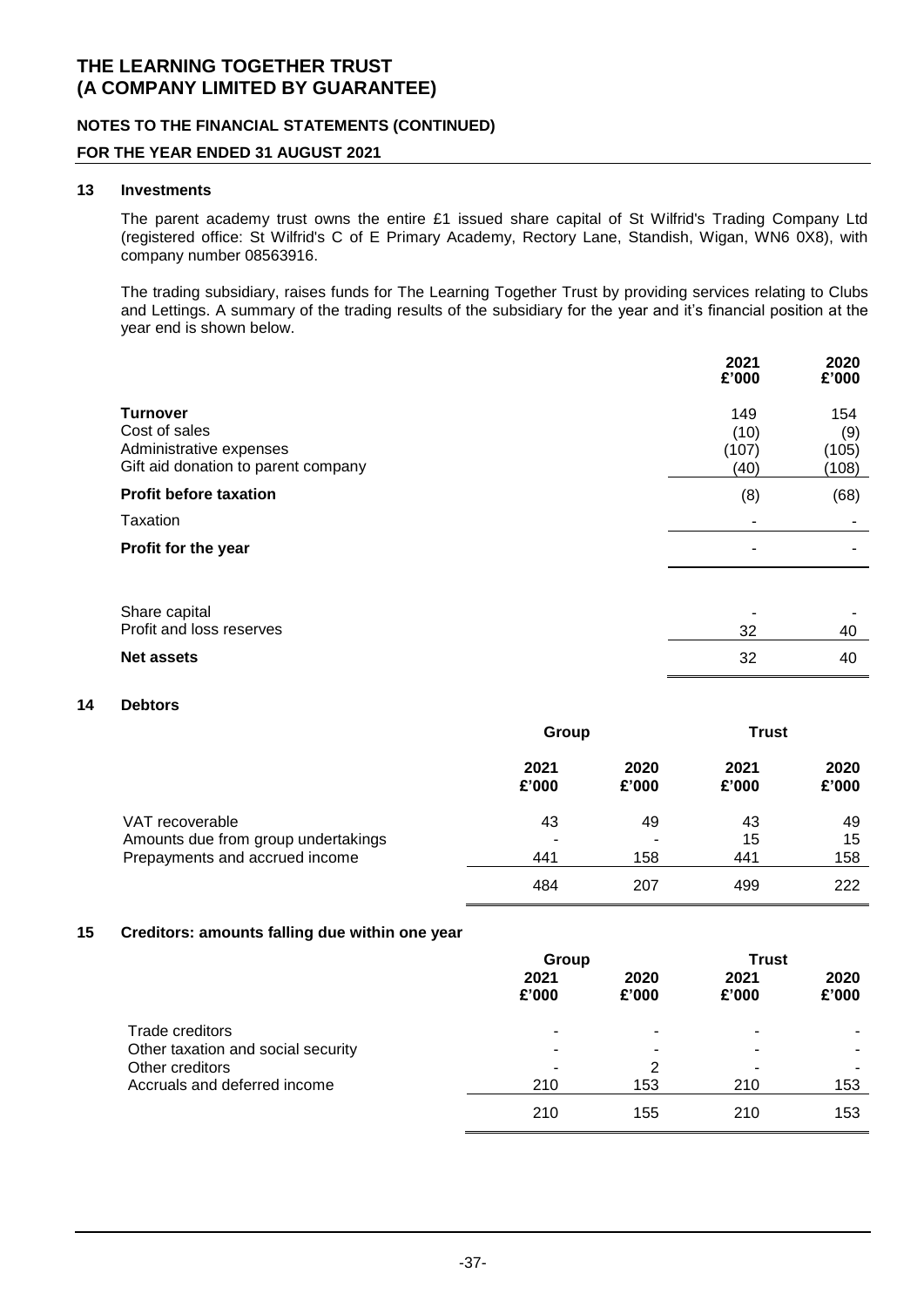### **NOTES TO THE FINANCIAL STATEMENTS (CONTINUED)**

#### **FOR THE YEAR ENDED 31 AUGUST 2021**

#### **13 Investments**

The parent academy trust owns the entire £1 issued share capital of St Wilfrid's Trading Company Ltd (registered office: St Wilfrid's C of E Primary Academy, Rectory Lane, Standish, Wigan, WN6 0X8), with company number 08563916.

The trading subsidiary, raises funds for The Learning Together Trust by providing services relating to Clubs and Lettings. A summary of the trading results of the subsidiary for the year and it's financial position at the year end is shown below.

|                                                                                                    | 2021<br>£'000                | 2020<br>£'000                |
|----------------------------------------------------------------------------------------------------|------------------------------|------------------------------|
| <b>Turnover</b><br>Cost of sales<br>Administrative expenses<br>Gift aid donation to parent company | 149<br>(10)<br>(107)<br>(40) | 154<br>(9)<br>(105)<br>(108) |
| <b>Profit before taxation</b>                                                                      | (8)                          | (68)                         |
| Taxation                                                                                           |                              |                              |
| Profit for the year                                                                                | -                            |                              |
| Share capital<br>Profit and loss reserves                                                          | 32                           | 40                           |
| <b>Net assets</b>                                                                                  | 32                           | 40                           |

### **14 Debtors**

|                                                        | Group         |               | <b>Trust</b>  |               |
|--------------------------------------------------------|---------------|---------------|---------------|---------------|
|                                                        | 2021<br>£'000 | 2020<br>£'000 | 2021<br>£'000 | 2020<br>£'000 |
| VAT recoverable<br>Amounts due from group undertakings | 43            | 49<br>-       | 43<br>15      | 49<br>15      |
| Prepayments and accrued income                         | 441           | 158           | 441           | 158           |
|                                                        | 484           | 207           | 499           | 222           |

#### **15 Creditors: amounts falling due within one year**

|                                                       | Group         |               | <b>Trust</b>  |               |
|-------------------------------------------------------|---------------|---------------|---------------|---------------|
|                                                       | 2021<br>£'000 | 2020<br>£'000 | 2021<br>£'000 | 2020<br>£'000 |
| Trade creditors<br>Other taxation and social security |               |               |               |               |
| Other creditors                                       |               | 2             |               |               |
| Accruals and deferred income                          | 210           | 153           | 210           | 153           |
|                                                       | 210           | 155           | 210           | 153           |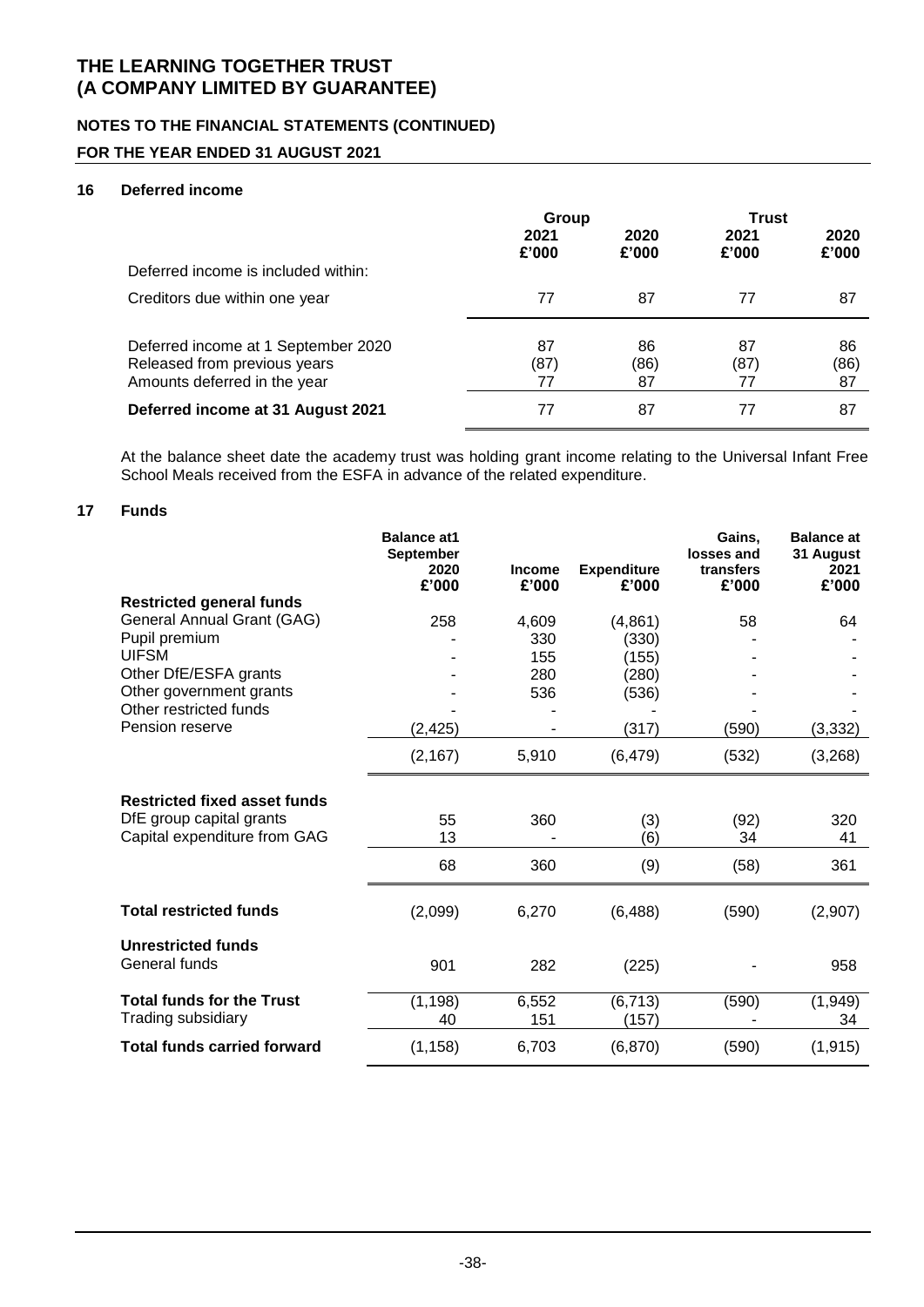### **NOTES TO THE FINANCIAL STATEMENTS (CONTINUED)**

### **FOR THE YEAR ENDED 31 AUGUST 2021**

### **16 Deferred income**

|                                                              | Group         |               | <b>Trust</b>  |               |
|--------------------------------------------------------------|---------------|---------------|---------------|---------------|
|                                                              | 2021<br>£'000 | 2020<br>£'000 | 2021<br>£'000 | 2020<br>£'000 |
| Deferred income is included within:                          |               |               |               |               |
| Creditors due within one year                                | 77            | 87            | 77            | 87            |
| Deferred income at 1 September 2020                          | 87            | 86            | 87            | 86            |
| Released from previous years<br>Amounts deferred in the year | (87)<br>77    | (86)<br>87    | (87)<br>77    | (86)<br>87    |
|                                                              |               |               |               |               |
| Deferred income at 31 August 2021                            | 77            | 87            | 77            | 87            |

At the balance sheet date the academy trust was holding grant income relating to the Universal Infant Free School Meals received from the ESFA in advance of the related expenditure.

#### **17 Funds**

|                                                                                                 | <b>Balance at1</b><br><b>September</b><br>2020<br>£'000 | <b>Income</b><br>£'000 | <b>Expenditure</b><br>£'000 | Gains,<br>losses and<br>transfers<br>£'000 | <b>Balance</b> at<br>31 August<br>2021<br>£'000 |
|-------------------------------------------------------------------------------------------------|---------------------------------------------------------|------------------------|-----------------------------|--------------------------------------------|-------------------------------------------------|
| <b>Restricted general funds</b>                                                                 |                                                         |                        |                             |                                            |                                                 |
| General Annual Grant (GAG)                                                                      | 258                                                     | 4,609                  | (4,861)                     | 58                                         | 64                                              |
| Pupil premium                                                                                   |                                                         | 330                    | (330)                       |                                            |                                                 |
| <b>UIFSM</b>                                                                                    |                                                         | 155                    | (155)                       |                                            |                                                 |
| Other DfE/ESFA grants                                                                           |                                                         | 280                    | (280)                       |                                            |                                                 |
| Other government grants                                                                         |                                                         | 536                    | (536)                       |                                            |                                                 |
| Other restricted funds                                                                          |                                                         |                        |                             |                                            |                                                 |
| Pension reserve                                                                                 | (2, 425)                                                |                        | (317)                       | (590)                                      | (3, 332)                                        |
|                                                                                                 | (2, 167)                                                | 5,910                  | (6, 479)                    | (532)                                      | (3,268)                                         |
| <b>Restricted fixed asset funds</b><br>DfE group capital grants<br>Capital expenditure from GAG | 55<br>13                                                | 360                    | (3)<br>(6)                  | (92)<br>34                                 | 320<br>41                                       |
|                                                                                                 | 68                                                      | 360                    | (9)                         | (58)                                       | 361                                             |
| <b>Total restricted funds</b>                                                                   | (2,099)                                                 | 6,270                  | (6, 488)                    | (590)                                      | (2,907)                                         |
| <b>Unrestricted funds</b><br>General funds                                                      | 901                                                     | 282                    | (225)                       |                                            | 958                                             |
| <b>Total funds for the Trust</b><br>Trading subsidiary                                          | (1, 198)<br>40                                          | 6,552<br>151           | (6, 713)<br>(157)           | (590)                                      | (1,949)<br>34                                   |
| <b>Total funds carried forward</b>                                                              | (1, 158)                                                | 6,703                  | (6, 870)                    | (590)                                      | (1, 915)                                        |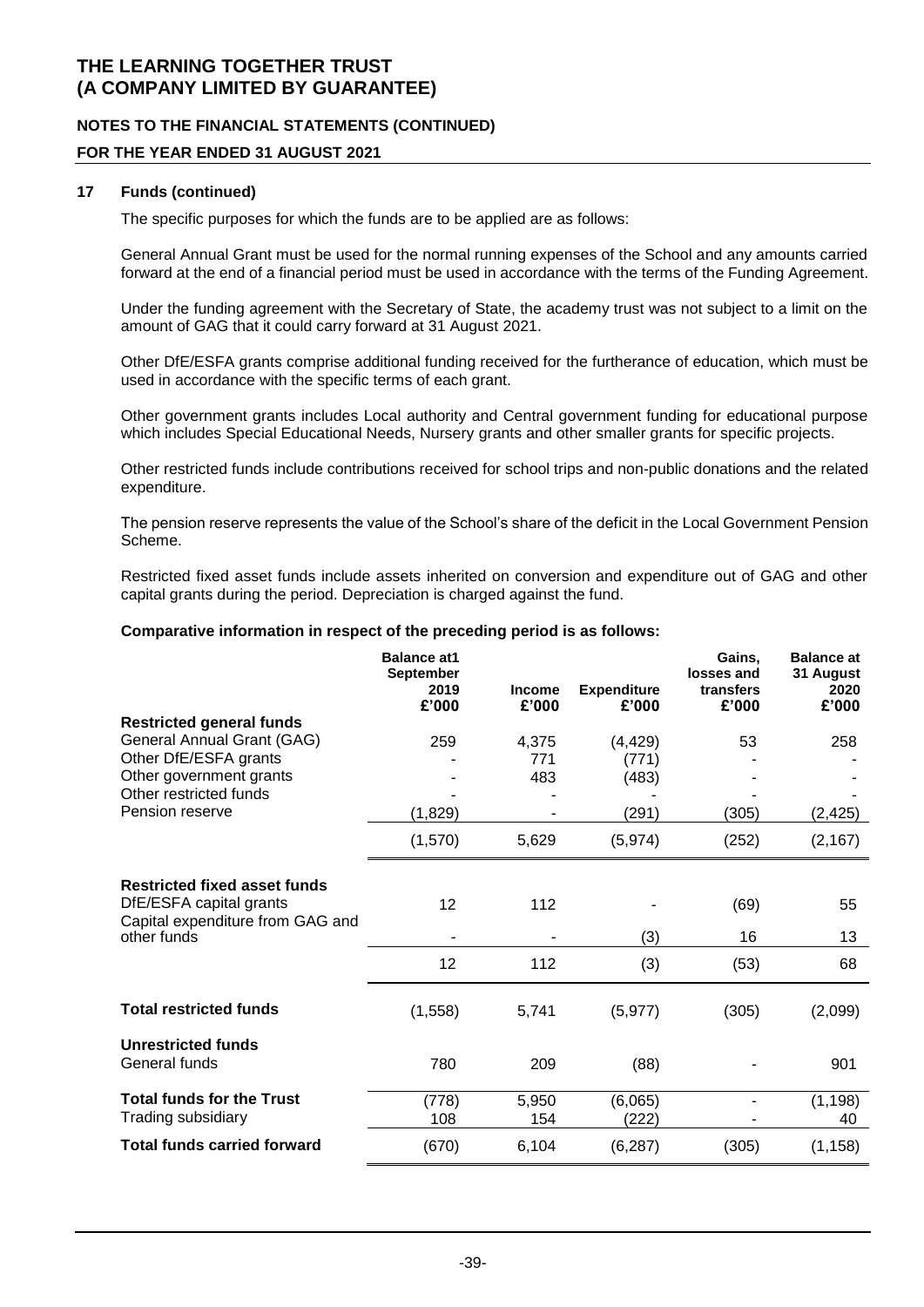### **NOTES TO THE FINANCIAL STATEMENTS (CONTINUED)**

### **FOR THE YEAR ENDED 31 AUGUST 2021**

#### **17 Funds (continued)**

The specific purposes for which the funds are to be applied are as follows:

General Annual Grant must be used for the normal running expenses of the School and any amounts carried forward at the end of a financial period must be used in accordance with the terms of the Funding Agreement.

Under the funding agreement with the Secretary of State, the academy trust was not subject to a limit on the amount of GAG that it could carry forward at 31 August 2021.

Other DfE/ESFA grants comprise additional funding received for the furtherance of education, which must be used in accordance with the specific terms of each grant.

Other government grants includes Local authority and Central government funding for educational purpose which includes Special Educational Needs, Nursery grants and other smaller grants for specific projects.

Other restricted funds include contributions received for school trips and non-public donations and the related expenditure.

The pension reserve represents the value of the School's share of the deficit in the Local Government Pension Scheme.

Restricted fixed asset funds include assets inherited on conversion and expenditure out of GAG and other capital grants during the period. Depreciation is charged against the fund.

#### **Comparative information in respect of the preceding period is as follows:**

|                                                                | <b>Balance at 1</b><br><b>September</b><br>2019<br>£'000 | <b>Income</b><br>£'000 | <b>Expenditure</b><br>£'000 | Gains,<br>losses and<br>transfers<br>£'000 | <b>Balance at</b><br>31 August<br>2020<br>£'000 |
|----------------------------------------------------------------|----------------------------------------------------------|------------------------|-----------------------------|--------------------------------------------|-------------------------------------------------|
| <b>Restricted general funds</b>                                |                                                          |                        |                             |                                            |                                                 |
| General Annual Grant (GAG)                                     | 259                                                      | 4,375                  | (4, 429)                    | 53                                         | 258                                             |
| Other DfE/ESFA grants                                          |                                                          | 771                    | (771)                       |                                            |                                                 |
| Other government grants<br>Other restricted funds              |                                                          | 483                    | (483)                       |                                            |                                                 |
| Pension reserve                                                | (1,829)                                                  |                        | (291)                       | (305)                                      | (2, 425)                                        |
|                                                                | (1,570)                                                  | 5,629                  | (5,974)                     | (252)                                      | (2, 167)                                        |
| <b>Restricted fixed asset funds</b><br>DfE/ESFA capital grants | 12                                                       | 112                    |                             | (69)                                       | 55                                              |
| Capital expenditure from GAG and                               |                                                          |                        |                             |                                            |                                                 |
| other funds                                                    |                                                          |                        | (3)                         | 16                                         | 13                                              |
|                                                                | 12                                                       | 112                    | (3)                         | (53)                                       | 68                                              |
| <b>Total restricted funds</b>                                  | (1,558)                                                  | 5,741                  | (5, 977)                    | (305)                                      | (2,099)                                         |
| <b>Unrestricted funds</b><br>General funds                     | 780                                                      | 209                    | (88)                        |                                            | 901                                             |
| <b>Total funds for the Trust</b>                               | (778)                                                    | 5,950                  | (6,065)                     |                                            | (1, 198)                                        |
| Trading subsidiary                                             | 108                                                      | 154                    | (222)                       |                                            | 40                                              |
| <b>Total funds carried forward</b>                             | (670)                                                    | 6,104                  | (6, 287)                    | (305)                                      | (1, 158)                                        |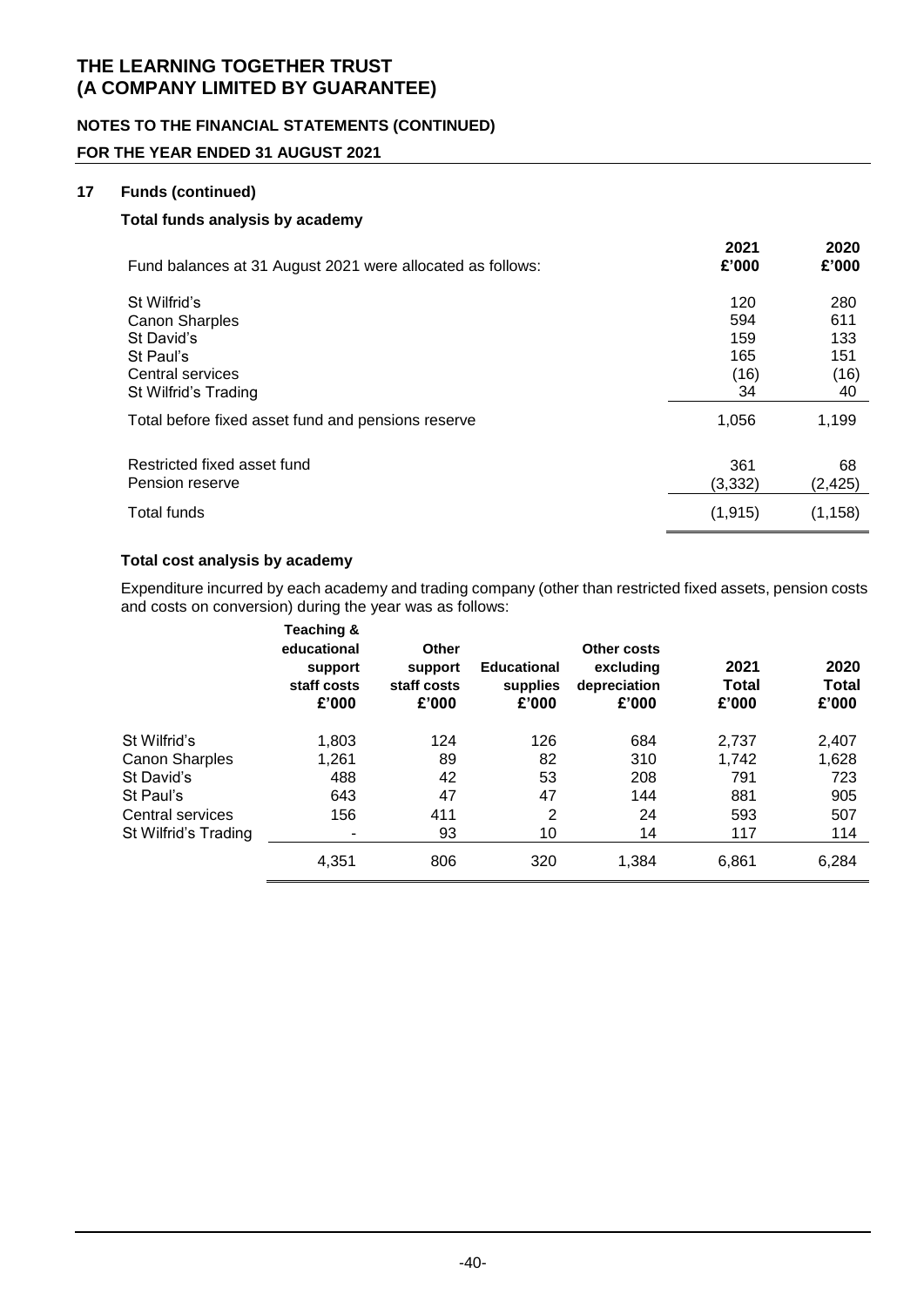### **NOTES TO THE FINANCIAL STATEMENTS (CONTINUED)**

### **FOR THE YEAR ENDED 31 AUGUST 2021**

#### **17 Funds (continued)**

#### **Total funds analysis by academy**

| Fund balances at 31 August 2021 were allocated as follows: | 2021<br>£'000 | 2020<br>£'000 |
|------------------------------------------------------------|---------------|---------------|
| St Wilfrid's                                               | 120           | 280           |
| <b>Canon Sharples</b>                                      | 594           | 611           |
| St David's                                                 | 159           | 133           |
| St Paul's                                                  | 165           | 151           |
| Central services                                           | (16)          | (16)          |
| St Wilfrid's Trading                                       | 34            | 40            |
| Total before fixed asset fund and pensions reserve         | 1,056         | 1,199         |
| Restricted fixed asset fund                                | 361           | 68            |
| Pension reserve                                            | (3, 332)      | (2, 425)      |
| Total funds                                                | (1, 915)      | (1, 158)      |

#### **Total cost analysis by academy**

Expenditure incurred by each academy and trading company (other than restricted fixed assets, pension costs and costs on conversion) during the year was as follows:

|                       | Teaching &<br>educational<br>support<br>staff costs<br>£'000 | <b>Other</b><br>support<br>staff costs<br>£'000 | <b>Educational</b><br>supplies<br>£'000 | Other costs<br>excluding<br>depreciation<br>£'000 | 2021<br><b>Total</b><br>£'000 | 2020<br><b>Total</b><br>£'000 |
|-----------------------|--------------------------------------------------------------|-------------------------------------------------|-----------------------------------------|---------------------------------------------------|-------------------------------|-------------------------------|
| St Wilfrid's          | 1,803                                                        | 124                                             | 126                                     | 684                                               | 2.737                         | 2,407                         |
| <b>Canon Sharples</b> | 1,261                                                        | 89                                              | 82                                      | 310                                               | 1.742                         | 1,628                         |
| St David's            | 488                                                          | 42                                              | 53                                      | 208                                               | 791                           | 723                           |
| St Paul's             | 643                                                          | 47                                              | 47                                      | 144                                               | 881                           | 905                           |
| Central services      | 156                                                          | 411                                             | $\overline{2}$                          | 24                                                | 593                           | 507                           |
| St Wilfrid's Trading  |                                                              | 93                                              | 10                                      | 14                                                | 117                           | 114                           |
|                       | 4,351                                                        | 806                                             | 320                                     | 1,384                                             | 6,861                         | 6,284                         |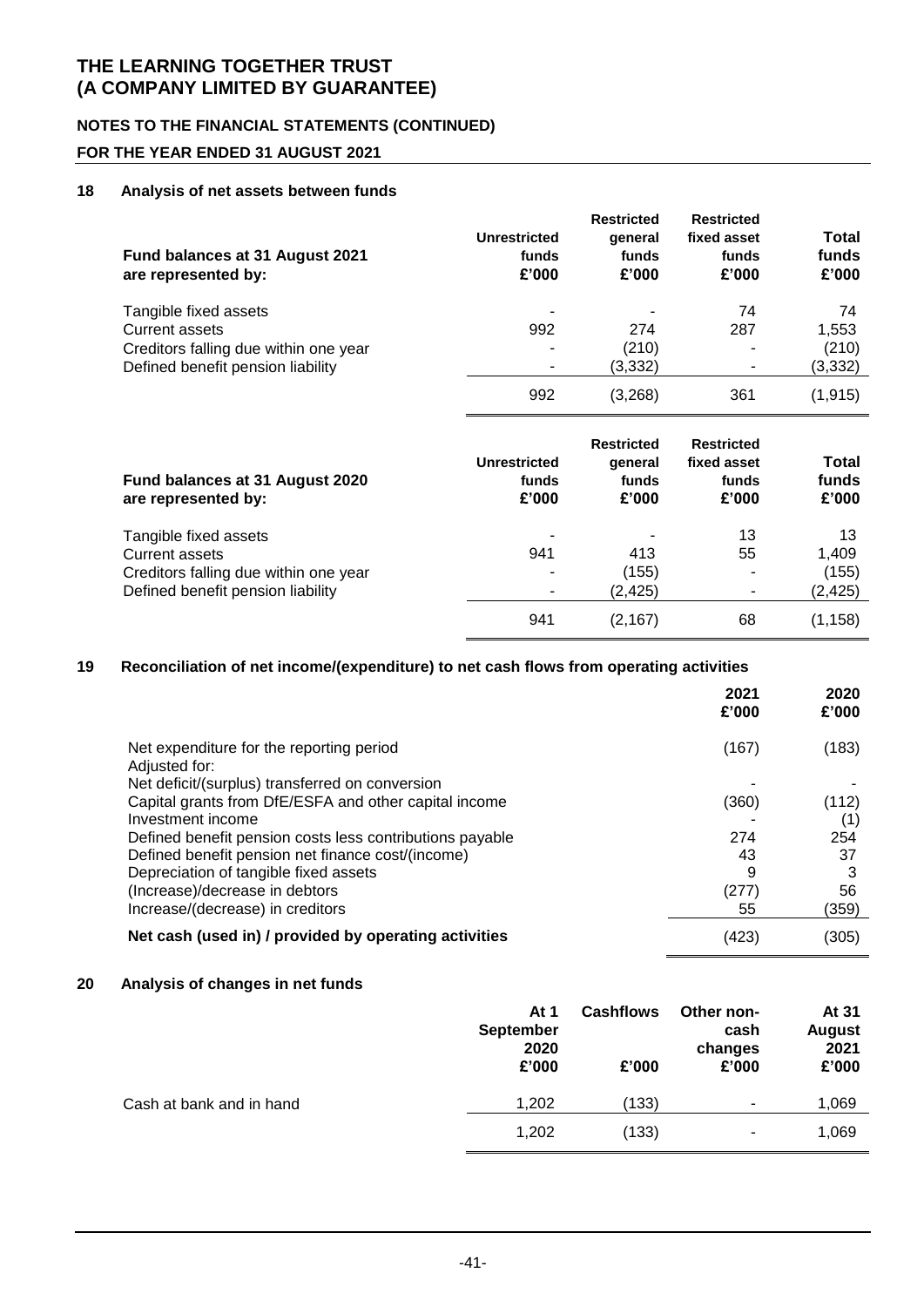### **NOTES TO THE FINANCIAL STATEMENTS (CONTINUED)**

### **FOR THE YEAR ENDED 31 AUGUST 2021**

#### **18 Analysis of net assets between funds**

| <b>Unrestricted</b><br>funds<br>£'000 | <b>Restricted</b><br>qeneral<br>funds<br>£'000 | <b>Restricted</b><br>fixed asset<br>funds<br>£'000 | Total<br>funds<br>£'000 |
|---------------------------------------|------------------------------------------------|----------------------------------------------------|-------------------------|
|                                       |                                                | 74                                                 | 74                      |
|                                       |                                                |                                                    | 1,553                   |
| ۰                                     | (3,332)                                        |                                                    | (210)<br>(3,332)        |
| 992                                   | (3,268)                                        | 361                                                | (1, 915)                |
| <b>Unrestricted</b><br>funds          | <b>Restricted</b><br>qeneral<br>funds          | <b>Restricted</b><br>fixed asset<br>funds          | Total<br>funds<br>£'000 |
|                                       | 992<br>-<br>£'000                              | 274<br>(210)<br>£'000                              | 287<br>£'000            |

| Tangible fixed assets                 |     |          | 13 | 13      |
|---------------------------------------|-----|----------|----|---------|
| Current assets                        | 941 | 413      | 55 | 1.409   |
| Creditors falling due within one year |     | (155)    |    | (155)   |
| Defined benefit pension liability     |     | (2.425)  | ۰  | (2,425) |
|                                       | 941 | (2, 167) | 68 | (1,158) |

#### **19 Reconciliation of net income/(expenditure) to net cash flows from operating activities**

|                                                           | 2021<br>£'000 | 2020<br>£'000 |
|-----------------------------------------------------------|---------------|---------------|
| Net expenditure for the reporting period<br>Adjusted for: | (167)         | (183)         |
| Net deficit/(surplus) transferred on conversion           |               |               |
| Capital grants from DfE/ESFA and other capital income     | (360)         | (112)         |
| Investment income                                         |               |               |
| Defined benefit pension costs less contributions payable  | 274           | 254           |
| Defined benefit pension net finance cost/(income)         | 43            | 37            |
| Depreciation of tangible fixed assets                     | 9             | 3             |
| (Increase)/decrease in debtors                            | (277)         | 56            |
| Increase/(decrease) in creditors                          | 55            | (359)         |
| Net cash (used in) / provided by operating activities     | (423)         | (305)         |

#### **20 Analysis of changes in net funds**

|                          | At 1<br><b>September</b><br>2020<br>£'000 | <b>Cashflows</b><br>£'000 | Other non-<br>cash<br>changes<br>£'000 | At 31<br><b>August</b><br>2021<br>£'000 |
|--------------------------|-------------------------------------------|---------------------------|----------------------------------------|-----------------------------------------|
| Cash at bank and in hand | 1,202                                     | (133)                     | $\overline{\phantom{a}}$               | 1,069                                   |
|                          | 1,202                                     | (133)                     | $\blacksquare$                         | 1,069                                   |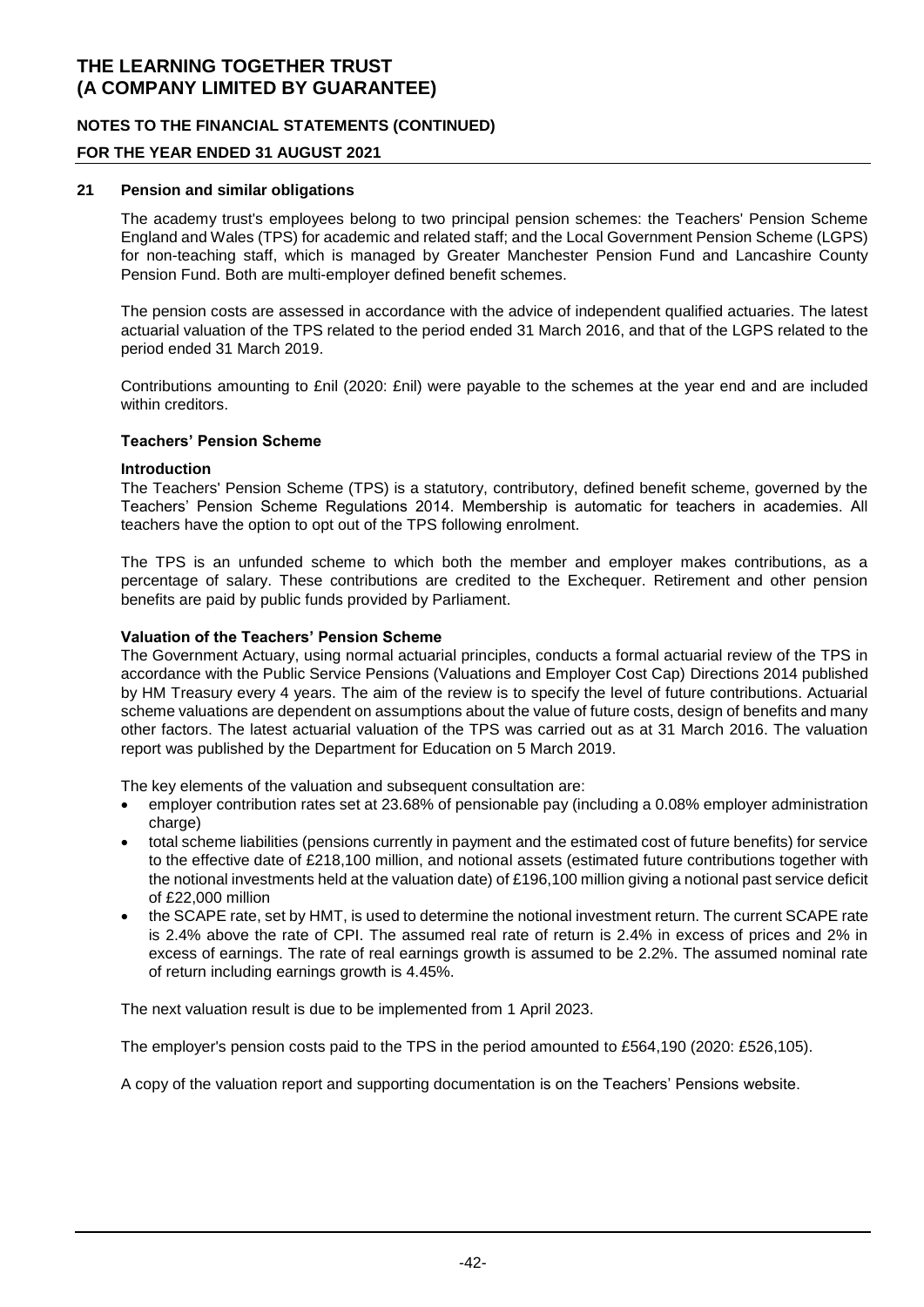### **NOTES TO THE FINANCIAL STATEMENTS (CONTINUED)**

### **FOR THE YEAR ENDED 31 AUGUST 2021**

#### **21 Pension and similar obligations**

The academy trust's employees belong to two principal pension schemes: the Teachers' Pension Scheme England and Wales (TPS) for academic and related staff; and the Local Government Pension Scheme (LGPS) for non-teaching staff, which is managed by Greater Manchester Pension Fund and Lancashire County Pension Fund. Both are multi-employer defined benefit schemes.

The pension costs are assessed in accordance with the advice of independent qualified actuaries. The latest actuarial valuation of the TPS related to the period ended 31 March 2016, and that of the LGPS related to the period ended 31 March 2019.

Contributions amounting to £nil (2020: £nil) were payable to the schemes at the year end and are included within creditors.

#### **Teachers' Pension Scheme**

#### **Introduction**

The Teachers' Pension Scheme (TPS) is a statutory, contributory, defined benefit scheme, governed by the Teachers' Pension Scheme Regulations 2014. Membership is automatic for teachers in academies. All teachers have the option to opt out of the TPS following enrolment.

The TPS is an unfunded scheme to which both the member and employer makes contributions, as a percentage of salary. These contributions are credited to the Exchequer. Retirement and other pension benefits are paid by public funds provided by Parliament.

#### **Valuation of the Teachers' Pension Scheme**

The Government Actuary, using normal actuarial principles, conducts a formal actuarial review of the TPS in accordance with the Public Service Pensions (Valuations and Employer Cost Cap) Directions 2014 published by HM Treasury every 4 years. The aim of the review is to specify the level of future contributions. Actuarial scheme valuations are dependent on assumptions about the value of future costs, design of benefits and many other factors. The latest actuarial valuation of the TPS was carried out as at 31 March 2016. The valuation report was published by the Department for Education on 5 March 2019.

The key elements of the valuation and subsequent consultation are:

- employer contribution rates set at 23.68% of pensionable pay (including a 0.08% employer administration charge)
- total scheme liabilities (pensions currently in payment and the estimated cost of future benefits) for service to the effective date of £218,100 million, and notional assets (estimated future contributions together with the notional investments held at the valuation date) of £196,100 million giving a notional past service deficit of £22,000 million
- the SCAPE rate, set by HMT, is used to determine the notional investment return. The current SCAPE rate is 2.4% above the rate of CPI. The assumed real rate of return is 2.4% in excess of prices and 2% in excess of earnings. The rate of real earnings growth is assumed to be 2.2%. The assumed nominal rate of return including earnings growth is 4.45%.

The next valuation result is due to be implemented from 1 April 2023.

The employer's pension costs paid to the TPS in the period amounted to £564,190 (2020: £526,105).

A copy of the valuation report and supporting documentation is on the Teachers' Pensions website.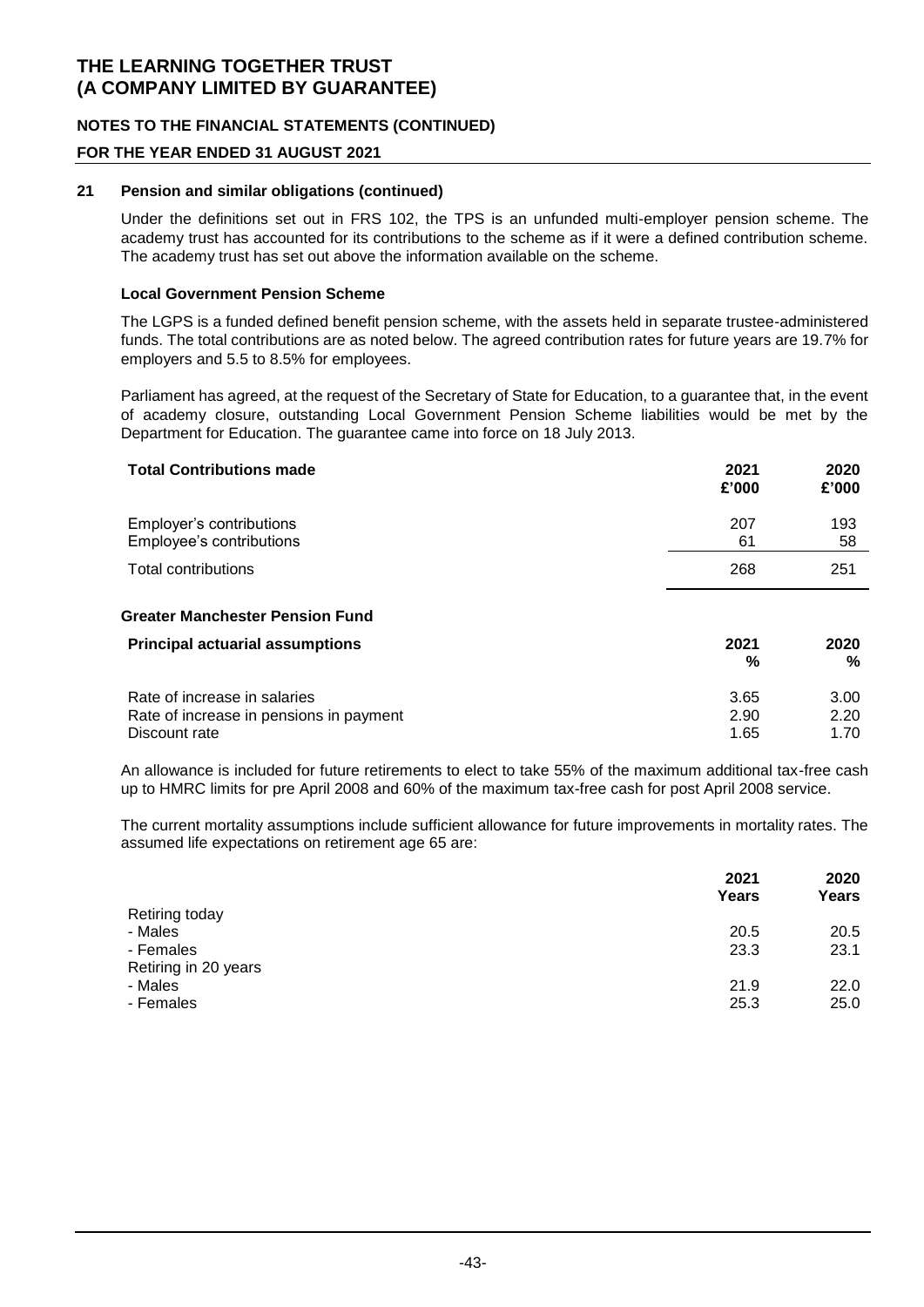### **NOTES TO THE FINANCIAL STATEMENTS (CONTINUED)**

### **FOR THE YEAR ENDED 31 AUGUST 2021**

#### **21 Pension and similar obligations (continued)**

Under the definitions set out in FRS 102, the TPS is an unfunded multi-employer pension scheme. The academy trust has accounted for its contributions to the scheme as if it were a defined contribution scheme. The academy trust has set out above the information available on the scheme.

#### **Local Government Pension Scheme**

The LGPS is a funded defined benefit pension scheme, with the assets held in separate trustee-administered funds. The total contributions are as noted below. The agreed contribution rates for future years are 19.7% for employers and 5.5 to 8.5% for employees.

Parliament has agreed, at the request of the Secretary of State for Education, to a guarantee that, in the event of academy closure, outstanding Local Government Pension Scheme liabilities would be met by the Department for Education. The guarantee came into force on 18 July 2013.

| <b>Total Contributions made</b>                                                          | 2021<br>£'000        | 2020<br>£'000        |
|------------------------------------------------------------------------------------------|----------------------|----------------------|
| Employer's contributions<br>Employee's contributions                                     | 207<br>61            | 193<br>58            |
| Total contributions                                                                      | 268                  | 251                  |
| <b>Greater Manchester Pension Fund</b>                                                   |                      |                      |
| <b>Principal actuarial assumptions</b>                                                   | 2021<br>%            | 2020<br>%            |
| Rate of increase in salaries<br>Rate of increase in pensions in payment<br>Discount rate | 3.65<br>2.90<br>1.65 | 3.00<br>2.20<br>1.70 |

An allowance is included for future retirements to elect to take 55% of the maximum additional tax-free cash up to HMRC limits for pre April 2008 and 60% of the maximum tax-free cash for post April 2008 service.

The current mortality assumptions include sufficient allowance for future improvements in mortality rates. The assumed life expectations on retirement age 65 are:

|                      | 2021<br>Years | 2020<br>Years |
|----------------------|---------------|---------------|
| Retiring today       |               |               |
| - Males              | 20.5          | 20.5          |
| - Females            | 23.3          | 23.1          |
| Retiring in 20 years |               |               |
| - Males              | 21.9          | 22.0          |
| - Females            | 25.3          | 25.0          |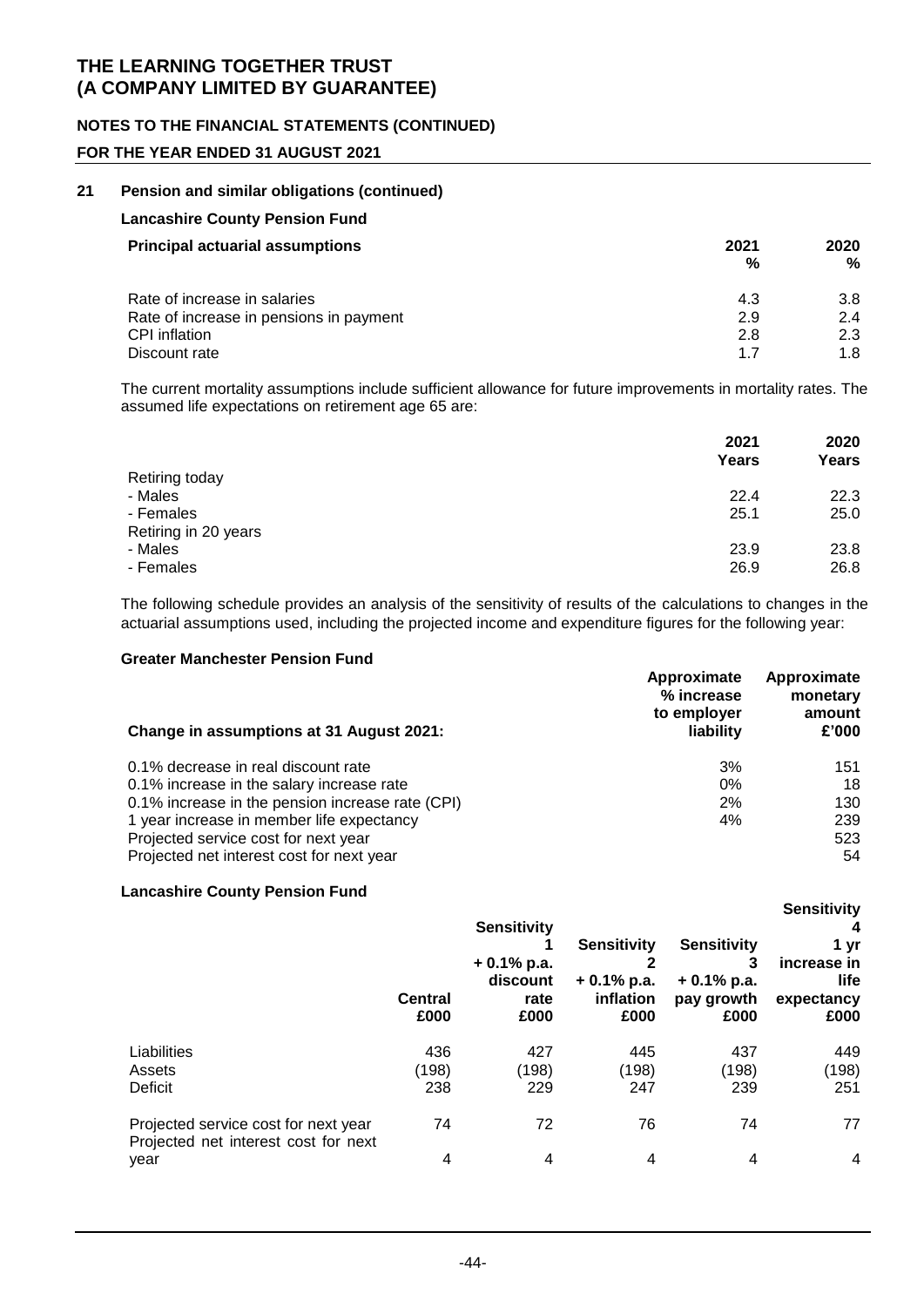### **NOTES TO THE FINANCIAL STATEMENTS (CONTINUED)**

### **FOR THE YEAR ENDED 31 AUGUST 2021**

#### **21 Pension and similar obligations (continued)**

| <b>Lancashire County Pension Fund</b> |
|---------------------------------------|
|---------------------------------------|

| <b>Principal actuarial assumptions</b>  | 2021<br>% | 2020<br>% |
|-----------------------------------------|-----------|-----------|
| Rate of increase in salaries            | 4.3       | 3.8       |
| Rate of increase in pensions in payment | 2.9       | 2.4       |
| <b>CPI</b> inflation                    | 2.8       | 2.3       |
| Discount rate                           | 17        | 1.8       |

The current mortality assumptions include sufficient allowance for future improvements in mortality rates. The assumed life expectations on retirement age 65 are:

| 2021<br>Years | 2020<br>Years |
|---------------|---------------|
|               |               |
| 22.4          | 22.3          |
| 25.1          | 25.0          |
|               |               |
| 23.9          | 23.8          |
| 26.9          | 26.8          |
|               |               |

The following schedule provides an analysis of the sensitivity of results of the calculations to changes in the actuarial assumptions used, including the projected income and expenditure figures for the following year:

#### **Greater Manchester Pension Fund**

| Change in assumptions at 31 August 2021:         | Approximate<br>% increase<br>to employer<br>liability | Approximate<br>monetary<br>amount<br>£'000 |
|--------------------------------------------------|-------------------------------------------------------|--------------------------------------------|
| 0.1% decrease in real discount rate              | 3%                                                    | 151                                        |
| 0.1% increase in the salary increase rate        | $0\%$                                                 | 18                                         |
| 0.1% increase in the pension increase rate (CPI) | 2%                                                    | 130                                        |
| 1 year increase in member life expectancy        | 4%                                                    | 239                                        |
| Projected service cost for next year             |                                                       | 523                                        |
| Projected net interest cost for next year        |                                                       | 54                                         |

#### **Lancashire County Pension Fund**

|                                                                                      | <b>Central</b><br>£000 | <b>Sensitivity</b><br>$+0.1\%$ p.a.<br>discount<br>rate<br>£000 | <b>Sensitivity</b><br>$+0.1\%$ p.a.<br>inflation<br>£000 | <b>Sensitivity</b><br>3<br>$+0.1\%$ p.a.<br>pay growth<br>£000 | <b>Sensitivity</b><br>1 vr<br>increase in<br>life<br>expectancy<br>£000 |
|--------------------------------------------------------------------------------------|------------------------|-----------------------------------------------------------------|----------------------------------------------------------|----------------------------------------------------------------|-------------------------------------------------------------------------|
| Liabilities<br>Assets<br>Deficit                                                     | 436<br>(198)<br>238    | 427<br>(198)<br>229                                             | 445<br>(198)<br>247                                      | 437<br>(198)<br>239                                            | 449<br>(198)<br>251                                                     |
| Projected service cost for next year<br>Projected net interest cost for next<br>year | 74<br>4                | 72<br>$\overline{4}$                                            | 76<br>4                                                  | 74<br>4                                                        | 77<br>4                                                                 |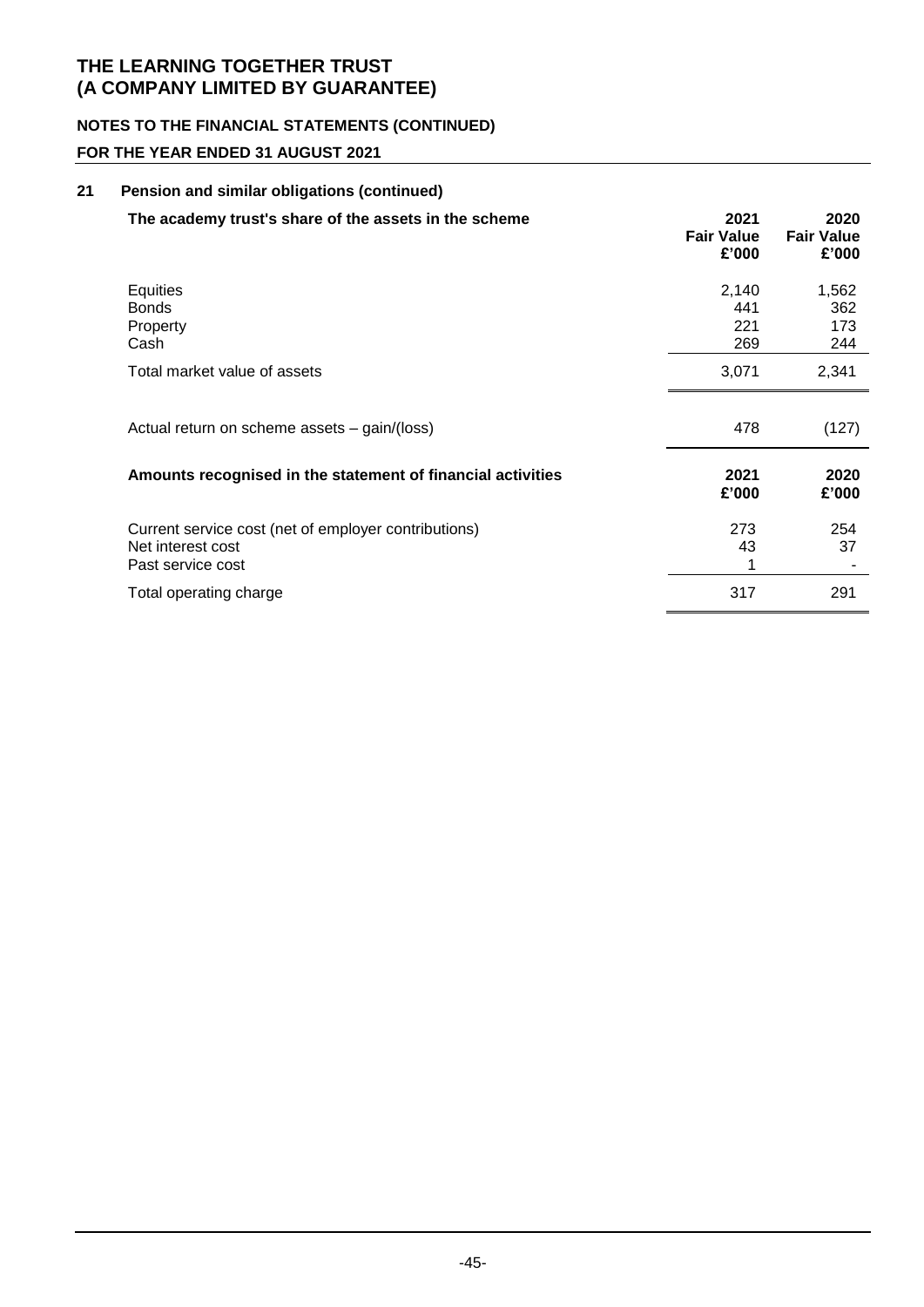# **NOTES TO THE FINANCIAL STATEMENTS (CONTINUED)**

### **FOR THE YEAR ENDED 31 AUGUST 2021**

| 21 | Pension and similar obligations (continued)                                                    |                                    |                                    |
|----|------------------------------------------------------------------------------------------------|------------------------------------|------------------------------------|
|    | The academy trust's share of the assets in the scheme                                          | 2021<br><b>Fair Value</b><br>£'000 | 2020<br><b>Fair Value</b><br>£'000 |
|    | <b>Equities</b><br><b>Bonds</b><br>Property<br>Cash                                            | 2,140<br>441<br>221<br>269         | 1,562<br>362<br>173<br>244         |
|    | Total market value of assets                                                                   | 3,071                              | 2,341                              |
|    | Actual return on scheme assets - gain/(loss)                                                   | 478                                | (127)                              |
|    | Amounts recognised in the statement of financial activities                                    | 2021<br>£'000                      | 2020<br>£'000                      |
|    | Current service cost (net of employer contributions)<br>Net interest cost<br>Past service cost | 273<br>43                          | 254<br>37                          |
|    | Total operating charge                                                                         | 317                                | 291                                |